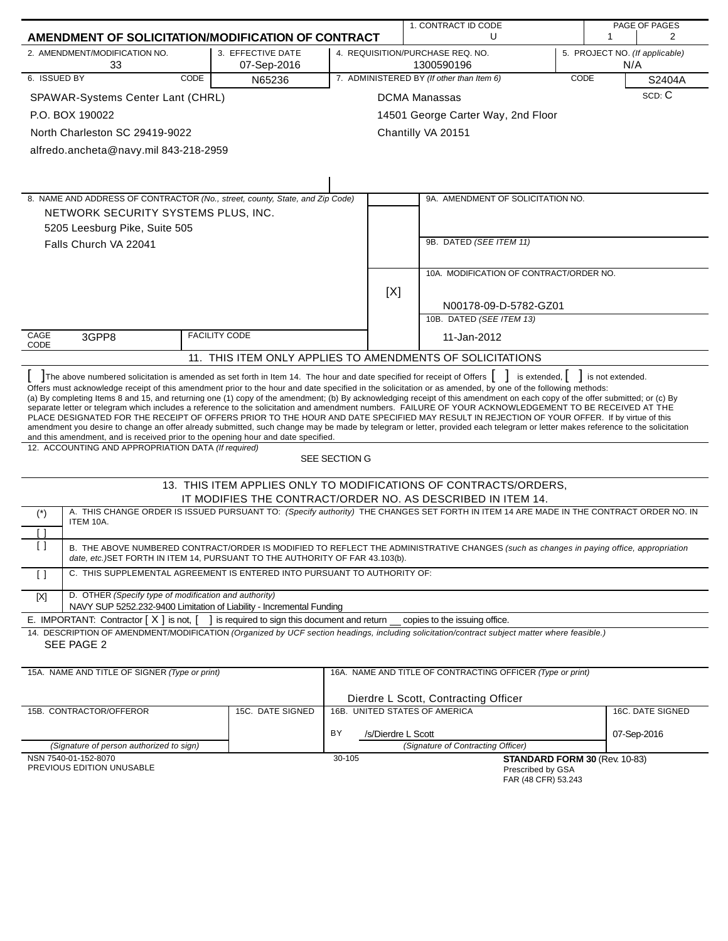|                   |                                                                                                                               |                                                |                          | 1. CONTRACT ID CODE                                                                                                                                                                                                                                                                                                                                                                                                                                                                                                                                                                                                                                                                                                                                                                                                                    |      |     | PAGE OF PAGES                  |
|-------------------|-------------------------------------------------------------------------------------------------------------------------------|------------------------------------------------|--------------------------|----------------------------------------------------------------------------------------------------------------------------------------------------------------------------------------------------------------------------------------------------------------------------------------------------------------------------------------------------------------------------------------------------------------------------------------------------------------------------------------------------------------------------------------------------------------------------------------------------------------------------------------------------------------------------------------------------------------------------------------------------------------------------------------------------------------------------------------|------|-----|--------------------------------|
|                   | AMENDMENT OF SOLICITATION/MODIFICATION OF CONTRACT                                                                            |                                                |                          | U                                                                                                                                                                                                                                                                                                                                                                                                                                                                                                                                                                                                                                                                                                                                                                                                                                      |      | 1   | $\overline{2}$                 |
|                   | 2. AMENDMENT/MODIFICATION NO.<br>33                                                                                           | 3. EFFECTIVE DATE<br>07-Sep-2016               |                          | 4. REQUISITION/PURCHASE REQ. NO.<br>1300590196                                                                                                                                                                                                                                                                                                                                                                                                                                                                                                                                                                                                                                                                                                                                                                                         |      | N/A | 5. PROJECT NO. (If applicable) |
| 6. ISSUED BY      | CODE                                                                                                                          | N65236                                         |                          | 7. ADMINISTERED BY (If other than Item 6)                                                                                                                                                                                                                                                                                                                                                                                                                                                                                                                                                                                                                                                                                                                                                                                              | CODE |     | S2404A                         |
|                   | SPAWAR-Systems Center Lant (CHRL)                                                                                             |                                                |                          | <b>DCMA Manassas</b>                                                                                                                                                                                                                                                                                                                                                                                                                                                                                                                                                                                                                                                                                                                                                                                                                   |      |     | SCD: C                         |
|                   | P.O. BOX 190022                                                                                                               |                                                |                          | 14501 George Carter Way, 2nd Floor                                                                                                                                                                                                                                                                                                                                                                                                                                                                                                                                                                                                                                                                                                                                                                                                     |      |     |                                |
|                   | North Charleston SC 29419-9022                                                                                                |                                                |                          | Chantilly VA 20151                                                                                                                                                                                                                                                                                                                                                                                                                                                                                                                                                                                                                                                                                                                                                                                                                     |      |     |                                |
|                   | alfredo.ancheta@navy.mil 843-218-2959                                                                                         |                                                |                          |                                                                                                                                                                                                                                                                                                                                                                                                                                                                                                                                                                                                                                                                                                                                                                                                                                        |      |     |                                |
|                   |                                                                                                                               |                                                |                          |                                                                                                                                                                                                                                                                                                                                                                                                                                                                                                                                                                                                                                                                                                                                                                                                                                        |      |     |                                |
|                   |                                                                                                                               |                                                |                          |                                                                                                                                                                                                                                                                                                                                                                                                                                                                                                                                                                                                                                                                                                                                                                                                                                        |      |     |                                |
|                   |                                                                                                                               |                                                |                          |                                                                                                                                                                                                                                                                                                                                                                                                                                                                                                                                                                                                                                                                                                                                                                                                                                        |      |     |                                |
|                   | 8. NAME AND ADDRESS OF CONTRACTOR (No., street, county, State, and Zip Code)<br>NETWORK SECURITY SYSTEMS PLUS, INC.           |                                                |                          | 9A. AMENDMENT OF SOLICITATION NO.                                                                                                                                                                                                                                                                                                                                                                                                                                                                                                                                                                                                                                                                                                                                                                                                      |      |     |                                |
|                   | 5205 Leesburg Pike, Suite 505                                                                                                 |                                                |                          |                                                                                                                                                                                                                                                                                                                                                                                                                                                                                                                                                                                                                                                                                                                                                                                                                                        |      |     |                                |
|                   | Falls Church VA 22041                                                                                                         |                                                |                          | 9B. DATED (SEE ITEM 11)                                                                                                                                                                                                                                                                                                                                                                                                                                                                                                                                                                                                                                                                                                                                                                                                                |      |     |                                |
|                   |                                                                                                                               |                                                |                          |                                                                                                                                                                                                                                                                                                                                                                                                                                                                                                                                                                                                                                                                                                                                                                                                                                        |      |     |                                |
|                   |                                                                                                                               |                                                |                          | 10A. MODIFICATION OF CONTRACT/ORDER NO.                                                                                                                                                                                                                                                                                                                                                                                                                                                                                                                                                                                                                                                                                                                                                                                                |      |     |                                |
|                   |                                                                                                                               |                                                | [X]                      |                                                                                                                                                                                                                                                                                                                                                                                                                                                                                                                                                                                                                                                                                                                                                                                                                                        |      |     |                                |
|                   |                                                                                                                               |                                                |                          | N00178-09-D-5782-GZ01                                                                                                                                                                                                                                                                                                                                                                                                                                                                                                                                                                                                                                                                                                                                                                                                                  |      |     |                                |
|                   |                                                                                                                               |                                                |                          | 10B. DATED (SEE ITEM 13)                                                                                                                                                                                                                                                                                                                                                                                                                                                                                                                                                                                                                                                                                                                                                                                                               |      |     |                                |
| CAGE              | 3GPP8                                                                                                                         | <b>FACILITY CODE</b>                           |                          | 11-Jan-2012                                                                                                                                                                                                                                                                                                                                                                                                                                                                                                                                                                                                                                                                                                                                                                                                                            |      |     |                                |
| CODE              |                                                                                                                               |                                                |                          | 11. THIS ITEM ONLY APPLIES TO AMENDMENTS OF SOLICITATIONS                                                                                                                                                                                                                                                                                                                                                                                                                                                                                                                                                                                                                                                                                                                                                                              |      |     |                                |
|                   |                                                                                                                               |                                                |                          |                                                                                                                                                                                                                                                                                                                                                                                                                                                                                                                                                                                                                                                                                                                                                                                                                                        |      |     |                                |
|                   | and this amendment, and is received prior to the opening hour and date specified.                                             |                                                |                          | Offers must acknowledge receipt of this amendment prior to the hour and date specified in the solicitation or as amended, by one of the following methods:<br>(a) By completing Items 8 and 15, and returning one (1) copy of the amendment; (b) By acknowledging receipt of this amendment on each copy of the offer submitted; or (c) By<br>separate letter or telegram which includes a reference to the solicitation and amendment numbers. FAILURE OF YOUR ACKNOWLEDGEMENT TO BE RECEIVED AT THE<br>PLACE DESIGNATED FOR THE RECEIPT OF OFFERS PRIOR TO THE HOUR AND DATE SPECIFIED MAY RESULT IN REJECTION OF YOUR OFFER. If by virtue of this<br>amendment you desire to change an offer already submitted, such change may be made by telegram or letter, provided each telegram or letter makes reference to the solicitation |      |     |                                |
|                   | 12. ACCOUNTING AND APPROPRIATION DATA (If required)                                                                           |                                                | SEE SECTION G            |                                                                                                                                                                                                                                                                                                                                                                                                                                                                                                                                                                                                                                                                                                                                                                                                                                        |      |     |                                |
|                   |                                                                                                                               |                                                |                          | 13. THIS ITEM APPLIES ONLY TO MODIFICATIONS OF CONTRACTS/ORDERS,                                                                                                                                                                                                                                                                                                                                                                                                                                                                                                                                                                                                                                                                                                                                                                       |      |     |                                |
|                   |                                                                                                                               |                                                |                          | IT MODIFIES THE CONTRACT/ORDER NO. AS DESCRIBED IN ITEM 14.                                                                                                                                                                                                                                                                                                                                                                                                                                                                                                                                                                                                                                                                                                                                                                            |      |     |                                |
| $(*)$             | ITEM 10A.                                                                                                                     |                                                |                          | A. THIS CHANGE ORDER IS ISSUED PURSUANT TO: (Specify authority) THE CHANGES SET FORTH IN ITEM 14 ARE MADE IN THE CONTRACT ORDER NO. IN                                                                                                                                                                                                                                                                                                                                                                                                                                                                                                                                                                                                                                                                                                 |      |     |                                |
| [ ]               |                                                                                                                               |                                                |                          |                                                                                                                                                                                                                                                                                                                                                                                                                                                                                                                                                                                                                                                                                                                                                                                                                                        |      |     |                                |
| $\Box$            | date, etc.) SET FORTH IN ITEM 14, PURSUANT TO THE AUTHORITY OF FAR 43.103(b).                                                 |                                                |                          | B. THE ABOVE NUMBERED CONTRACT/ORDER IS MODIFIED TO REFLECT THE ADMINISTRATIVE CHANGES (such as changes in paying office, appropriation                                                                                                                                                                                                                                                                                                                                                                                                                                                                                                                                                                                                                                                                                                |      |     |                                |
| $\lceil$ $\rceil$ | C. THIS SUPPLEMENTAL AGREEMENT IS ENTERED INTO PURSUANT TO AUTHORITY OF:                                                      |                                                |                          |                                                                                                                                                                                                                                                                                                                                                                                                                                                                                                                                                                                                                                                                                                                                                                                                                                        |      |     |                                |
| $[{\sf X}]$       | D. OTHER (Specify type of modification and authority)<br>NAVY SUP 5252.232-9400 Limitation of Liability - Incremental Funding |                                                |                          |                                                                                                                                                                                                                                                                                                                                                                                                                                                                                                                                                                                                                                                                                                                                                                                                                                        |      |     |                                |
|                   | E. IMPORTANT: Contractor $[X]$ is not, $[$                                                                                    | I is required to sign this document and return |                          | copies to the issuing office.                                                                                                                                                                                                                                                                                                                                                                                                                                                                                                                                                                                                                                                                                                                                                                                                          |      |     |                                |
|                   |                                                                                                                               |                                                |                          | 14. DESCRIPTION OF AMENDMENT/MODIFICATION (Organized by UCF section headings, including solicitation/contract subject matter where feasible.)                                                                                                                                                                                                                                                                                                                                                                                                                                                                                                                                                                                                                                                                                          |      |     |                                |
|                   | SEE PAGE 2                                                                                                                    |                                                |                          |                                                                                                                                                                                                                                                                                                                                                                                                                                                                                                                                                                                                                                                                                                                                                                                                                                        |      |     |                                |
|                   | 15A. NAME AND TITLE OF SIGNER (Type or print)                                                                                 |                                                |                          | 16A. NAME AND TITLE OF CONTRACTING OFFICER (Type or print)                                                                                                                                                                                                                                                                                                                                                                                                                                                                                                                                                                                                                                                                                                                                                                             |      |     |                                |
|                   |                                                                                                                               |                                                |                          | Dierdre L Scott, Contracting Officer                                                                                                                                                                                                                                                                                                                                                                                                                                                                                                                                                                                                                                                                                                                                                                                                   |      |     |                                |
|                   | 15B. CONTRACTOR/OFFEROR                                                                                                       | 15C. DATE SIGNED                               |                          | 16B. UNITED STATES OF AMERICA                                                                                                                                                                                                                                                                                                                                                                                                                                                                                                                                                                                                                                                                                                                                                                                                          |      |     | 16C. DATE SIGNED               |
|                   |                                                                                                                               |                                                |                          |                                                                                                                                                                                                                                                                                                                                                                                                                                                                                                                                                                                                                                                                                                                                                                                                                                        |      |     |                                |
|                   |                                                                                                                               |                                                | BY<br>/s/Dierdre L Scott | (Signature of Contracting Officer)                                                                                                                                                                                                                                                                                                                                                                                                                                                                                                                                                                                                                                                                                                                                                                                                     |      |     | 07-Sep-2016                    |
|                   | (Signature of person authorized to sign)<br>NSN 7540-01-152-8070                                                              |                                                | 30-105                   | STANDARD FORM 30 (Rev. 10-83)                                                                                                                                                                                                                                                                                                                                                                                                                                                                                                                                                                                                                                                                                                                                                                                                          |      |     |                                |
|                   | PREVIOUS EDITION UNUSABLE                                                                                                     |                                                |                          | Prescribed by GSA<br>FAR (48 CFR) 53.243                                                                                                                                                                                                                                                                                                                                                                                                                                                                                                                                                                                                                                                                                                                                                                                               |      |     |                                |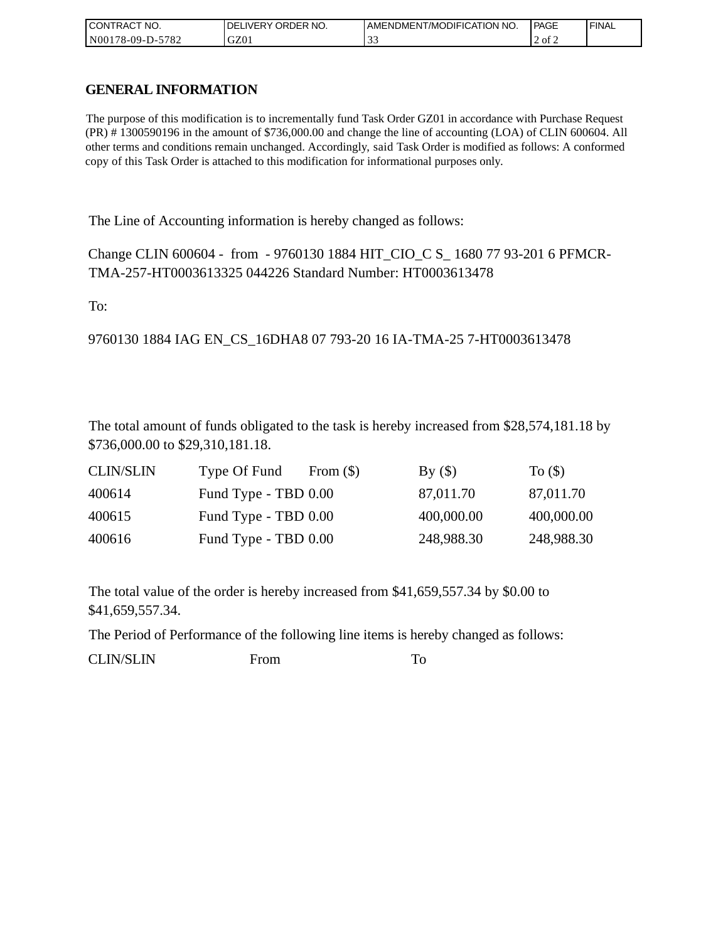| I CONTRACT NO.   | <b>IDELIVERY ORDER NO.</b> | AMENDMENT/MODIFICATION NO. | PAGE   | 'FINAL |
|------------------|----------------------------|----------------------------|--------|--------|
| N00178-09-D-5782 | GZ01                       |                            | 2 of 2 |        |

## **GENERAL INFORMATION**

The purpose of this modification is to incrementally fund Task Order GZ01 in accordance with Purchase Request (PR) # 1300590196 in the amount of \$736,000.00 and change the line of accounting (LOA) of CLIN 600604. All other terms and conditions remain unchanged. Accordingly, said Task Order is modified as follows: A conformed copy of this Task Order is attached to this modification for informational purposes only.

The Line of Accounting information is hereby changed as follows:

Change CLIN 600604 - from - 9760130 1884 HIT\_CIO\_C S\_ 1680 77 93-201 6 PFMCR-TMA-257-HT0003613325 044226 Standard Number: HT0003613478

To:

9760130 1884 IAG EN\_CS\_16DHA8 07 793-20 16 IA-TMA-25 7-HT0003613478

The total amount of funds obligated to the task is hereby increased from \$28,574,181.18 by \$736,000.00 to \$29,310,181.18.

| <b>CLIN/SLIN</b> | Type Of Fund         | From $(\$)$ | By()       | To $($ )   |
|------------------|----------------------|-------------|------------|------------|
| 400614           | Fund Type - TBD 0.00 |             | 87,011.70  | 87,011.70  |
| 400615           | Fund Type - TBD 0.00 |             | 400,000.00 | 400,000.00 |
| 400616           | Fund Type - TBD 0.00 |             | 248,988.30 | 248,988.30 |

The total value of the order is hereby increased from \$41,659,557.34 by \$0.00 to \$41,659,557.34.

The Period of Performance of the following line items is hereby changed as follows:

CLIN/SLIN From To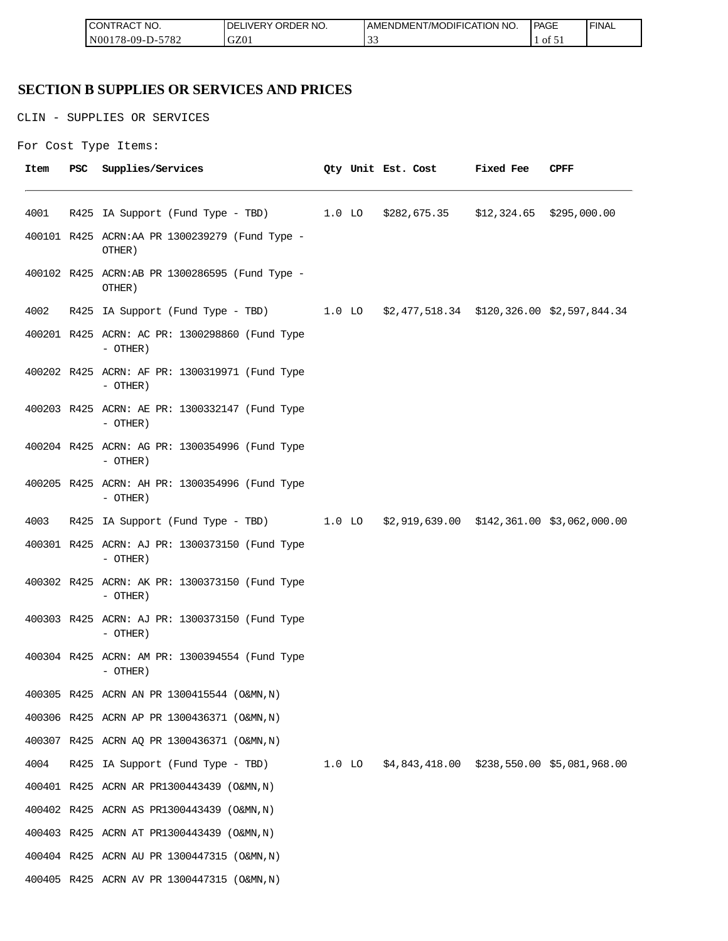| " NO.<br><b>CON</b><br>்⊤RA∟                                           | $- - -$<br>r no.<br>าR<br>א⊐ר<br>.)F<br>$V$ $\vdash$ $\vdash$<br>ີ | DMENT/MODIFICATION NO.<br>AMENL | PAGE      | <b>FINAL</b> |
|------------------------------------------------------------------------|--------------------------------------------------------------------|---------------------------------|-----------|--------------|
| 5700<br>N <sub>00</sub><br>$99 - 1$<br>$'$ O $\sim$<br>$\sim$ -<br>. . | C70<br>uzu                                                         | $\overline{\phantom{a}}$<br>ັ້  | ΟĪ<br>ـ ب |              |

## **SECTION B SUPPLIES OR SERVICES AND PRICES**

CLIN - SUPPLIES OR SERVICES

```
For Cost Type Items:
```

| Item | PSC | Supplies/Services                                                                   |  | Qty Unit Est. Cost | <b>Fixed Fee</b> | CPFF |
|------|-----|-------------------------------------------------------------------------------------|--|--------------------|------------------|------|
| 4001 |     | R425 IA Support (Fund Type - TBD) 1.0 LO \$282,675.35 \$12,324.65 \$295,000.00      |  |                    |                  |      |
|      |     | 400101 R425 ACRN:AA PR 1300239279 (Fund Type -<br>OTHER)                            |  |                    |                  |      |
|      |     | 400102 R425 ACRN:AB PR 1300286595 (Fund Type -<br>OTHER)                            |  |                    |                  |      |
| 4002 |     | R425 IA Support (Fund Type - TBD) 1.0 LO \$2,477,518.34 \$120,326.00 \$2,597,844.34 |  |                    |                  |      |
|      |     | 400201 R425 ACRN: AC PR: 1300298860 (Fund Type<br>- OTHER)                          |  |                    |                  |      |
|      |     | 400202 R425 ACRN: AF PR: 1300319971 (Fund Type<br>- OTHER)                          |  |                    |                  |      |
|      |     | 400203 R425 ACRN: AE PR: 1300332147 (Fund Type<br>$-$ OTHER)                        |  |                    |                  |      |
|      |     | 400204 R425 ACRN: AG PR: 1300354996 (Fund Type<br>- OTHER)                          |  |                    |                  |      |
|      |     | 400205 R425 ACRN: AH PR: 1300354996 (Fund Type<br>$-$ OTHER)                        |  |                    |                  |      |
| 4003 |     | R425 IA Support (Fund Type - TBD) 1.0 LO \$2,919,639.00 \$142,361.00 \$3,062,000.00 |  |                    |                  |      |
|      |     | 400301 R425 ACRN: AJ PR: 1300373150 (Fund Type<br>$-$ OTHER)                        |  |                    |                  |      |
|      |     | 400302 R425 ACRN: AK PR: 1300373150 (Fund Type<br>- OTHER)                          |  |                    |                  |      |
|      |     | 400303 R425 ACRN: AJ PR: 1300373150 (Fund Type<br>- OTHER)                          |  |                    |                  |      |
|      |     | 400304 R425 ACRN: AM PR: 1300394554 (Fund Type<br>- OTHER)                          |  |                    |                  |      |
|      |     | 400305 R425 ACRN AN PR 1300415544 (O&MN, N)                                         |  |                    |                  |      |
|      |     | 400306 R425 ACRN AP PR 1300436371 (O&MN, N)                                         |  |                    |                  |      |
|      |     | 400307 R425 ACRN AQ PR 1300436371 (O&MN, N)                                         |  |                    |                  |      |
| 4004 |     | R425 IA Support (Fund Type - TBD) 1.0 LO \$4,843,418.00 \$238,550.00 \$5,081,968.00 |  |                    |                  |      |
|      |     | 400401 R425 ACRN AR PR1300443439 (O&MN, N)                                          |  |                    |                  |      |
|      |     | 400402 R425 ACRN AS PR1300443439 (O&MN, N)                                          |  |                    |                  |      |
|      |     | 400403 R425 ACRN AT PR1300443439 (O&MN, N)                                          |  |                    |                  |      |
|      |     | 400404 R425 ACRN AU PR 1300447315 (O&MN, N)                                         |  |                    |                  |      |
|      |     | 400405 R425 ACRN AV PR 1300447315 (O&MN, N)                                         |  |                    |                  |      |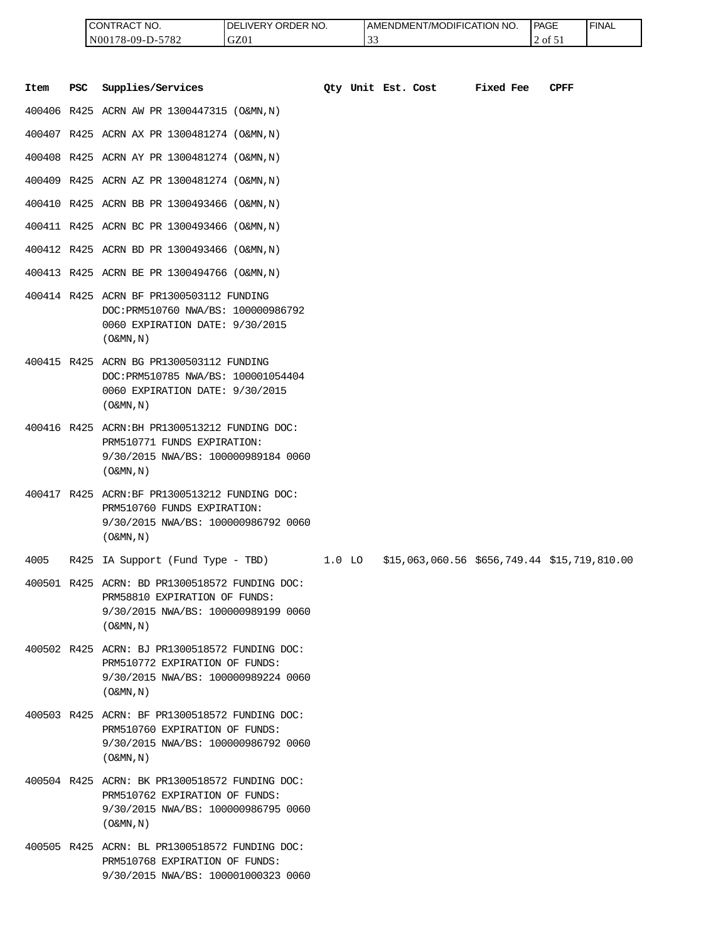| <b>I CONTRACT NO.</b> | LIVERY ORDER NO.<br>DEI | LAMENDMENT/MODIFICATION NO. | <b>PAGE</b> | ' FINAL |
|-----------------------|-------------------------|-----------------------------|-------------|---------|
| N00178-09-D-5782      | GZ01                    | $\sim$<br><u>. .</u>        | 2 of 51     |         |

|      |            | CONTRACT NO.<br>N00178-09-D-5782                                                                                                                      | DELIVERY ORDER NO.<br>GZ01 |          | 33 |                    | AMENDMENT/MODIFICATION NO.                   |           | <b>PAGE</b><br>2 of 51 | <b>FINAL</b> |
|------|------------|-------------------------------------------------------------------------------------------------------------------------------------------------------|----------------------------|----------|----|--------------------|----------------------------------------------|-----------|------------------------|--------------|
| Item | <b>PSC</b> | Supplies/Services                                                                                                                                     |                            |          |    | Qty Unit Est. Cost |                                              | Fixed Fee | <b>CPFF</b>            |              |
|      |            | 400406 R425 ACRN AW PR 1300447315 (O&MN, N)                                                                                                           |                            |          |    |                    |                                              |           |                        |              |
|      |            | 400407 R425 ACRN AX PR 1300481274 (O&MN, N)                                                                                                           |                            |          |    |                    |                                              |           |                        |              |
|      |            | 400408 R425 ACRN AY PR 1300481274 (O&MN, N)                                                                                                           |                            |          |    |                    |                                              |           |                        |              |
|      |            | 400409 R425 ACRN AZ PR 1300481274 (O&MN, N)                                                                                                           |                            |          |    |                    |                                              |           |                        |              |
|      |            | 400410 R425 ACRN BB PR 1300493466 (O&MN, N)                                                                                                           |                            |          |    |                    |                                              |           |                        |              |
|      |            | 400411 R425 ACRN BC PR 1300493466 (O&MN, N)                                                                                                           |                            |          |    |                    |                                              |           |                        |              |
|      |            | 400412 R425 ACRN BD PR 1300493466 (O&MN, N)                                                                                                           |                            |          |    |                    |                                              |           |                        |              |
|      |            | 400413 R425 ACRN BE PR 1300494766 (O&MN, N)                                                                                                           |                            |          |    |                    |                                              |           |                        |              |
|      |            | 400414 R425 ACRN BF PR1300503112 FUNDING<br>DOC: PRM510760 NWA/BS: 100000986792<br>0060 EXPIRATION DATE: 9/30/2015<br>$($ O&MN, $N$ $)$               |                            |          |    |                    |                                              |           |                        |              |
|      |            | 400415 R425 ACRN BG PR1300503112 FUNDING<br>DOC: PRM510785 NWA/BS: 100001054404<br>0060 EXPIRATION DATE: 9/30/2015<br>$($ O&MN, $N$ $)$               |                            |          |    |                    |                                              |           |                        |              |
|      |            | 400416 R425 ACRN: BH PR1300513212 FUNDING DOC:<br>PRM510771 FUNDS EXPIRATION:<br>9/30/2015 NWA/BS: 100000989184 0060<br>$($ O&MN, $N$ $)$             |                            |          |    |                    |                                              |           |                        |              |
|      |            | 400417 R425 ACRN:BF PR1300513212 FUNDING DOC:<br>PRM510760 FUNDS EXPIRATION:<br>9/30/2015 NWA/BS: 100000986792 0060<br>$($ O&MN, N)                   |                            |          |    |                    |                                              |           |                        |              |
| 4005 |            | R425 IA Support (Fund Type - TBD)                                                                                                                     |                            | $1.0$ LO |    |                    | \$15,063,060.56 \$656,749.44 \$15,719,810.00 |           |                        |              |
|      |            | 400501 R425 ACRN: BD PR1300518572 FUNDING DOC:<br>PRM58810 EXPIRATION OF FUNDS:<br>9/30/2015 NWA/BS: 100000989199 0060<br>$($ O&MN, $\overline{N}$ )  |                            |          |    |                    |                                              |           |                        |              |
|      |            | 400502 R425 ACRN: BJ PR1300518572 FUNDING DOC:<br>PRM510772 EXPIRATION OF FUNDS:<br>9/30/2015 NWA/BS: 100000989224 0060<br>$($ O&MN, $\overline{N}$ ) |                            |          |    |                    |                                              |           |                        |              |
|      |            | 400503 R425 ACRN: BF PR1300518572 FUNDING DOC:<br>PRM510760 EXPIRATION OF FUNDS:<br>9/30/2015 NWA/BS: 100000986792 0060<br>$($ O&MN, N)               |                            |          |    |                    |                                              |           |                        |              |
|      |            | 400504 R425 ACRN: BK PR1300518572 FUNDING DOC:<br>PRM510762 EXPIRATION OF FUNDS:<br>9/30/2015 NWA/BS: 100000986795 0060<br>$($ O&MN, $N$ $)$          |                            |          |    |                    |                                              |           |                        |              |
|      |            | 400505 R425 ACRN: BL PR1300518572 FUNDING DOC:<br>PRM510768 EXPIRATION OF FUNDS:<br>9/30/2015 NWA/BS: 100001000323 0060                               |                            |          |    |                    |                                              |           |                        |              |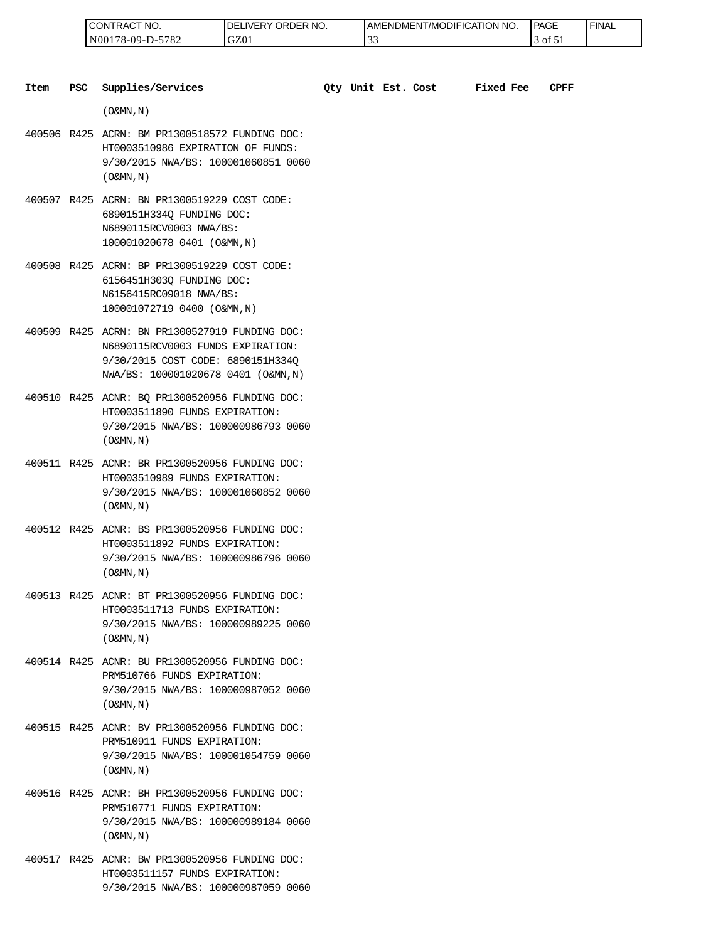| " NO.<br>LCON<br>'I RAC                         | ORDER NO.<br>ר.<br>IVER\ | AMENDMENT/MODIFICATION NO. | PAGE<br>_____ | <b>FINAL</b> |
|-------------------------------------------------|--------------------------|----------------------------|---------------|--------------|
| 5700<br>N <sub>00</sub><br>78-09-1<br>.<br>∟ه ' | GZ0                      | $\sim$<br>JJ               | ΟĪ            |              |

| Item | <b>PSC</b> | Supplies/Services                                                                                                                                               |  | Qty Unit Est. Cost | <b>Fixed Fee</b> | <b>CPFF</b> |
|------|------------|-----------------------------------------------------------------------------------------------------------------------------------------------------------------|--|--------------------|------------------|-------------|
|      |            | $($ O&MN, $\overline{N}$ )                                                                                                                                      |  |                    |                  |             |
|      |            | 400506 R425 ACRN: BM PR1300518572 FUNDING DOC:<br>HT0003510986 EXPIRATION OF FUNDS:<br>9/30/2015 NWA/BS: 100001060851 0060<br>$($ O&MN, N)                      |  |                    |                  |             |
|      |            | 400507 R425 ACRN: BN PR1300519229 COST CODE:<br>6890151H334Q FUNDING DOC:<br>N6890115RCV0003 NWA/BS:<br>100001020678 0401 (O&MN, N)                             |  |                    |                  |             |
|      |            | 400508 R425 ACRN: BP PR1300519229 COST CODE:<br>6156451H303Q FUNDING DOC:<br>N6156415RC09018 NWA/BS:<br>100001072719 0400 (O&MN, N)                             |  |                    |                  |             |
|      |            | 400509 R425 ACRN: BN PR1300527919 FUNDING DOC:<br>N6890115RCV0003 FUNDS EXPIRATION:<br>9/30/2015 COST CODE: 6890151H334O<br>NWA/BS: 100001020678 0401 (O&MN, N) |  |                    |                  |             |
|      |            | 400510 R425 ACNR: BQ PR1300520956 FUNDING DOC:<br>HT0003511890 FUNDS EXPIRATION:<br>9/30/2015 NWA/BS: 100000986793 0060<br>$($ O&MN, $N$ $)$                    |  |                    |                  |             |
|      |            | 400511 R425 ACNR: BR PR1300520956 FUNDING DOC:<br>HT0003510989 FUNDS EXPIRATION:<br>9/30/2015 NWA/BS: 100001060852 0060<br>$($ O&MN, $N$ $)$                    |  |                    |                  |             |
|      |            | 400512 R425 ACNR: BS PR1300520956 FUNDING DOC:<br>HT0003511892 FUNDS EXPIRATION:<br>9/30/2015 NWA/BS: 100000986796 0060<br>$($ O&MN, $N$ $)$                    |  |                    |                  |             |
|      |            | 400513 R425 ACNR: BT PR1300520956 FUNDING DOC:<br>HT0003511713 FUNDS EXPIRATION:<br>9/30/2015 NWA/BS: 100000989225 0060<br>$($ O&MN, N)                         |  |                    |                  |             |
|      |            | 400514 R425 ACNR: BU PR1300520956 FUNDING DOC:<br>PRM510766 FUNDS EXPIRATION:<br>9/30/2015 NWA/BS: 100000987052 0060<br>$($ O&MN, $N$ $)$                       |  |                    |                  |             |
|      |            | 400515 R425 ACNR: BV PR1300520956 FUNDING DOC:<br>PRM510911 FUNDS EXPIRATION:<br>9/30/2015 NWA/BS: 100001054759 0060<br>$($ O&MN, N)                            |  |                    |                  |             |
|      |            | 400516 R425 ACNR: BH PR1300520956 FUNDING DOC:<br>PRM510771 FUNDS EXPIRATION:<br>9/30/2015 NWA/BS: 100000989184 0060<br>$($ O&MN, N)                            |  |                    |                  |             |
|      |            |                                                                                                                                                                 |  |                    |                  |             |

400517 R425 ACNR: BW PR1300520956 FUNDING DOC: HT0003511157 FUNDS EXPIRATION: 9/30/2015 NWA/BS: 100000987059 0060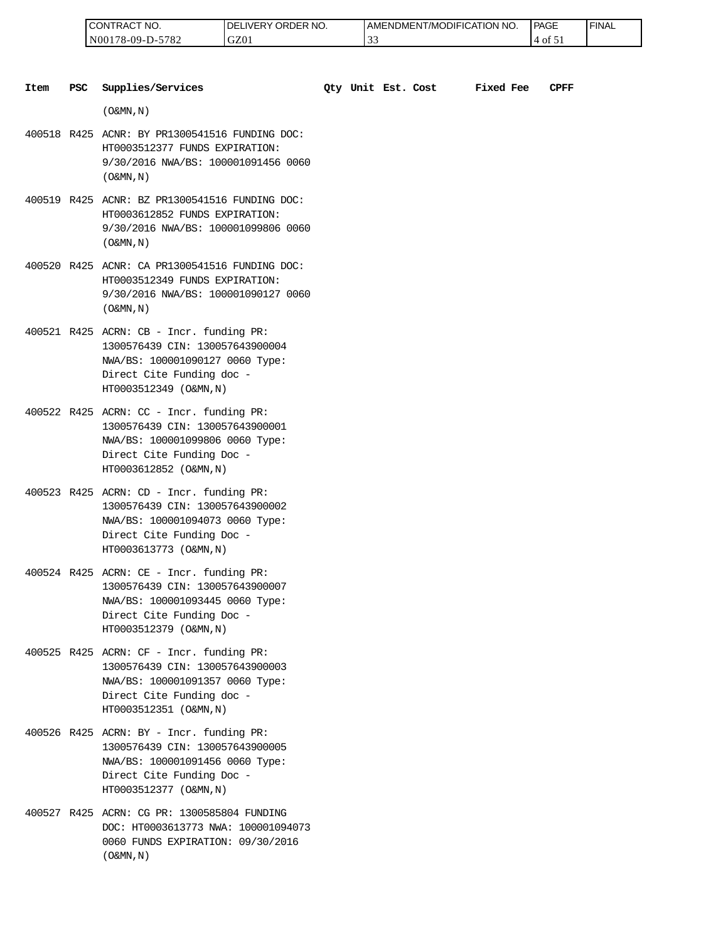| 'NO.<br>⊸∪N '<br>`I RAL            | RDER NO.<br>ר.<br>⊣∨E⊑<br>эR. | 'T/MODIFICATION NO.<br>AMENDMENT | <b>PAGE</b><br>_____           | <b>FINAL</b> |
|------------------------------------|-------------------------------|----------------------------------|--------------------------------|--------------|
| 5700<br>N(<br>'8-09-l<br>∟ه '<br>. | GZ0                           | ີ່                               | ОI<br>$\overline{\phantom{a}}$ |              |

| Item | <b>PSC</b> | Supplies/Services                                                                                                                                                     |  | Qty Unit Est. Cost | Fixed Fee | CPFF |
|------|------------|-----------------------------------------------------------------------------------------------------------------------------------------------------------------------|--|--------------------|-----------|------|
|      |            | $($ O&MN, $\overline{N}$ )                                                                                                                                            |  |                    |           |      |
|      |            | 400518 R425 ACNR: BY PR1300541516 FUNDING DOC:<br>HT0003512377 FUNDS EXPIRATION:<br>9/30/2016 NWA/BS: 100001091456 0060<br>$($ O&MN, $N$ $)$                          |  |                    |           |      |
|      |            | 400519 R425 ACNR: BZ PR1300541516 FUNDING DOC:<br>HT0003612852 FUNDS EXPIRATION:<br>9/30/2016 NWA/BS: 100001099806 0060<br>$($ O&MN, N)                               |  |                    |           |      |
|      |            | 400520 R425 ACNR: CA PR1300541516 FUNDING DOC:<br>HT0003512349 FUNDS EXPIRATION:<br>9/30/2016 NWA/BS: 100001090127 0060<br>$($ O&MN, $N$ $)$                          |  |                    |           |      |
|      |            | 400521 R425 ACRN: CB - Incr. funding PR:<br>1300576439 CIN: 130057643900004<br>NWA/BS: 100001090127 0060 Type:<br>Direct Cite Funding doc -<br>HT0003512349 (O&MN, N) |  |                    |           |      |
|      |            | 400522 R425 ACRN: CC - Incr. funding PR:<br>1300576439 CIN: 130057643900001<br>NWA/BS: 100001099806 0060 Type:<br>Direct Cite Funding Doc -<br>HT0003612852 (O&MN, N) |  |                    |           |      |
|      |            | 400523 R425 ACRN: CD - Incr. funding PR:<br>1300576439 CIN: 130057643900002<br>NWA/BS: 100001094073 0060 Type:<br>Direct Cite Funding Doc -<br>HT0003613773 (O&MN, N) |  |                    |           |      |
|      |            | 400524 R425 ACRN: CE - Incr. funding PR:<br>1300576439 CIN: 130057643900007<br>NWA/BS: 100001093445 0060 Type:<br>Direct Cite Funding Doc -<br>HT0003512379 (O&MN, N) |  |                    |           |      |
|      |            | 400525 R425 ACRN: CF - Incr. funding PR:<br>1300576439 CIN: 130057643900003<br>NWA/BS: 100001091357 0060 Type:<br>Direct Cite Funding doc -<br>HT0003512351 (O&MN, N) |  |                    |           |      |
|      |            | 400526 R425 ACRN: BY - Incr. funding PR:<br>1300576439 CIN: 130057643900005<br>NWA/BS: 100001091456 0060 Type:<br>Direct Cite Funding Doc -<br>HT0003512377 (O&MN, N) |  |                    |           |      |
|      |            | 400527 R425 ACRN: CG PR: 1300585804 FUNDING<br>DOC: HT0003613773 NWA: 100001094073<br>0060 FUNDS EXPIRATION: 09/30/2016                                               |  |                    |           |      |

 $($  O&MN , N  $)$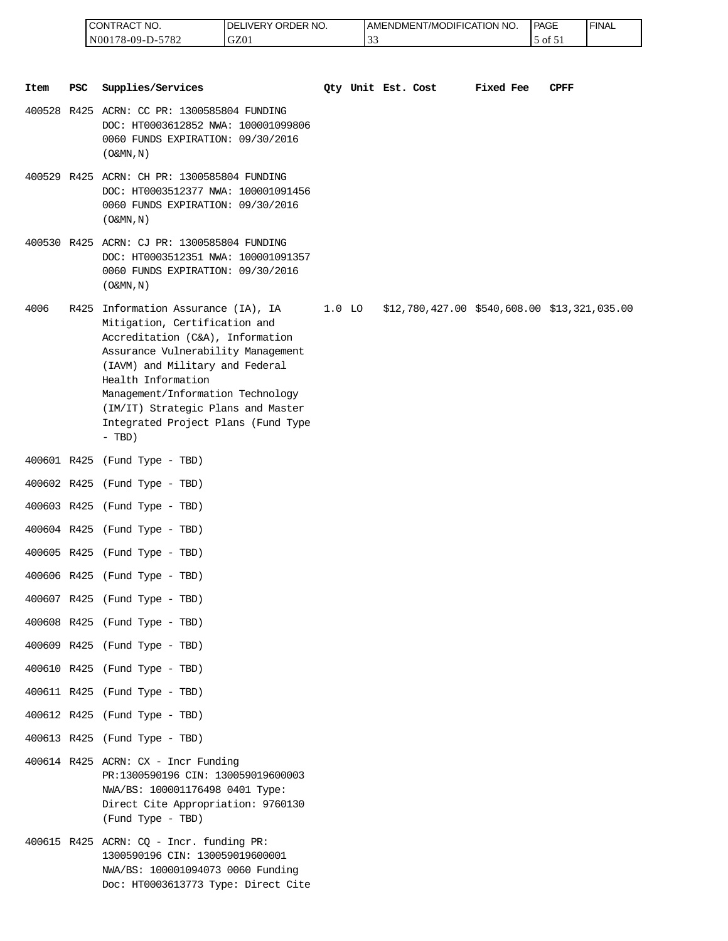| <b>ICONTRACT</b><br>NO.                      | LIVERY ORDER NO.<br>DEI | AMENDMENT/MODIFICATION NO. | <b>PAGE</b> | ' FINAL |
|----------------------------------------------|-------------------------|----------------------------|-------------|---------|
| 5782<br>N <sub>001</sub><br>$178 - 09 - D -$ | GZ01                    | $\sim$<br><u>. .</u>       | 5 of 51     |         |

| Item | PSC | Supplies/Services                                                                                                                                                                                                                                                                                                                     | Qty Unit Est. Cost |  | Fixed Fee | CPFF                                         |
|------|-----|---------------------------------------------------------------------------------------------------------------------------------------------------------------------------------------------------------------------------------------------------------------------------------------------------------------------------------------|--------------------|--|-----------|----------------------------------------------|
|      |     | 400528 R425 ACRN: CC PR: 1300585804 FUNDING<br>DOC: HT0003612852 NWA: 100001099806<br>0060 FUNDS EXPIRATION: 09/30/2016<br>$($ O&MN, N)                                                                                                                                                                                               |                    |  |           |                                              |
|      |     | 400529 R425 ACRN: CH PR: 1300585804 FUNDING<br>DOC: HT0003512377 NWA: 100001091456<br>0060 FUNDS EXPIRATION: 09/30/2016<br>$($ O&MN, N)                                                                                                                                                                                               |                    |  |           |                                              |
|      |     | 400530 R425 ACRN: CJ PR: 1300585804 FUNDING<br>DOC: HT0003512351 NWA: 100001091357<br>0060 FUNDS EXPIRATION: 09/30/2016<br>$($ O&MN, $N$ $)$                                                                                                                                                                                          |                    |  |           |                                              |
| 4006 |     | R425 Information Assurance (IA), IA<br>Mitigation, Certification and<br>Accreditation (C&A), Information<br>Assurance Vulnerability Management<br>(IAVM) and Military and Federal<br>Health Information<br>Management/Information Technology<br>(IM/IT) Strategic Plans and Master<br>Integrated Project Plans (Fund Type<br>$-$ TBD) | $1.0$ LO           |  |           | \$12,780,427.00 \$540,608.00 \$13,321,035.00 |
|      |     | 400601 R425 (Fund Type - TBD)                                                                                                                                                                                                                                                                                                         |                    |  |           |                                              |
|      |     | 400602 R425 (Fund Type - TBD)                                                                                                                                                                                                                                                                                                         |                    |  |           |                                              |
|      |     | 400603 R425 (Fund Type - TBD)                                                                                                                                                                                                                                                                                                         |                    |  |           |                                              |
|      |     | 400604 R425 (Fund Type - TBD)                                                                                                                                                                                                                                                                                                         |                    |  |           |                                              |
|      |     | 400605 R425 (Fund Type - TBD)                                                                                                                                                                                                                                                                                                         |                    |  |           |                                              |
|      |     | 400606 R425 (Fund Type - TBD)                                                                                                                                                                                                                                                                                                         |                    |  |           |                                              |
|      |     | 400607 R425 (Fund Type - TBD)                                                                                                                                                                                                                                                                                                         |                    |  |           |                                              |
|      |     | 400608 R425 (Fund Type - TBD)                                                                                                                                                                                                                                                                                                         |                    |  |           |                                              |
|      |     | 400609 R425 (Fund Type - TBD)                                                                                                                                                                                                                                                                                                         |                    |  |           |                                              |
|      |     | 400610 R425 (Fund Type - TBD)                                                                                                                                                                                                                                                                                                         |                    |  |           |                                              |
|      |     | 400611 R425 (Fund Type - TBD)                                                                                                                                                                                                                                                                                                         |                    |  |           |                                              |
|      |     | 400612 R425 (Fund Type - TBD)                                                                                                                                                                                                                                                                                                         |                    |  |           |                                              |
|      |     | 400613 R425 (Fund Type - TBD)                                                                                                                                                                                                                                                                                                         |                    |  |           |                                              |
|      |     | 400614 R425 ACRN: CX - Incr Funding<br>PR:1300590196 CIN: 130059019600003<br>NWA/BS: 100001176498 0401 Type:<br>Direct Cite Appropriation: 9760130<br>(Fund Type - TBD)                                                                                                                                                               |                    |  |           |                                              |
|      |     | 400615 R425 ACRN: CQ - Incr. funding PR:<br>1300590196 CIN: 130059019600001<br>NWA/BS: 100001094073 0060 Funding<br>Doc: HT0003613773 Type: Direct Cite                                                                                                                                                                               |                    |  |           |                                              |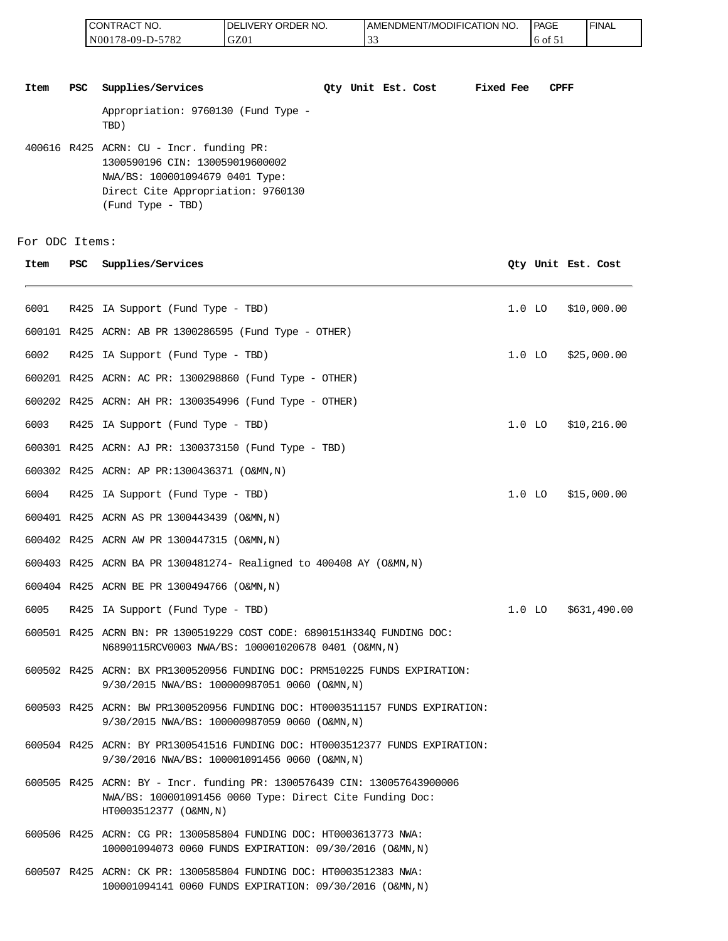| <b>CONTRACT NO.</b> | <b>IDELIVERY ORDER NO.</b> | I AMENDMENT/MODIFICATION NO. | <b>I PAGE</b> | <sup>I</sup> FINAL |
|---------------------|----------------------------|------------------------------|---------------|--------------------|
| N00178-09-D-5782    | GZ01                       |                              | $16$ of $51$  |                    |

**Item PSC Supplies/Services Qty Unit Est. Cost Fixed Fee CPFF** Appropriation: 9760130 (Fund Type - TBD) 400616 R425 ACRN: CU - Incr. funding PR: 1300590196 CIN: 130059019600002 NWA/BS: 100001094679 0401 Type: Direct Cite Appropriation: 9760130 (Fund Type - TBD)

For ODC Items:

| Item | PSC. | Supplies/Services                                                                                                                                              |          | Qty Unit Est. Cost |
|------|------|----------------------------------------------------------------------------------------------------------------------------------------------------------------|----------|--------------------|
| 6001 |      | R425 IA Support (Fund Type - TBD)                                                                                                                              | $1.0$ LO | \$10,000.00        |
|      |      | 600101 R425 ACRN: AB PR 1300286595 (Fund Type - OTHER)                                                                                                         |          |                    |
| 6002 |      | R425 IA Support (Fund Type - TBD)                                                                                                                              | $1.0$ LO | \$25,000.00        |
|      |      | 600201 R425 ACRN: AC PR: 1300298860 (Fund Type - OTHER)                                                                                                        |          |                    |
|      |      | 600202 R425 ACRN: AH PR: 1300354996 (Fund Type - OTHER)                                                                                                        |          |                    |
| 6003 |      | R425 IA Support (Fund Type - TBD)                                                                                                                              | $1.0$ LO | \$10,216.00        |
|      |      | 600301 R425 ACRN: AJ PR: 1300373150 (Fund Type - TBD)                                                                                                          |          |                    |
|      |      | 600302 R425 ACRN: AP PR:1300436371 (O&MN,N)                                                                                                                    |          |                    |
| 6004 |      | R425 IA Support (Fund Type - TBD)                                                                                                                              | $1.0$ LO | \$15,000.00        |
|      |      | 600401 R425 ACRN AS PR 1300443439 (O&MN, N)                                                                                                                    |          |                    |
|      |      | 600402 R425 ACRN AW PR 1300447315 (O&MN, N)                                                                                                                    |          |                    |
|      |      | 600403 R425 ACRN BA PR 1300481274- Realigned to 400408 AY (O&MN, N)                                                                                            |          |                    |
|      |      | 600404 R425 ACRN BE PR 1300494766 (O&MN, N)                                                                                                                    |          |                    |
| 6005 |      | R425 IA Support (Fund Type - TBD)                                                                                                                              | $1.0$ LO | \$631,490.00       |
|      |      | 600501 R425 ACRN BN: PR 1300519229 COST CODE: 6890151H334O FUNDING DOC:<br>N6890115RCV0003 NWA/BS: 100001020678 0401 (O&MN,N)                                  |          |                    |
|      |      | 600502 R425 ACRN: BX PR1300520956 FUNDING DOC: PRM510225 FUNDS EXPIRATION:<br>9/30/2015 NWA/BS: 100000987051 0060 (O&MN, N)                                    |          |                    |
|      |      | 600503 R425 ACRN: BW PR1300520956 FUNDING DOC: HT0003511157 FUNDS EXPIRATION:<br>9/30/2015 NWA/BS: 100000987059 0060 (O&MN, N)                                 |          |                    |
|      |      | 600504 R425 ACRN: BY PR1300541516 FUNDING DOC: HT0003512377 FUNDS EXPIRATION:<br>9/30/2016 NWA/BS: 100001091456 0060 (O&MN,N)                                  |          |                    |
|      |      | 600505 R425 ACRN: BY - Incr. funding PR: 1300576439 CIN: 130057643900006<br>NWA/BS: 100001091456 0060 Type: Direct Cite Funding Doc:<br>HT0003512377 (O&MN, N) |          |                    |
|      |      | 600506 R425 ACRN: CG PR: 1300585804 FUNDING DOC: HT0003613773 NWA:<br>100001094073 0060 FUNDS EXPIRATION: 09/30/2016 (O&MN,N)                                  |          |                    |
|      |      | 600507 R425 ACRN: CK PR: 1300585804 FUNDING DOC: HT0003512383 NWA:                                                                                             |          |                    |

100001094141 0060 FUNDS EXPIRATION: 09/30/2016 (O&MN,N)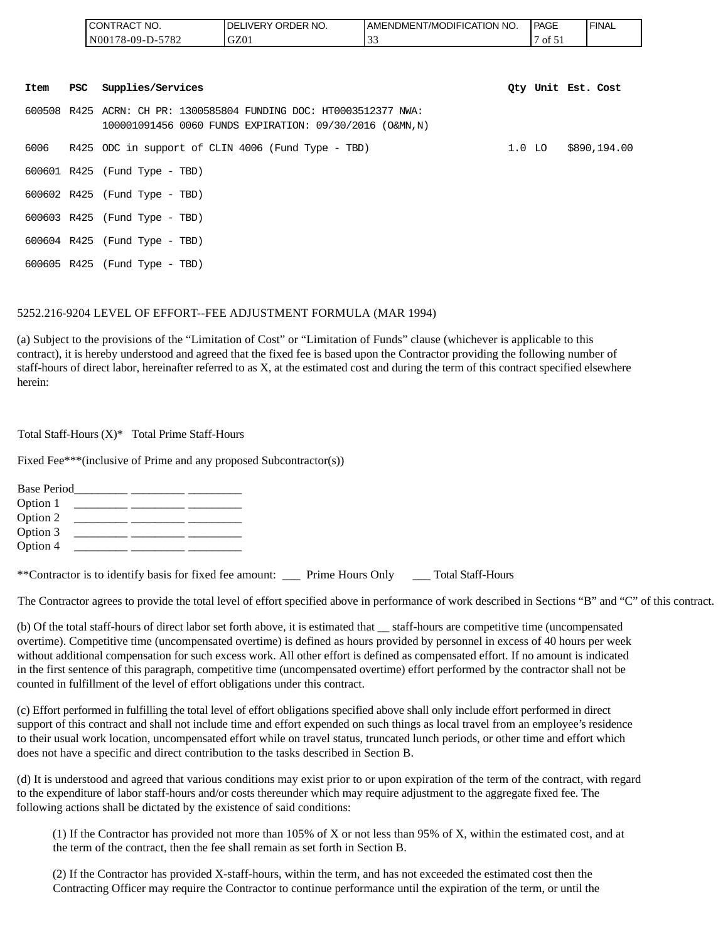|      |     | CONTRACT NO.                  | DELIVERY ORDER NO.                                                                                                            | AMENDMENT/MODIFICATION NO. | <b>PAGE</b>        | <b>FINAL</b> |
|------|-----|-------------------------------|-------------------------------------------------------------------------------------------------------------------------------|----------------------------|--------------------|--------------|
|      |     | N00178-09-D-5782              | GZ01                                                                                                                          | 33                         | 7 of 51            |              |
| Item | PSC | Supplies/Services             |                                                                                                                               |                            | Oty Unit Est. Cost |              |
|      |     |                               |                                                                                                                               |                            |                    |              |
|      |     |                               | 600508 R425 ACRN: CH PR: 1300585804 FUNDING DOC: HT0003512377 NWA:<br>100001091456 0060 FUNDS EXPIRATION: 09/30/2016 (O&MN,N) |                            |                    |              |
|      |     |                               | 6006 R425 ODC in support of CLIN 4006 (Fund Type - TBD)                                                                       |                            | $1.0$ LO           | \$890,194.00 |
|      |     | 600601 R425 (Fund Type - TBD) |                                                                                                                               |                            |                    |              |
|      |     | 600602 R425 (Fund Type - TBD) |                                                                                                                               |                            |                    |              |
|      |     | 600603 R425 (Fund Type - TBD) |                                                                                                                               |                            |                    |              |
|      |     | 600604 R425 (Fund Type - TBD) |                                                                                                                               |                            |                    |              |
|      |     | 600605 R425 (Fund Type - TBD) |                                                                                                                               |                            |                    |              |

#### 5252.216-9204 LEVEL OF EFFORT--FEE ADJUSTMENT FORMULA (MAR 1994)

(a) Subject to the provisions of the "Limitation of Cost" or "Limitation of Funds" clause (whichever is applicable to this contract), it is hereby understood and agreed that the fixed fee is based upon the Contractor providing the following number of staff-hours of direct labor, hereinafter referred to as X, at the estimated cost and during the term of this contract specified elsewhere herein:

Total Staff-Hours (X)\* Total Prime Staff-Hours

Fixed Fee\*\*\*(inclusive of Prime and any proposed Subcontractor(s))

| <b>Base Period</b> |  |  |
|--------------------|--|--|
| Option 1           |  |  |
| Option 2           |  |  |
| Option 3           |  |  |
| Option 4           |  |  |

\*\*Contractor is to identify basis for fixed fee amount: \_\_\_ Prime Hours Only \_\_\_ Total Staff-Hours

The Contractor agrees to provide the total level of effort specified above in performance of work described in Sections "B" and "C" of this contract.

(b) Of the total staff-hours of direct labor set forth above, it is estimated that \_\_ staff-hours are competitive time (uncompensated overtime). Competitive time (uncompensated overtime) is defined as hours provided by personnel in excess of 40 hours per week without additional compensation for such excess work. All other effort is defined as compensated effort. If no amount is indicated in the first sentence of this paragraph, competitive time (uncompensated overtime) effort performed by the contractor shall not be counted in fulfillment of the level of effort obligations under this contract.

(c) Effort performed in fulfilling the total level of effort obligations specified above shall only include effort performed in direct support of this contract and shall not include time and effort expended on such things as local travel from an employee's residence to their usual work location, uncompensated effort while on travel status, truncated lunch periods, or other time and effort which does not have a specific and direct contribution to the tasks described in Section B.

(d) It is understood and agreed that various conditions may exist prior to or upon expiration of the term of the contract, with regard to the expenditure of labor staff-hours and/or costs thereunder which may require adjustment to the aggregate fixed fee. The following actions shall be dictated by the existence of said conditions:

(1) If the Contractor has provided not more than 105% of X or not less than 95% of X, within the estimated cost, and at the term of the contract, then the fee shall remain as set forth in Section B.

(2) If the Contractor has provided X-staff-hours, within the term, and has not exceeded the estimated cost then the Contracting Officer may require the Contractor to continue performance until the expiration of the term, or until the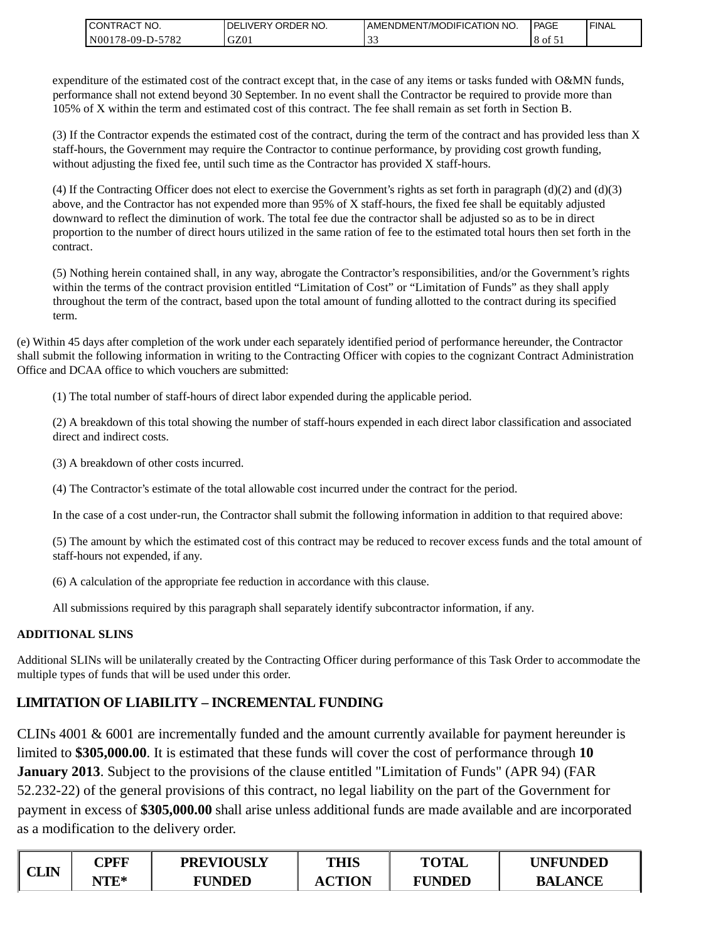| <b>I CONTRACT NO.</b>   | Y ORDER NO.<br><b>DELIVERY</b> | AMENDMENT/MODIFICATION NO. | <b>PAGE</b> | <b>FINAL</b> |
|-------------------------|--------------------------------|----------------------------|-------------|--------------|
| 5782<br>$NO0178-09-D$ - | GZ01                           | . J .                      | 8 of 51     |              |

expenditure of the estimated cost of the contract except that, in the case of any items or tasks funded with O&MN funds, performance shall not extend beyond 30 September. In no event shall the Contractor be required to provide more than 105% of X within the term and estimated cost of this contract. The fee shall remain as set forth in Section B.

(3) If the Contractor expends the estimated cost of the contract, during the term of the contract and has provided less than X staff-hours, the Government may require the Contractor to continue performance, by providing cost growth funding, without adjusting the fixed fee, until such time as the Contractor has provided X staff-hours.

(4) If the Contracting Officer does not elect to exercise the Government's rights as set forth in paragraph  $(d)(2)$  and  $(d)(3)$ above, and the Contractor has not expended more than 95% of X staff-hours, the fixed fee shall be equitably adjusted downward to reflect the diminution of work. The total fee due the contractor shall be adjusted so as to be in direct proportion to the number of direct hours utilized in the same ration of fee to the estimated total hours then set forth in the contract.

(5) Nothing herein contained shall, in any way, abrogate the Contractor's responsibilities, and/or the Government's rights within the terms of the contract provision entitled "Limitation of Cost" or "Limitation of Funds" as they shall apply throughout the term of the contract, based upon the total amount of funding allotted to the contract during its specified term.

(e) Within 45 days after completion of the work under each separately identified period of performance hereunder, the Contractor shall submit the following information in writing to the Contracting Officer with copies to the cognizant Contract Administration Office and DCAA office to which vouchers are submitted:

(1) The total number of staff-hours of direct labor expended during the applicable period.

(2) A breakdown of this total showing the number of staff-hours expended in each direct labor classification and associated direct and indirect costs.

(3) A breakdown of other costs incurred.

(4) The Contractor's estimate of the total allowable cost incurred under the contract for the period.

In the case of a cost under-run, the Contractor shall submit the following information in addition to that required above:

(5) The amount by which the estimated cost of this contract may be reduced to recover excess funds and the total amount of staff-hours not expended, if any.

(6) A calculation of the appropriate fee reduction in accordance with this clause.

All submissions required by this paragraph shall separately identify subcontractor information, if any.

### **ADDITIONAL SLINS**

Additional SLINs will be unilaterally created by the Contracting Officer during performance of this Task Order to accommodate the multiple types of funds that will be used under this order.

## **LIMITATION OF LIABILITY – INCREMENTAL FUNDING**

CLINs 4001 & 6001 are incrementally funded and the amount currently available for payment hereunder is limited to **\$305,000.00**. It is estimated that these funds will cover the cost of performance through **10 January 2013**. Subject to the provisions of the clause entitled "Limitation of Funds" (APR 94) (FAR 52.232-22) of the general provisions of this contract, no legal liability on the part of the Government for payment in excess of **\$305,000.00** shall arise unless additional funds are made available and are incorporated as a modification to the delivery order.

| CLIN | CPFF         | <b>PREVIOUSLY</b> | THIS          | <b>TOTAL</b>  | <b>UNFUNDED</b> |
|------|--------------|-------------------|---------------|---------------|-----------------|
|      | $\rm{VTE}^*$ | <b>FUNDED</b>     | <b>ACTION</b> | <b>FUNDED</b> | <b>BALANCE</b>  |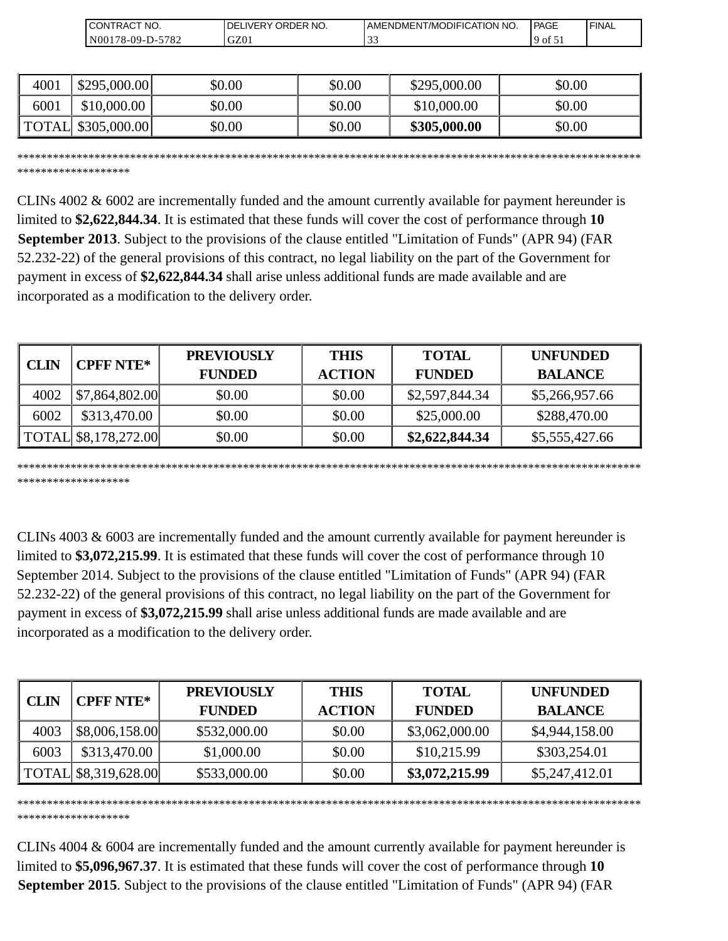| 'NO.<br>$\mathcal{L}$ ONT<br>TRACT | ORDER NO.<br>DF<br>۸/F۲ | `NO<br>ODIFICATION '<br>DMENT/MC<br>. AMENI | <b>IPAGE</b> | 'FINAL |
|------------------------------------|-------------------------|---------------------------------------------|--------------|--------|
| 5782<br>$_{\rm N00}$<br>$78-09-L$  | GZ0                     | ີ່                                          | 9 of         |        |

| 4001 | \$295,000.00        | \$0.00 | \$0.00 | \$295,000.00 | \$0.00 |
|------|---------------------|--------|--------|--------------|--------|
| 6001 | \$10,000.00         | \$0.00 | \$0.00 | \$10,000.00  | \$0.00 |
|      | TOTAL \\$305,000.00 | \$0.00 | \$0.00 | \$305,000.00 | \$0.00 |

\*\*\*\*\*\*\*\*\*\*\*\*\*\*\*\*\*\*\*\*\*\*\*\*\*\*\*\*\*\*\*\*\*\*\*\*\*\*\*\*\*\*\*\*\*\*\*\*\*\*\*\*\*\*\*\*\*\*\*\*\*\*\*\*\*\*\*\*\*\*\*\*\*\*\*\*\*\*\*\*\*\*\*\*\*\*\*\*\*\*\*\*\*\*\*\*\*\*\*\*\*\*\*\*\*

\*\*\*\*\*\*\*\*\*\*\*\*\*\*\*\*\*\*\*

CLINs 4002 & 6002 are incrementally funded and the amount currently available for payment hereunder is limited to **\$2,622,844.34**. It is estimated that these funds will cover the cost of performance through **10 September 2013**. Subject to the provisions of the clause entitled "Limitation of Funds" (APR 94) (FAR 52.232-22) of the general provisions of this contract, no legal liability on the part of the Government for payment in excess of **\$2,622,844.34** shall arise unless additional funds are made available and are incorporated as a modification to the delivery order.

| CLIN | <b>CPFF NTE*</b>     | <b>PREVIOUSLY</b><br><b>FUNDED</b> | <b>THIS</b><br><b>ACTION</b> | <b>TOTAL</b><br><b>FUNDED</b> | <b>UNFUNDED</b><br><b>BALANCE</b> |
|------|----------------------|------------------------------------|------------------------------|-------------------------------|-----------------------------------|
| 4002 | \$7,864,802.00       | \$0.00                             | \$0.00                       | \$2,597,844.34                | \$5,266,957.66                    |
| 6002 | \$313,470.00         | \$0.00                             | \$0.00                       | \$25,000.00                   | \$288,470.00                      |
|      | TOTAL \$8,178,272.00 | \$0.00                             | \$0.00                       | \$2,622,844.34                | \$5,555,427.66                    |

\*\*\*\*\*\*\*\*\*\*\*\*\*\*\*\*\*\*\*\*\*\*\*\*\*\*\*\*\*\*\*\*\*\*\*\*\*\*\*\*\*\*\*\*\*\*\*\*\*\*\*\*\*\*\*\*\*\*\*\*\*\*\*\*\*\*\*\*\*\*\*\*\*\*\*\*\*\*\*\*\*\*\*\*\*\*\*\*\*\*\*\*\*\*\*\*\*\*\*\*\*\*\*\*\* \*\*\*\*\*\*\*\*\*\*\*\*\*\*\*\*\*\*\*

CLINs 4003 & 6003 are incrementally funded and the amount currently available for payment hereunder is limited to **\$3,072,215.99**. It is estimated that these funds will cover the cost of performance through 10 September 2014. Subject to the provisions of the clause entitled "Limitation of Funds" (APR 94) (FAR 52.232-22) of the general provisions of this contract, no legal liability on the part of the Government for payment in excess of **\$3,072,215.99** shall arise unless additional funds are made available and are incorporated as a modification to the delivery order.

| CLIN | <b>CPFF NTE*</b>     | <b>PREVIOUSLY</b> | <b>THIS</b>   | <b>TOTAL</b>   | <b>UNFUNDED</b> |
|------|----------------------|-------------------|---------------|----------------|-----------------|
|      |                      | <b>FUNDED</b>     | <b>ACTION</b> | <b>FUNDED</b>  | <b>BALANCE</b>  |
| 4003 | \$8,006,158.00       | \$532,000.00      | \$0.00        | \$3,062,000.00 | \$4,944,158.00  |
| 6003 | \$313,470.00         | \$1,000.00        | \$0.00        | \$10,215.99    | \$303,254.01    |
|      | TOTAL \$8,319,628.00 | \$533,000.00      | \$0.00        | \$3,072,215.99 | \$5,247,412.01  |

\*\*\*\*\*\*\*\*\*\*\*\*\*\*\*\*\*\*\*\*\*\*\*\*\*\*\*\*\*\*\*\*\*\*\*\*\*\*\*\*\*\*\*\*\*\*\*\*\*\*\*\*\*\*\*\*\*\*\*\*\*\*\*\*\*\*\*\*\*\*\*\*\*\*\*\*\*\*\*\*\*\*\*\*\*\*\*\*\*\*\*\*\*\*\*\*\*\*\*\*\*\*\*\*\* \*\*\*\*\*\*\*\*\*\*\*\*\*\*\*\*\*\*\*

CLINs 4004 & 6004 are incrementally funded and the amount currently available for payment hereunder is limited to **\$5,096,967.37**. It is estimated that these funds will cover the cost of performance through **10 September 2015**. Subject to the provisions of the clause entitled "Limitation of Funds" (APR 94) (FAR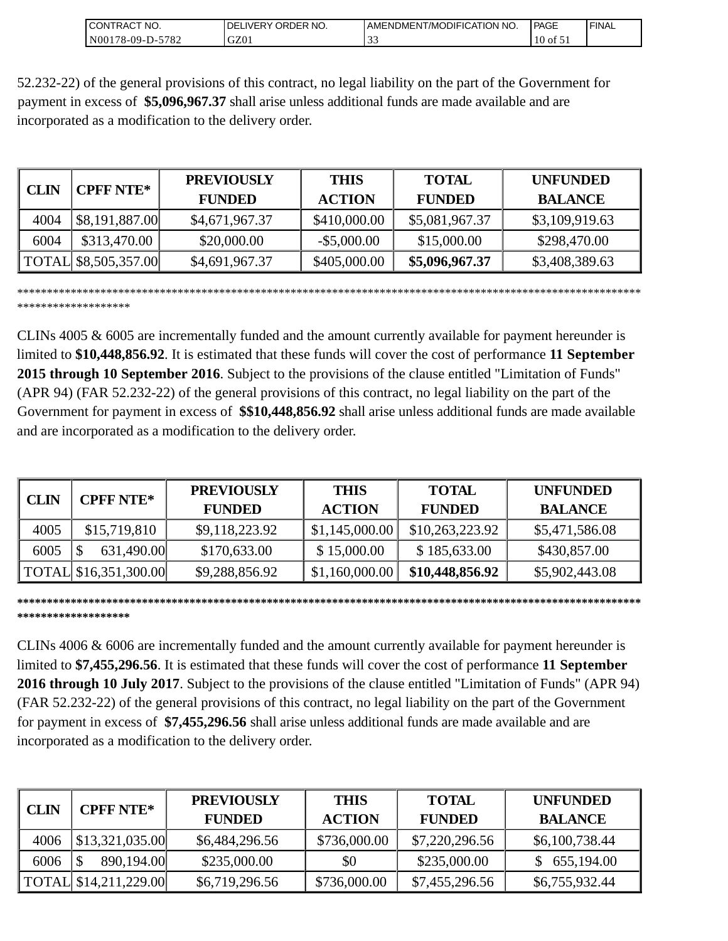| `NO.<br>CONT<br>"RAC                                   | ORDER NO.<br>-LIVER` | 'NO.<br>I AMENDMENT/MODIFICATION | PAGE     | 'FINAL |
|--------------------------------------------------------|----------------------|----------------------------------|----------|--------|
| 5701<br>N <sub>001</sub><br>$78-09-D-$<br>$'$ O $\sim$ | GZ01                 | $\sim$<br><u>. .</u>             | ΟĪ<br>10 |        |

52.232-22) of the general provisions of this contract, no legal liability on the part of the Government for payment in excess of **\$5,096,967.37** shall arise unless additional funds are made available and are incorporated as a modification to the delivery order.

|             | <b>CPFF NTE*</b>     | <b>PREVIOUSLY</b> | <b>THIS</b>    | <b>TOTAL</b>   | <b>UNFUNDED</b> |
|-------------|----------------------|-------------------|----------------|----------------|-----------------|
| <b>CLIN</b> |                      | <b>FUNDED</b>     | <b>ACTION</b>  | <b>FUNDED</b>  | <b>BALANCE</b>  |
| 4004        | \$8,191,887.00       | \$4,671,967.37    | \$410,000.00   | \$5,081,967.37 | \$3,109,919.63  |
| 6004        | \$313,470.00         | \$20,000.00       | $-$ \$5,000.00 | \$15,000.00    | \$298,470.00    |
|             | TOTAL \$8,505,357.00 | \$4,691,967.37    | \$405,000.00   | \$5,096,967.37 | \$3,408,389.63  |

\*\*\*\*\*\*\*\*\*\*\*\*\*\*\*\*\*\*\*\*\*\*\*\*\*\*\*\*\*\*\*\*\*\*\*\*\*\*\*\*\*\*\*\*\*\*\*\*\*\*\*\*\*\*\*\*\*\*\*\*\*\*\*\*\*\*\*\*\*\*\*\*\*\*\*\*\*\*\*\*\*\*\*\*\*\*\*\*\*\*\*\*\*\*\*\*\*\*\*\*\*\*\*\*\* \*\*\*\*\*\*\*\*\*\*\*\*\*\*\*\*\*\*\*

CLINs 4005 & 6005 are incrementally funded and the amount currently available for payment hereunder is limited to **\$10,448,856.92**. It is estimated that these funds will cover the cost of performance **11 September 2015 through 10 September 2016**. Subject to the provisions of the clause entitled "Limitation of Funds" (APR 94) (FAR 52.232-22) of the general provisions of this contract, no legal liability on the part of the Government for payment in excess of **\$\$10,448,856.92** shall arise unless additional funds are made available and are incorporated as a modification to the delivery order.

| <b>CLIN</b> | <b>CPFF NTE*</b>        | <b>PREVIOUSLY</b><br><b>FUNDED</b> | <b>THIS</b><br><b>ACTION</b> | <b>TOTAL</b><br><b>FUNDED</b> | <b>UNFUNDED</b><br><b>BALANCE</b> |
|-------------|-------------------------|------------------------------------|------------------------------|-------------------------------|-----------------------------------|
| 4005        | \$15,719,810            | \$9,118,223.92                     | \$1,145,000.00               | \$10,263,223.92               | \$5,471,586.08                    |
| 6005        | 631,490.00              | \$170,633.00                       | \$15,000.00                  | \$185,633.00                  | \$430,857.00                      |
|             | TOTAL   \$16,351,300.00 | \$9,288,856.92                     | \$1,160,000.00               | \$10,448,856.92               | \$5,902,443.08                    |

**\*\*\*\*\*\*\*\*\*\*\*\*\*\*\*\*\*\*\*\*\*\*\*\*\*\*\*\*\*\*\*\*\*\*\*\*\*\*\*\*\*\*\*\*\*\*\*\*\*\*\*\*\*\*\*\*\*\*\*\*\*\*\*\*\*\*\*\*\*\*\*\*\*\*\*\*\*\*\*\*\*\*\*\*\*\*\*\*\*\*\*\*\*\*\*\*\*\*\*\*\*\*\*\*\* \*\*\*\*\*\*\*\*\*\*\*\*\*\*\*\*\*\*\***

CLINs 4006 & 6006 are incrementally funded and the amount currently available for payment hereunder is limited to **\$7,455,296.56**. It is estimated that these funds will cover the cost of performance **11 September 2016 through 10 July 2017**. Subject to the provisions of the clause entitled "Limitation of Funds" (APR 94) (FAR 52.232-22) of the general provisions of this contract, no legal liability on the part of the Government for payment in excess of **\$7,455,296.56** shall arise unless additional funds are made available and are incorporated as a modification to the delivery order.

| <b>CLIN</b> | <b>CPFF NTE*</b>        | <b>PREVIOUSLY</b><br><b>FUNDED</b> | <b>THIS</b><br><b>ACTION</b> | <b>TOTAL</b><br><b>FUNDED</b> | <b>UNFUNDED</b><br><b>BALANCE</b> |
|-------------|-------------------------|------------------------------------|------------------------------|-------------------------------|-----------------------------------|
| 4006        | \$13,321,035.00         | \$6,484,296.56                     | \$736,000.00                 | \$7,220,296.56                | \$6,100,738.44                    |
| 6006        | 890,194.00              | \$235,000.00                       | \$0                          | \$235,000.00                  | 655,194.00                        |
|             | TOTAL   \$14,211,229.00 | \$6,719,296.56                     | \$736,000.00                 | \$7,455,296.56                | \$6,755,932.44                    |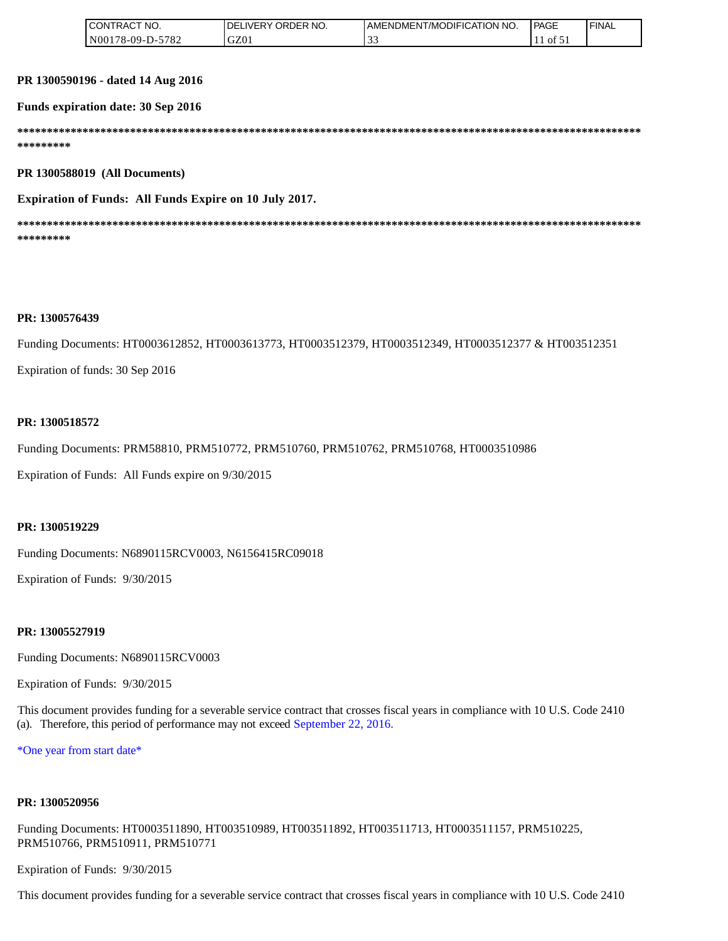| " NO.<br>CONTRACT' | `NO.<br>ORDER<br>DE<br>⊥LIVERY. | AMENDMENT/MODIFICATION NO. | <b>PAGE</b>           | ' FINAL |
|--------------------|---------------------------------|----------------------------|-----------------------|---------|
| N00178-09-D-5782   | GZ01                            |                            | $\cdot$ tot $\circ$ . |         |

**PR 1300590196 - dated 14 Aug 2016** 

**Funds expiration date: 30 Sep 2016**

**\*\*\*\*\*\*\*\*\*\*\*\*\*\*\*\*\*\*\*\*\*\*\*\*\*\*\*\*\*\*\*\*\*\*\*\*\*\*\*\*\*\*\*\*\*\*\*\*\*\*\*\*\*\*\*\*\*\*\*\*\*\*\*\*\*\*\*\*\*\*\*\*\*\*\*\*\*\*\*\*\*\*\*\*\*\*\*\*\*\*\*\*\*\*\*\*\*\*\*\*\*\*\*\*\* \*\*\*\*\*\*\*\*\*** 

**PR 1300588019 (All Documents)**

**Expiration of Funds: All Funds Expire on 10 July 2017.**

**\*\*\*\*\*\*\*\*\*\*\*\*\*\*\*\*\*\*\*\*\*\*\*\*\*\*\*\*\*\*\*\*\*\*\*\*\*\*\*\*\*\*\*\*\*\*\*\*\*\*\*\*\*\*\*\*\*\*\*\*\*\*\*\*\*\*\*\*\*\*\*\*\*\*\*\*\*\*\*\*\*\*\*\*\*\*\*\*\*\*\*\*\*\*\*\*\*\*\*\*\*\*\*\*\* \*\*\*\*\*\*\*\*\***

#### **PR: 1300576439**

Funding Documents: HT0003612852, HT0003613773, HT0003512379, HT0003512349, HT0003512377 & HT003512351

Expiration of funds: 30 Sep 2016

#### **PR: 1300518572**

Funding Documents: PRM58810, PRM510772, PRM510760, PRM510762, PRM510768, HT0003510986

Expiration of Funds: All Funds expire on 9/30/2015

#### **PR: 1300519229**

Funding Documents: N6890115RCV0003, N6156415RC09018

Expiration of Funds: 9/30/2015

#### **PR: 13005527919**

Funding Documents: N6890115RCV0003

Expiration of Funds: 9/30/2015

This document provides funding for a severable service contract that crosses fiscal years in compliance with 10 U.S. Code 2410 (a). Therefore, this period of performance may not exceed September 22, 2016.

\*One year from start date\*

#### **PR: 1300520956**

Funding Documents: HT0003511890, HT003510989, HT003511892, HT003511713, HT0003511157, PRM510225, PRM510766, PRM510911, PRM510771

Expiration of Funds: 9/30/2015

This document provides funding for a severable service contract that crosses fiscal years in compliance with 10 U.S. Code 2410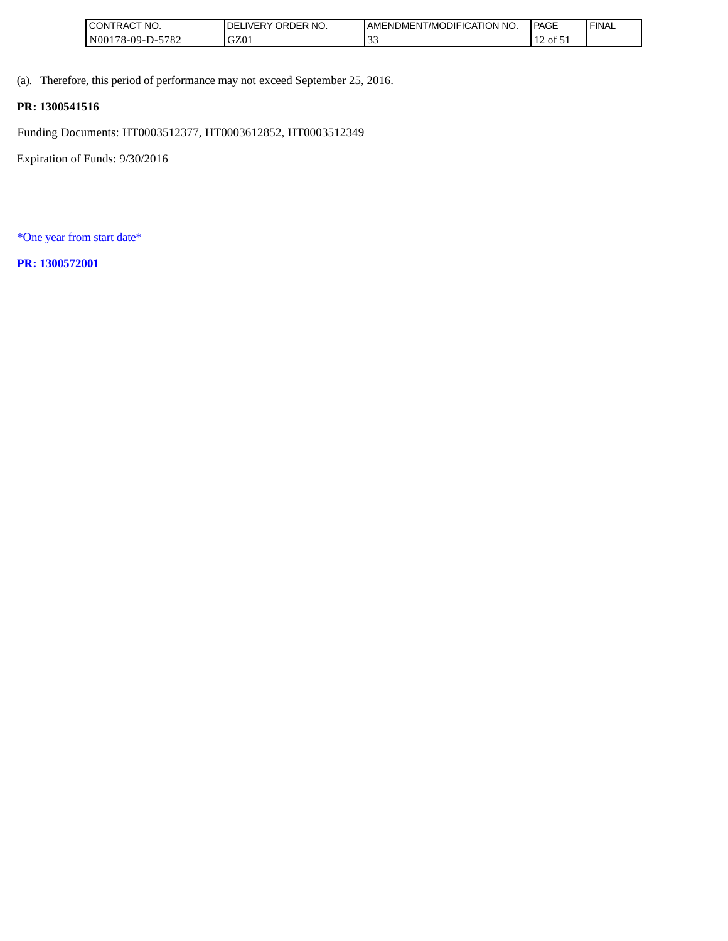| 'NO.<br>CONTRAC.      | NO.<br>ORDER<br>.∟iVERY 1<br>DE. | T/MODIFICATION NO.<br>AMENDMENT | <b>PAGE</b> | ' FINAL |
|-----------------------|----------------------------------|---------------------------------|-------------|---------|
| 5782<br>N00178-09-D-3 | GZ01                             | $\sim$                          | of 5<br>. . |         |

(a). Therefore, this period of performance may not exceed September 25, 2016.

## **PR: 1300541516**

Funding Documents: HT0003512377, HT0003612852, HT0003512349

Expiration of Funds: 9/30/2016

\*One year from start date\*

**PR: 1300572001**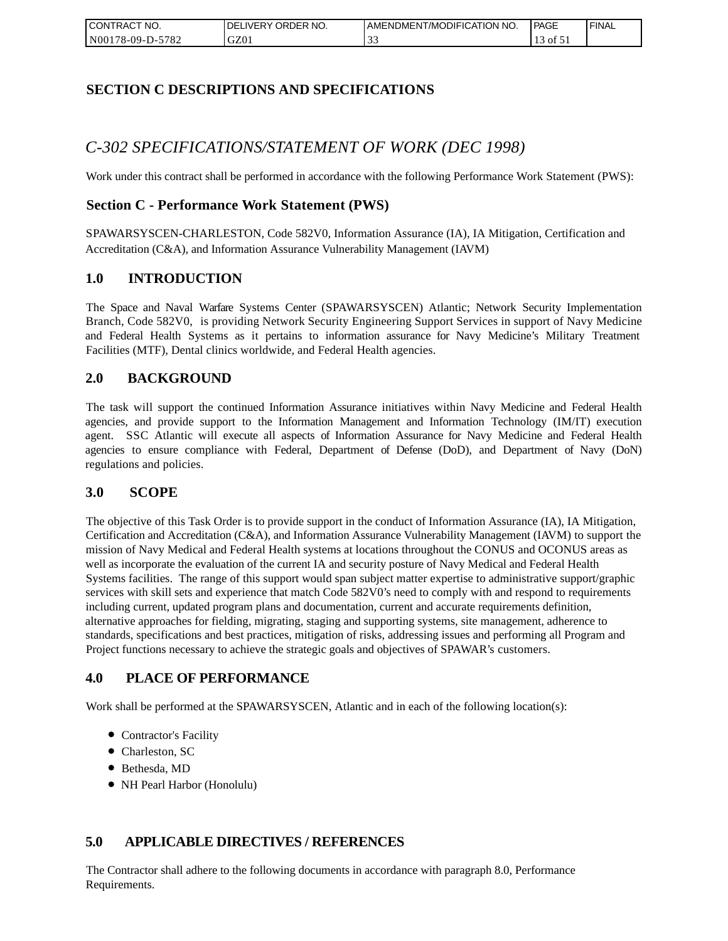| I CONTRACT NO.         | ORDER<br>NO.<br><b>IVERY</b><br>DELI | AMENDMENT/MODIFICATION NO. | l PAGE | ' FINAL |
|------------------------|--------------------------------------|----------------------------|--------|---------|
| N00178-09-D-5<br>-5782 | GZ01                                 | <u>. .</u>                 | ΟĪ     |         |

## **SECTION C DESCRIPTIONS AND SPECIFICATIONS**

# *C-302 SPECIFICATIONS/STATEMENT OF WORK (DEC 1998)*

Work under this contract shall be performed in accordance with the following Performance Work Statement (PWS):

## **Section C - Performance Work Statement (PWS)**

SPAWARSYSCEN-CHARLESTON, Code 582V0, Information Assurance (IA), IA Mitigation, Certification and Accreditation (C&A), and Information Assurance Vulnerability Management (IAVM)

### **1.0 INTRODUCTION**

The Space and Naval Warfare Systems Center (SPAWARSYSCEN) Atlantic; Network Security Implementation Branch, Code 582V0, is providing Network Security Engineering Support Services in support of Navy Medicine and Federal Health Systems as it pertains to information assurance for Navy Medicine's Military Treatment Facilities (MTF), Dental clinics worldwide, and Federal Health agencies.

## **2.0 BACKGROUND**

The task will support the continued Information Assurance initiatives within Navy Medicine and Federal Health agencies, and provide support to the Information Management and Information Technology (IM/IT) execution agent. SSC Atlantic will execute all aspects of Information Assurance for Navy Medicine and Federal Health agencies to ensure compliance with Federal, Department of Defense (DoD), and Department of Navy (DoN) regulations and policies.

### **3.0 SCOPE**

The objective of this Task Order is to provide support in the conduct of Information Assurance (IA), IA Mitigation, Certification and Accreditation (C&A), and Information Assurance Vulnerability Management (IAVM) to support the mission of Navy Medical and Federal Health systems at locations throughout the CONUS and OCONUS areas as well as incorporate the evaluation of the current IA and security posture of Navy Medical and Federal Health Systems facilities. The range of this support would span subject matter expertise to administrative support/graphic services with skill sets and experience that match Code 582V0's need to comply with and respond to requirements including current, updated program plans and documentation, current and accurate requirements definition, alternative approaches for fielding, migrating, staging and supporting systems, site management, adherence to standards, specifications and best practices, mitigation of risks, addressing issues and performing all Program and Project functions necessary to achieve the strategic goals and objectives of SPAWAR's customers.

## **4.0 PLACE OF PERFORMANCE**

Work shall be performed at the SPAWARSYSCEN, Atlantic and in each of the following location(s):

- Contractor's Facility
- Charleston, SC
- Bethesda, MD
- NH Pearl Harbor (Honolulu)

## **5.0 APPLICABLE DIRECTIVES / REFERENCES**

The Contractor shall adhere to the following documents in accordance with paragraph 8.0, Performance Requirements.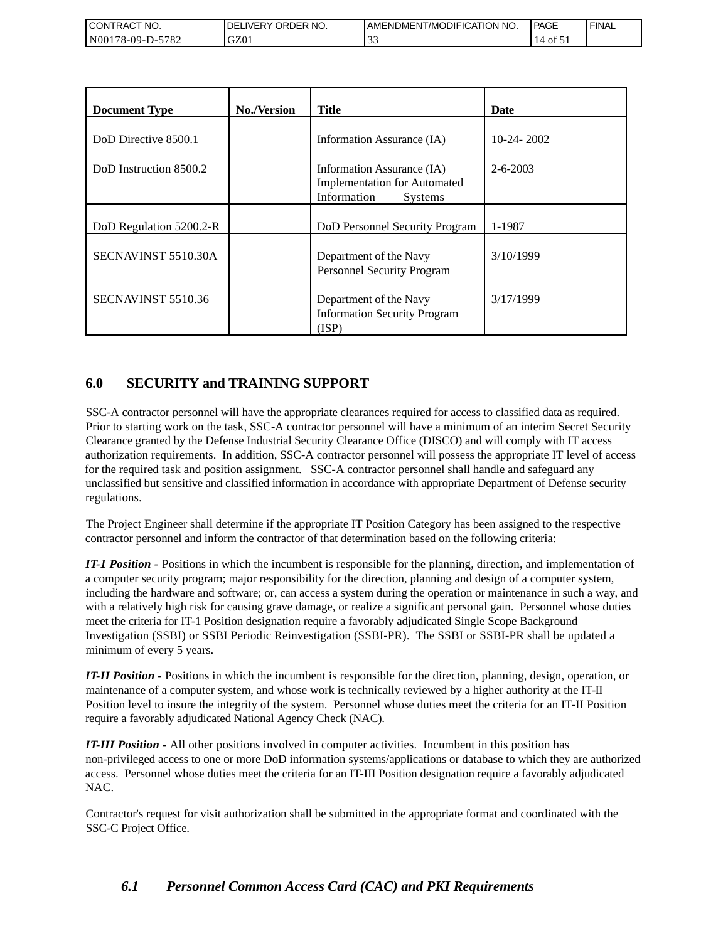| <b>CONTRACT NO.</b>                                | NO.<br>' ORDER<br>DELIVERY | AMENDMENT/MODIFICATION NO. | <b>PAGE</b> | <b>FINAL</b> |
|----------------------------------------------------|----------------------------|----------------------------|-------------|--------------|
| 5782<br>N <sub>00</sub><br>′8-09-I<br>$\mathbf{L}$ | GZ01                       | . J .                      | Οİ          |              |

| <b>Document Type</b>    | <b>No./Version</b> | <b>Title</b>                                                                                       | Date           |
|-------------------------|--------------------|----------------------------------------------------------------------------------------------------|----------------|
| DoD Directive 8500.1    |                    | Information Assurance (IA)                                                                         | $10-24-2002$   |
| DoD Instruction 8500.2  |                    | Information Assurance (IA)<br><b>Implementation for Automated</b><br>Information<br><b>Systems</b> | $2 - 6 - 2003$ |
| DoD Regulation 5200.2-R |                    | DoD Personnel Security Program                                                                     | 1-1987         |
| SECNAVINST 5510.30A     |                    | Department of the Navy<br>Personnel Security Program                                               | 3/10/1999      |
| SECNAVINST 5510.36      |                    | Department of the Navy<br><b>Information Security Program</b><br>(ISP)                             | 3/17/1999      |

## **6.0 SECURITY and TRAINING SUPPORT**

SSC-A contractor personnel will have the appropriate clearances required for access to classified data as required. Prior to starting work on the task, SSC-A contractor personnel will have a minimum of an interim Secret Security Clearance granted by the Defense Industrial Security Clearance Office (DISCO) and will comply with IT access authorization requirements. In addition, SSC-A contractor personnel will possess the appropriate IT level of access for the required task and position assignment. SSC-A contractor personnel shall handle and safeguard any unclassified but sensitive and classified information in accordance with appropriate Department of Defense security regulations.

The Project Engineer shall determine if the appropriate IT Position Category has been assigned to the respective contractor personnel and inform the contractor of that determination based on the following criteria:

*IT-1 Position -* Positions in which the incumbent is responsible for the planning, direction, and implementation of a computer security program; major responsibility for the direction, planning and design of a computer system, including the hardware and software; or, can access a system during the operation or maintenance in such a way, and with a relatively high risk for causing grave damage, or realize a significant personal gain. Personnel whose duties meet the criteria for IT-1 Position designation require a favorably adjudicated Single Scope Background Investigation (SSBI) or SSBI Periodic Reinvestigation (SSBI-PR). The SSBI or SSBI-PR shall be updated a minimum of every 5 years.

*IT-II Position -* Positions in which the incumbent is responsible for the direction, planning, design, operation, or maintenance of a computer system, and whose work is technically reviewed by a higher authority at the IT-II Position level to insure the integrity of the system. Personnel whose duties meet the criteria for an IT-II Position require a favorably adjudicated National Agency Check (NAC).

*IT-III Position -* All other positions involved in computer activities. Incumbent in this position has non-privileged access to one or more DoD information systems/applications or database to which they are authorized access. Personnel whose duties meet the criteria for an IT-III Position designation require a favorably adjudicated NAC.

Contractor's request for visit authorization shall be submitted in the appropriate format and coordinated with the SSC-C Project Office.

## *6.1 Personnel Common Access Card (CAC) and PKI Requirements*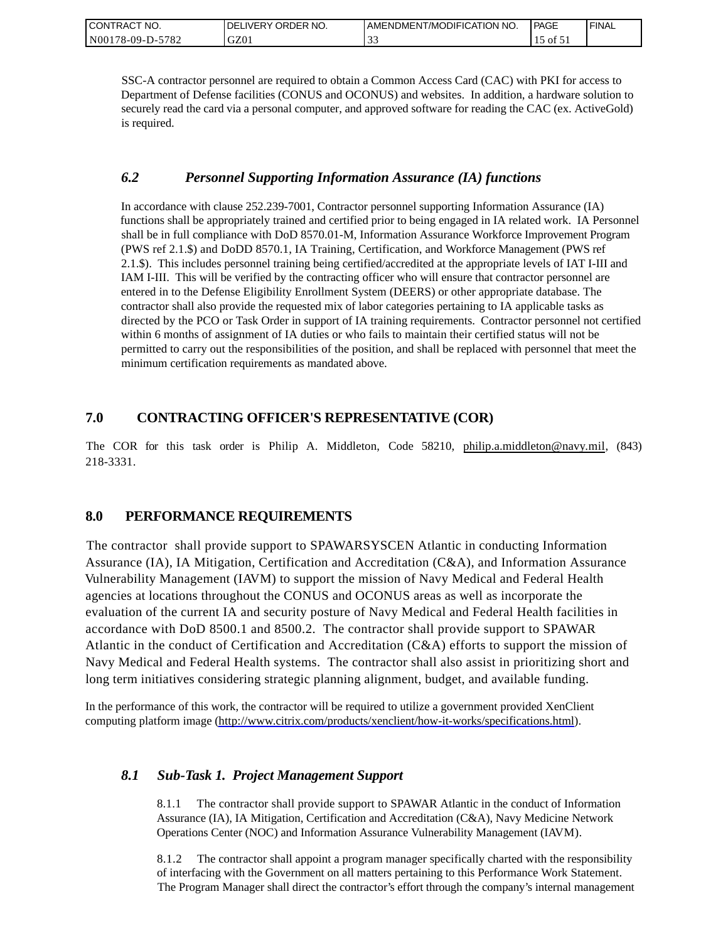| CONTRACT NO.     | ORDER NO.<br><b>IDELIVERY</b> | I AMENDMENT/MODIFICATION NO. | PAGE                | ' FINAL |
|------------------|-------------------------------|------------------------------|---------------------|---------|
| N00178-09-D-5782 | GZ01                          | $\sim$<br>ີ~                 | $\sim$ 01 $\circ$ . |         |

SSC-A contractor personnel are required to obtain a Common Access Card (CAC) with PKI for access to Department of Defense facilities (CONUS and OCONUS) and websites. In addition, a hardware solution to securely read the card via a personal computer, and approved software for reading the CAC (ex. ActiveGold) is required.

### *6.2 Personnel Supporting Information Assurance (IA) functions*

In accordance with clause 252.239-7001, Contractor personnel supporting Information Assurance (IA) functions shall be appropriately trained and certified prior to being engaged in IA related work. IA Personnel shall be in full compliance with DoD 8570.01-M, Information Assurance Workforce Improvement Program (PWS ref 2.1.\$) and DoDD 8570.1, IA Training, Certification, and Workforce Management (PWS ref 2.1.\$). This includes personnel training being certified/accredited at the appropriate levels of IAT I-III and IAM I-III. This will be verified by the contracting officer who will ensure that contractor personnel are entered in to the Defense Eligibility Enrollment System (DEERS) or other appropriate database. The contractor shall also provide the requested mix of labor categories pertaining to IA applicable tasks as directed by the PCO or Task Order in support of IA training requirements. Contractor personnel not certified within 6 months of assignment of IA duties or who fails to maintain their certified status will not be permitted to carry out the responsibilities of the position, and shall be replaced with personnel that meet the minimum certification requirements as mandated above.

## **7.0 CONTRACTING OFFICER'S REPRESENTATIVE (COR)**

The COR for this task order is Philip A. Middleton, Code 58210, [philip.a.middleton@navy.mil,](mailto:cphilip.a.middleton@navy.mil) (843) 218-3331.

## **8.0 PERFORMANCE REQUIREMENTS**

The contractor shall provide support to SPAWARSYSCEN Atlantic in conducting Information Assurance (IA), IA Mitigation, Certification and Accreditation (C&A), and Information Assurance Vulnerability Management (IAVM) to support the mission of Navy Medical and Federal Health agencies at locations throughout the CONUS and OCONUS areas as well as incorporate the evaluation of the current IA and security posture of Navy Medical and Federal Health facilities in accordance with DoD 8500.1 and 8500.2. The contractor shall provide support to SPAWAR Atlantic in the conduct of Certification and Accreditation (C&A) efforts to support the mission of Navy Medical and Federal Health systems. The contractor shall also assist in prioritizing short and long term initiatives considering strategic planning alignment, budget, and available funding.

In the performance of this work, the contractor will be required to utilize a government provided XenClient computing platform image [\(http://www.citrix.com/products/xenclient/how-it-works/specifications.html\)](http://www.citrix.com/products/xenclient/how-it-works/specifications.html).

### *8.1 Sub-Task 1. Project Management Support*

8.1.1 The contractor shall provide support to SPAWAR Atlantic in the conduct of Information Assurance (IA), IA Mitigation, Certification and Accreditation (C&A), Navy Medicine Network Operations Center (NOC) and Information Assurance Vulnerability Management (IAVM).

8.1.2 The contractor shall appoint a program manager specifically charted with the responsibility of interfacing with the Government on all matters pertaining to this Performance Work Statement. The Program Manager shall direct the contractor's effort through the company's internal management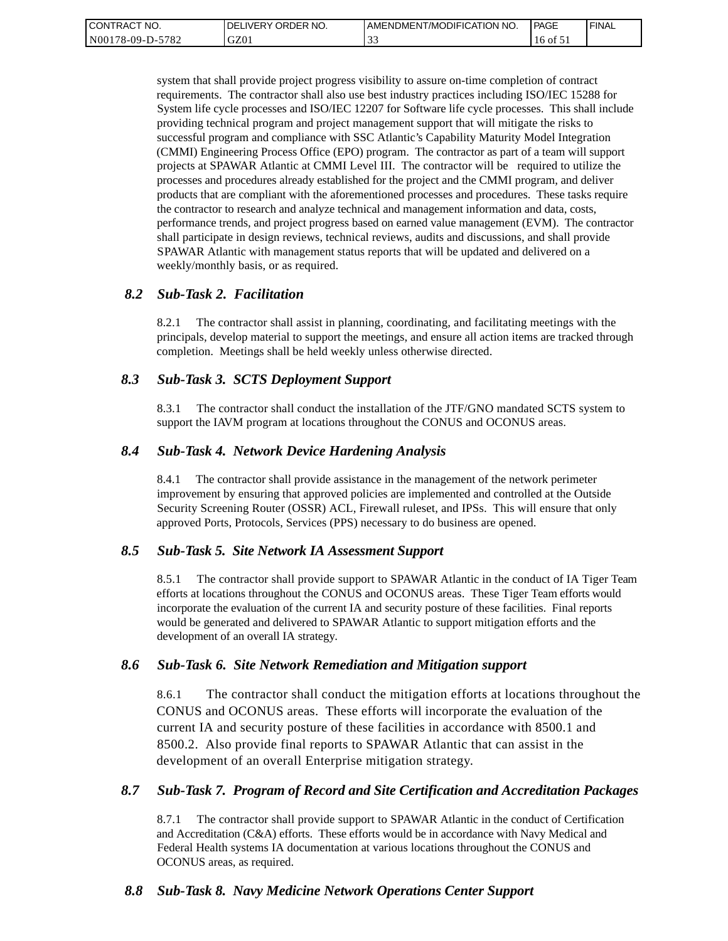| <b>CONTRACT</b><br>" NO. | ' ORDER NO.<br><b>DELIVERY</b> | I AMENDMENT/MODIFICATION NO. | PAGE     | ' FINAL |
|--------------------------|--------------------------------|------------------------------|----------|---------|
| N00178-09-D-5782         | GZ01                           | $\sim$<br>. J .              | 16 of 51 |         |

system that shall provide project progress visibility to assure on-time completion of contract requirements. The contractor shall also use best industry practices including ISO/IEC 15288 for System life cycle processes and ISO/IEC 12207 for Software life cycle processes. This shall include providing technical program and project management support that will mitigate the risks to successful program and compliance with SSC Atlantic's Capability Maturity Model Integration (CMMI) Engineering Process Office (EPO) program. The contractor as part of a team will support projects at SPAWAR Atlantic at CMMI Level III. The contractor will be required to utilize the processes and procedures already established for the project and the CMMI program, and deliver products that are compliant with the aforementioned processes and procedures. These tasks require the contractor to research and analyze technical and management information and data, costs, performance trends, and project progress based on earned value management (EVM). The contractor shall participate in design reviews, technical reviews, audits and discussions, and shall provide SPAWAR Atlantic with management status reports that will be updated and delivered on a weekly/monthly basis, or as required.

#### *8.2 Sub-Task 2. Facilitation*

8.2.1 The contractor shall assist in planning, coordinating, and facilitating meetings with the principals, develop material to support the meetings, and ensure all action items are tracked through completion. Meetings shall be held weekly unless otherwise directed.

### *8.3 Sub-Task 3. SCTS Deployment Support*

8.3.1 The contractor shall conduct the installation of the JTF/GNO mandated SCTS system to support the IAVM program at locations throughout the CONUS and OCONUS areas.

#### *8.4 Sub-Task 4. Network Device Hardening Analysis*

8.4.1 The contractor shall provide assistance in the management of the network perimeter improvement by ensuring that approved policies are implemented and controlled at the Outside Security Screening Router (OSSR) ACL, Firewall ruleset, and IPSs. This will ensure that only approved Ports, Protocols, Services (PPS) necessary to do business are opened.

#### *8.5 Sub-Task 5. Site Network IA Assessment Support*

8.5.1 The contractor shall provide support to SPAWAR Atlantic in the conduct of IA Tiger Team efforts at locations throughout the CONUS and OCONUS areas. These Tiger Team efforts would incorporate the evaluation of the current IA and security posture of these facilities. Final reports would be generated and delivered to SPAWAR Atlantic to support mitigation efforts and the development of an overall IA strategy.

#### *8.6 Sub-Task 6. Site Network Remediation and Mitigation support*

8.6.1 The contractor shall conduct the mitigation efforts at locations throughout the CONUS and OCONUS areas. These efforts will incorporate the evaluation of the current IA and security posture of these facilities in accordance with 8500.1 and 8500.2. Also provide final reports to SPAWAR Atlantic that can assist in the development of an overall Enterprise mitigation strategy.

#### *8.7 Sub-Task 7. Program of Record and Site Certification and Accreditation Packages*

8.7.1 The contractor shall provide support to SPAWAR Atlantic in the conduct of Certification and Accreditation (C&A) efforts. These efforts would be in accordance with Navy Medical and Federal Health systems IA documentation at various locations throughout the CONUS and OCONUS areas, as required.

### *8.8 Sub-Task 8. Navy Medicine Network Operations Center Support*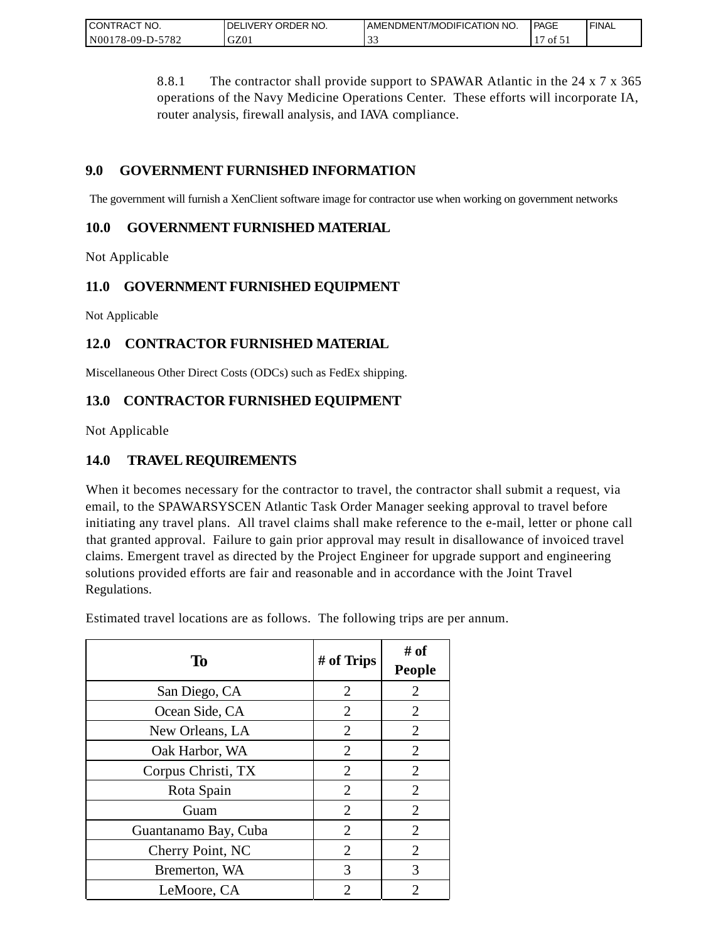| CONTRACT<br>" NO.                       | ORDER NO.<br><b>DELIVERY</b> | AMENDMENT/MODIFICATION NO. | PAGE | <b>FINAL</b> |
|-----------------------------------------|------------------------------|----------------------------|------|--------------|
| $-5782$<br>N <sub>00</sub><br>/8-09-D-5 | GZ0.                         | ີ~                         | ΟĪ   |              |

8.8.1 The contractor shall provide support to SPAWAR Atlantic in the 24 x 7 x 365 operations of the Navy Medicine Operations Center. These efforts will incorporate IA, router analysis, firewall analysis, and IAVA compliance.

## **9.0 GOVERNMENT FURNISHED INFORMATION**

The government will furnish a XenClient software image for contractor use when working on government networks

## **10.0 GOVERNMENT FURNISHED MATERIAL**

Not Applicable

## **11.0 GOVERNMENT FURNISHED EQUIPMENT**

Not Applicable

## **12.0 CONTRACTOR FURNISHED MATERIAL**

Miscellaneous Other Direct Costs (ODCs) such as FedEx shipping.

## **13.0 CONTRACTOR FURNISHED EQUIPMENT**

Not Applicable

## **14.0 TRAVEL REQUIREMENTS**

When it becomes necessary for the contractor to travel, the contractor shall submit a request, via email, to the SPAWARSYSCEN Atlantic Task Order Manager seeking approval to travel before initiating any travel plans. All travel claims shall make reference to the e-mail, letter or phone call that granted approval. Failure to gain prior approval may result in disallowance of invoiced travel claims. Emergent travel as directed by the Project Engineer for upgrade support and engineering solutions provided efforts are fair and reasonable and in accordance with the Joint Travel Regulations.

Estimated travel locations are as follows. The following trips are per annum.

| To                   | # of Trips     | # of<br><b>People</b> |
|----------------------|----------------|-----------------------|
| San Diego, CA        | $\overline{2}$ | $\overline{2}$        |
| Ocean Side, CA       | $\overline{2}$ | $\overline{2}$        |
| New Orleans, LA      | 2              | 2                     |
| Oak Harbor, WA       | $\overline{2}$ | $\overline{2}$        |
| Corpus Christi, TX   | 2              | $\overline{2}$        |
| Rota Spain           | $\overline{2}$ | $\overline{2}$        |
| Guam                 | $\overline{2}$ | $\overline{2}$        |
| Guantanamo Bay, Cuba | 2              | $\overline{2}$        |
| Cherry Point, NC     | $\overline{2}$ | $\overline{2}$        |
| Bremerton, WA        | 3              | 3                     |
| LeMoore, CA          | 2              | 2                     |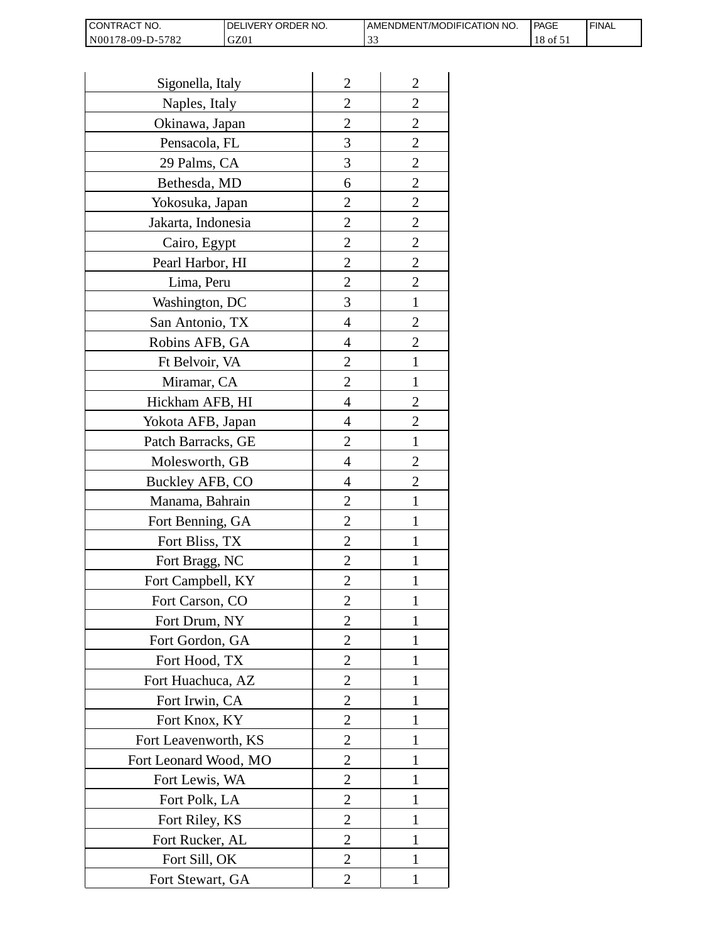| I CONTRACT NO.   | <b>IDELIVERY ORDER NO.</b> | AMENDMENT/MODIFICATION NO. | PAGE     | 'FINAL |
|------------------|----------------------------|----------------------------|----------|--------|
| N00178-09-D-5782 | GZ01                       |                            | 18 of 51 |        |

| Sigonella, Italy      | $\overline{2}$ | $\overline{c}$ |
|-----------------------|----------------|----------------|
| Naples, Italy         | $\overline{2}$ | $\overline{2}$ |
| Okinawa, Japan        | $\overline{2}$ | $\overline{c}$ |
| Pensacola, FL         | 3              | $\overline{c}$ |
| 29 Palms, CA          | 3              | $\overline{2}$ |
| Bethesda, MD          | 6              | $\overline{2}$ |
| Yokosuka, Japan       | 2              | $\overline{c}$ |
| Jakarta, Indonesia    | $\overline{c}$ | $\overline{c}$ |
| Cairo, Egypt          | $\overline{2}$ | $\overline{c}$ |
| Pearl Harbor, HI      | $\overline{2}$ | $\overline{2}$ |
| Lima, Peru            | $\overline{2}$ | $\overline{2}$ |
| Washington, DC        | 3              | $\mathbf{1}$   |
| San Antonio, TX       | 4              | $\overline{c}$ |
| Robins AFB, GA        | 4              | $\overline{c}$ |
| Ft Belvoir, VA        | $\overline{2}$ | $\mathbf{1}$   |
| Miramar, CA           | 2              | 1              |
| Hickham AFB, HI       | 4              | $\overline{2}$ |
| Yokota AFB, Japan     | 4              | $\overline{c}$ |
| Patch Barracks, GE    | $\overline{2}$ | $\mathbf{1}$   |
| Molesworth, GB        | 4              | $\overline{2}$ |
| Buckley AFB, CO       | 4              | $\overline{c}$ |
| Manama, Bahrain       | $\overline{c}$ | 1              |
| Fort Benning, GA      | $\overline{2}$ | 1              |
| Fort Bliss, TX        | $\overline{2}$ | 1              |
| Fort Bragg, NC        | $\overline{2}$ | 1              |
| Fort Campbell, KY     | 2              | 1              |
| Fort Carson, CO       | $\overline{c}$ |                |
| Fort Drum, NY         | $\overline{2}$ | 1              |
| Fort Gordon, GA       | $\overline{2}$ | 1              |
| Fort Hood, TX         | 2              | 1              |
| Fort Huachuca, AZ     | 2              | 1              |
| Fort Irwin, CA        | 2              | 1              |
| Fort Knox, KY         | $\overline{2}$ | 1              |
| Fort Leavenworth, KS  | $\overline{2}$ | 1              |
| Fort Leonard Wood, MO | 2              | 1              |
| Fort Lewis, WA        | $\overline{2}$ | 1              |
| Fort Polk, LA         | $\overline{c}$ | 1              |
| Fort Riley, KS        | $\overline{c}$ | 1              |
| Fort Rucker, AL       | $\overline{2}$ | 1              |
| Fort Sill, OK         | 2              | 1              |
| Fort Stewart, GA      | 2              | 1              |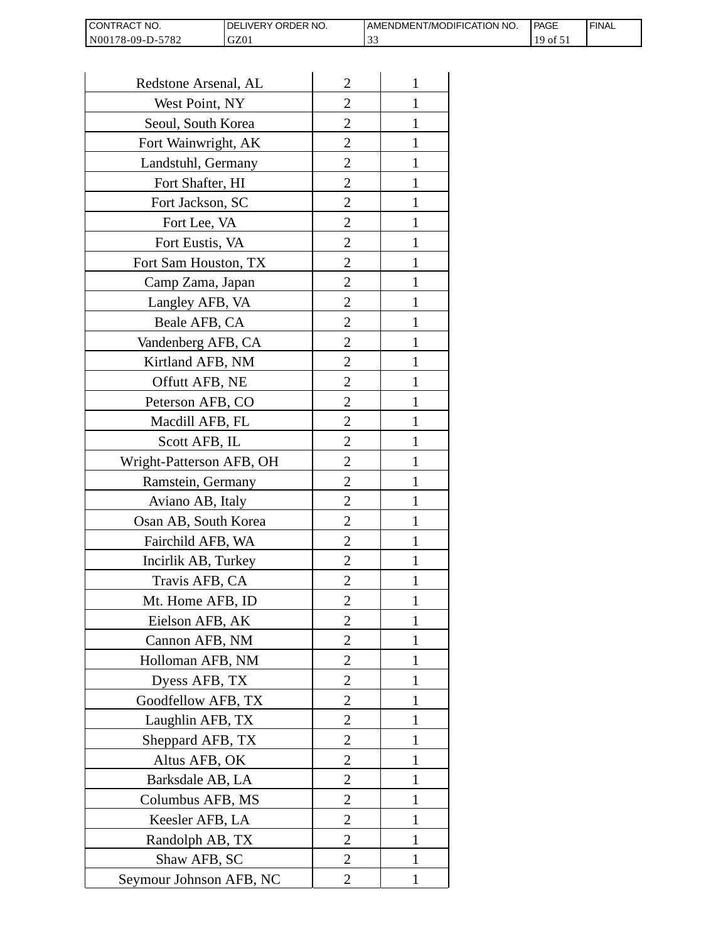| <b>I CONTRACT NO.</b> | `NO.<br>DELIVERY ORDER | I AMENDMENT/MODIFICATION NO. | l PAGE | <b>FINAL</b> |
|-----------------------|------------------------|------------------------------|--------|--------------|
| N00178-09-D-5782      | GZ01                   | . J .                        | 190t   |              |

| Redstone Arsenal, AL     | $\overline{2}$ | 1            |
|--------------------------|----------------|--------------|
| West Point, NY           | $\overline{2}$ | 1            |
| Seoul, South Korea       | $\overline{2}$ | 1            |
| Fort Wainwright, AK      | $\overline{c}$ | 1            |
| Landstuhl, Germany       | $\overline{2}$ | 1            |
| Fort Shafter, HI         | $\overline{2}$ | 1            |
| Fort Jackson, SC         | 2              | 1            |
| Fort Lee, VA             | 2              | 1            |
| Fort Eustis, VA          | 2              | 1            |
| Fort Sam Houston, TX     | $\overline{c}$ | 1            |
| Camp Zama, Japan         | $\overline{2}$ | 1            |
| Langley AFB, VA          | $\overline{2}$ | 1            |
| Beale AFB, CA            | $\overline{c}$ | 1            |
| Vandenberg AFB, CA       | 2              | 1            |
| Kirtland AFB, NM         | $\overline{2}$ | 1            |
| Offutt AFB, NE           | $\overline{2}$ | 1            |
| Peterson AFB, CO         | 2              | 1            |
| Macdill AFB, FL          | $\overline{2}$ | 1            |
| Scott AFB, IL            | 2              | 1            |
| Wright-Patterson AFB, OH | $\overline{2}$ | 1            |
| Ramstein, Germany        | $\overline{2}$ | 1            |
| Aviano AB, Italy         | 2              |              |
| Osan AB, South Korea     | 2              | 1            |
| Fairchild AFB, WA        | $\overline{2}$ | 1            |
| Incirlik AB, Turkey      | 2              | 1            |
| Travis AFB, CA           | 2              |              |
| Mt. Home AFB, ID         | 2              |              |
| Eielson AFB, AK          | $\overline{2}$ | 1            |
| Cannon AFB, NM           | $\overline{2}$ | $\mathbf{1}$ |
| Holloman AFB, NM         | $\overline{2}$ | 1            |
| Dyess AFB, TX            | 2              | 1            |
| Goodfellow AFB, TX       | 2              | 1            |
| Laughlin AFB, TX         | 2              | 1            |
| Sheppard AFB, TX         | $\overline{c}$ | 1            |
| Altus AFB, OK            | $\overline{2}$ | 1            |
| Barksdale AB, LA         | $\overline{2}$ | 1            |
| Columbus AFB, MS         | $\overline{2}$ | 1            |
| Keesler AFB, LA          | 2              | 1            |
| Randolph AB, TX          | $\overline{2}$ | $\mathbf{1}$ |
| Shaw AFB, SC             | $\overline{2}$ | 1            |
| Seymour Johnson AFB, NC  | 2              | 1            |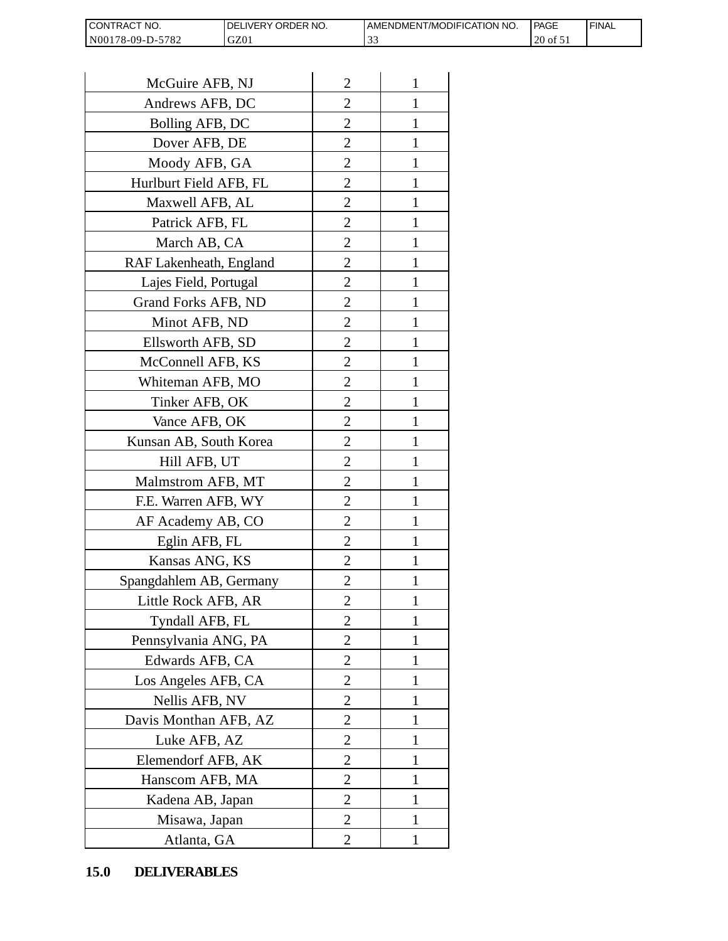| <b>CON</b><br>NO.<br>I RAC                             | ORDER NO.<br><b>NERY</b> | T/MODIFICATION NO.<br>AMENDMEN1 | PAGE           | <b>FINAL</b> |
|--------------------------------------------------------|--------------------------|---------------------------------|----------------|--------------|
| N0017<br>5701<br>78-09-L<br>$\sqrt{2}$<br>$\mathbf{I}$ | GZ01                     | $\sim$<br>ن ب                   | ንቦ<br>Οİ<br>∠∪ |              |

| CONTRACT NO.<br>N00178-09-D-5782 | DELIVERY ORDER NO.<br>GZ01 |                | AMENDMENT/MOI<br>33 |
|----------------------------------|----------------------------|----------------|---------------------|
|                                  |                            |                |                     |
| McGuire AFB, NJ                  |                            | $\overline{2}$ | 1                   |
| Andrews AFB, DC                  |                            | 2              | 1                   |
| Bolling AFB, DC                  |                            | 2              | 1                   |
| Dover AFB, DE                    |                            | $\overline{2}$ | $\mathbf{1}$        |
| Moody AFB, GA                    |                            | $\overline{2}$ | 1                   |
| Hurlburt Field AFB, FL           |                            | $\overline{2}$ | 1                   |
| Maxwell AFB, AL                  |                            | $\overline{2}$ | 1                   |
| Patrick AFB, FL                  |                            | $\overline{2}$ | 1                   |
| March AB, CA                     |                            | $\overline{c}$ | 1                   |
| RAF Lakenheath, England          |                            | $\overline{2}$ | $\mathbf{1}$        |
| Lajes Field, Portugal            |                            | $\overline{2}$ | 1                   |
| Grand Forks AFB, ND              |                            | $\overline{2}$ | 1                   |
| Minot AFB, ND                    |                            | $\overline{2}$ | 1                   |
| Ellsworth AFB, SD                |                            | $\overline{c}$ | 1                   |
| McConnell AFB, KS                |                            | $\overline{c}$ | 1                   |
| Whiteman AFB, MO                 |                            | $\overline{2}$ | 1                   |
| Tinker AFB, OK                   |                            | $\overline{2}$ | 1                   |
| Vance AFB, OK                    |                            | $\overline{c}$ | 1                   |
| Kunsan AB, South Korea           |                            | $\overline{2}$ | 1                   |
| Hill AFB, UT                     |                            | $\overline{c}$ | 1                   |
| Malmstrom AFB, MT                |                            | $\overline{2}$ | 1                   |
| F.E. Warren AFB, WY              |                            | $\overline{2}$ | $\mathbf{1}$        |
| AF Academy AB, CO                |                            | $\overline{c}$ | 1                   |
| Eglin AFB, FL                    |                            | $\overline{2}$ | $\mathbf{1}$        |
| Kansas ANG, KS                   |                            | $\overline{c}$ |                     |
| Spangdahlem AB, Germany          |                            | $\overline{2}$ | 1                   |
| Little Rock AFB, AR              |                            | 2              | 1                   |
| Tyndall AFB, FL                  |                            | $\overline{2}$ | $\mathbf{1}$        |
| Pennsylvania ANG, PA             |                            | $\overline{2}$ | 1                   |
| Edwards AFB, CA                  |                            | 2              | 1                   |
| Los Angeles AFB, CA              |                            | $\overline{2}$ | 1                   |
| Nellis AFB, NV                   |                            | 2              | 1                   |
| Davis Monthan AFB, AZ            |                            | $\overline{c}$ | 1                   |
| Luke AFB, AZ                     |                            | $\overline{2}$ | 1                   |
| Elemendorf AFB, AK               |                            | $\overline{2}$ | 1                   |
| Hanscom AFB, MA                  |                            | $\overline{2}$ | 1                   |
| Kadena AB, Japan                 |                            | 2              | 1                   |
| Misawa, Japan                    |                            | $\overline{2}$ | 1                   |
| Atlanta, GA                      |                            | $\overline{2}$ | 1                   |
| <b>DELIVERABLES</b><br>15.0      |                            |                |                     |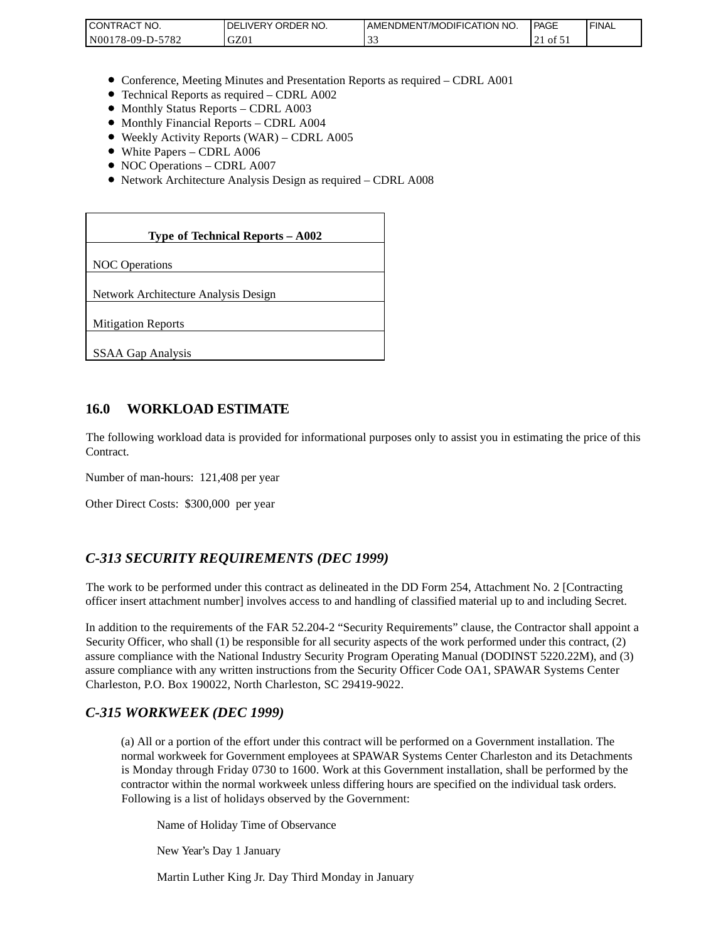| <b>CONTRACT NO.</b>         | NO.<br>DELIVERY ORDER | AMENDMENT/MODIFICATION NO. | PAGE  | <b>FINAL</b> |
|-----------------------------|-----------------------|----------------------------|-------|--------------|
| 5782<br>N001<br>$78-09-D$ - | GZ01                  | ີ້                         | 101.1 |              |

- Conference, Meeting Minutes and Presentation Reports as required CDRL A001
- Technical Reports as required CDRL A002
- Monthly Status Reports CDRL A003
- Monthly Financial Reports CDRL A004
- Weekly Activity Reports (WAR) CDRL A005
- White Papers CDRL A006
- NOC Operations CDRL A007
- Network Architecture Analysis Design as required CDRL A008

| CONTRACT NO.<br>N00178-09-D-5782                                                                                                                                                                                                                                                                                                                                 | DELIVERY ORDER NO.<br>GZ01                                                                                                                                                                                                                                                                                              | AMENDME<br>33 |
|------------------------------------------------------------------------------------------------------------------------------------------------------------------------------------------------------------------------------------------------------------------------------------------------------------------------------------------------------------------|-------------------------------------------------------------------------------------------------------------------------------------------------------------------------------------------------------------------------------------------------------------------------------------------------------------------------|---------------|
|                                                                                                                                                                                                                                                                                                                                                                  |                                                                                                                                                                                                                                                                                                                         |               |
| • Monthly Status Reports - CDRL A003<br>• Monthly Financial Reports - CDRL A004<br>• White Papers - CDRL A006<br>• NOC Operations - CDRL A007                                                                                                                                                                                                                    | • Conference, Meeting Minutes and Presentation Reports as rec<br>• Technical Reports as required – CDRL A002<br>• Weekly Activity Reports (WAR) – CDRL A005<br>• Network Architecture Analysis Design as required - CDRL A                                                                                              |               |
|                                                                                                                                                                                                                                                                                                                                                                  |                                                                                                                                                                                                                                                                                                                         |               |
|                                                                                                                                                                                                                                                                                                                                                                  | Type of Technical Reports - A002                                                                                                                                                                                                                                                                                        |               |
| <b>NOC</b> Operations                                                                                                                                                                                                                                                                                                                                            |                                                                                                                                                                                                                                                                                                                         |               |
| Network Architecture Analysis Design                                                                                                                                                                                                                                                                                                                             |                                                                                                                                                                                                                                                                                                                         |               |
| <b>Mitigation Reports</b>                                                                                                                                                                                                                                                                                                                                        |                                                                                                                                                                                                                                                                                                                         |               |
| <b>SSAA Gap Analysis</b>                                                                                                                                                                                                                                                                                                                                         |                                                                                                                                                                                                                                                                                                                         |               |
|                                                                                                                                                                                                                                                                                                                                                                  |                                                                                                                                                                                                                                                                                                                         |               |
| 16.0<br><b>WORKLOAD ESTIMATE</b>                                                                                                                                                                                                                                                                                                                                 |                                                                                                                                                                                                                                                                                                                         |               |
| The following workload data is provided for informational purposes<br>Contract.                                                                                                                                                                                                                                                                                  |                                                                                                                                                                                                                                                                                                                         |               |
| Number of man-hours: 121,408 per year                                                                                                                                                                                                                                                                                                                            |                                                                                                                                                                                                                                                                                                                         |               |
| Other Direct Costs: \$300,000 per year                                                                                                                                                                                                                                                                                                                           |                                                                                                                                                                                                                                                                                                                         |               |
| C-313 SECURITY REQUIREMENTS (DEC 1999)                                                                                                                                                                                                                                                                                                                           |                                                                                                                                                                                                                                                                                                                         |               |
| The work to be performed under this contract as delineated in the DI<br>officer insert attachment number] involves access to and handling of o                                                                                                                                                                                                                   |                                                                                                                                                                                                                                                                                                                         |               |
| In addition to the requirements of the FAR 52.204-2 "Security Requi<br>Security Officer, who shall (1) be responsible for all security aspects of<br>assure compliance with the National Industry Security Program Oper<br>assure compliance with any written instructions from the Security Of<br>Charleston, P.O. Box 190022, North Charleston, SC 29419-9022. |                                                                                                                                                                                                                                                                                                                         |               |
| C-315 WORKWEEK (DEC 1999)                                                                                                                                                                                                                                                                                                                                        |                                                                                                                                                                                                                                                                                                                         |               |
|                                                                                                                                                                                                                                                                                                                                                                  | (a) All or a portion of the effort under this contract will be per<br>normal workweek for Government employees at SPAWAR Sy<br>is Monday through Friday 0730 to 1600. Work at this Gover<br>contractor within the normal workweek unless differing hours<br>Following is a list of holidays observed by the Government: |               |
|                                                                                                                                                                                                                                                                                                                                                                  | Name of Holiday Time of Observance                                                                                                                                                                                                                                                                                      |               |
| New Year's Day 1 January                                                                                                                                                                                                                                                                                                                                         |                                                                                                                                                                                                                                                                                                                         |               |
|                                                                                                                                                                                                                                                                                                                                                                  | Martin Luther King Jr. Day Third Monday in January                                                                                                                                                                                                                                                                      |               |

### **16.0 WORKLOAD ESTIMATE**

The following workload data is provided for informational purposes only to assist you in estimating the price of this Contract.

## *C-313 SECURITY REQUIREMENTS (DEC 1999)*

The work to be performed under this contract as delineated in the DD Form 254, Attachment No. 2 [Contracting officer insert attachment number] involves access to and handling of classified material up to and including Secret.

In addition to the requirements of the FAR 52.204-2 "Security Requirements" clause, the Contractor shall appoint a Security Officer, who shall (1) be responsible for all security aspects of the work performed under this contract, (2) assure compliance with the National Industry Security Program Operating Manual (DODINST 5220.22M), and (3) assure compliance with any written instructions from the Security Officer Code OA1, SPAWAR Systems Center Charleston, P.O. Box 190022, North Charleston, SC 29419-9022.

### *C-315 WORKWEEK (DEC 1999)*

(a) All or a portion of the effort under this contract will be performed on a Government installation. The normal workweek for Government employees at SPAWAR Systems Center Charleston and its Detachments is Monday through Friday 0730 to 1600. Work at this Government installation, shall be performed by the contractor within the normal workweek unless differing hours are specified on the individual task orders. Following is a list of holidays observed by the Government: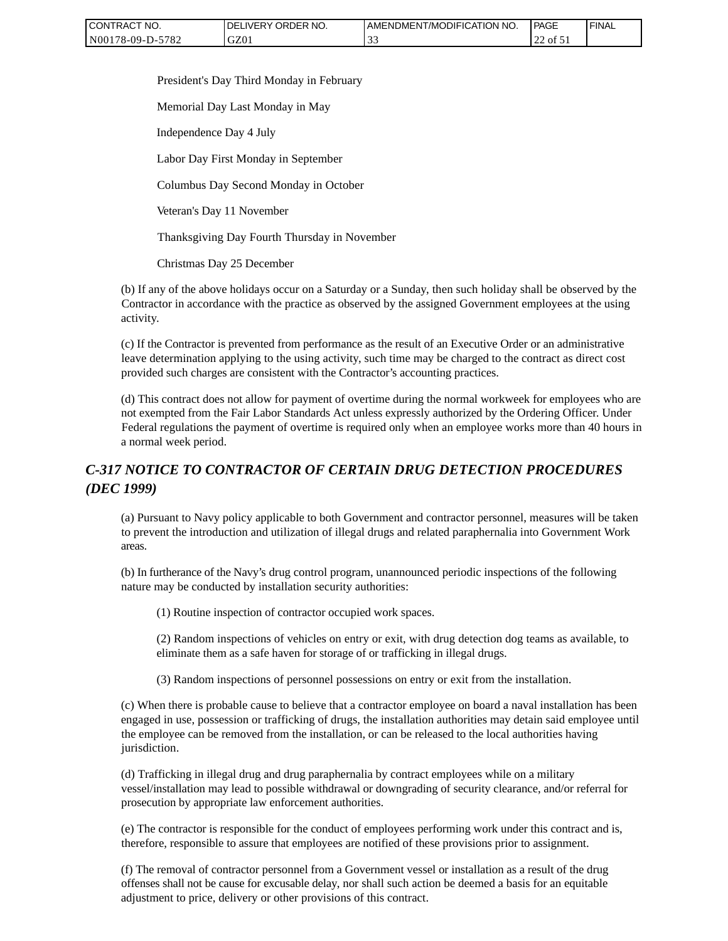| CONTRACT NO.     | `NO.<br>' ORDER<br><b>DELIVERY</b> | AMENDMENT/MODIFICATION NO. | PAGE       | 'FINAL |
|------------------|------------------------------------|----------------------------|------------|--------|
| N00178-09-D-5782 | GZ0 <sub>1</sub>                   |                            | of 51<br>∸ |        |

President's Day Third Monday in February

Memorial Day Last Monday in May

Independence Day 4 July

Labor Day First Monday in September

Columbus Day Second Monday in October

Veteran's Day 11 November

Thanksgiving Day Fourth Thursday in November

Christmas Day 25 December

(b) If any of the above holidays occur on a Saturday or a Sunday, then such holiday shall be observed by the Contractor in accordance with the practice as observed by the assigned Government employees at the using activity.

(c) If the Contractor is prevented from performance as the result of an Executive Order or an administrative leave determination applying to the using activity, such time may be charged to the contract as direct cost provided such charges are consistent with the Contractor's accounting practices.

(d) This contract does not allow for payment of overtime during the normal workweek for employees who are not exempted from the Fair Labor Standards Act unless expressly authorized by the Ordering Officer. Under Federal regulations the payment of overtime is required only when an employee works more than 40 hours in a normal week period.

# *C-317 NOTICE TO CONTRACTOR OF CERTAIN DRUG DETECTION PROCEDURES (DEC 1999)*

(a) Pursuant to Navy policy applicable to both Government and contractor personnel, measures will be taken to prevent the introduction and utilization of illegal drugs and related paraphernalia into Government Work areas.

(b) In furtherance of the Navy's drug control program, unannounced periodic inspections of the following nature may be conducted by installation security authorities:

(1) Routine inspection of contractor occupied work spaces.

(2) Random inspections of vehicles on entry or exit, with drug detection dog teams as available, to eliminate them as a safe haven for storage of or trafficking in illegal drugs.

(3) Random inspections of personnel possessions on entry or exit from the installation.

(c) When there is probable cause to believe that a contractor employee on board a naval installation has been engaged in use, possession or trafficking of drugs, the installation authorities may detain said employee until the employee can be removed from the installation, or can be released to the local authorities having jurisdiction.

(d) Trafficking in illegal drug and drug paraphernalia by contract employees while on a military vessel/installation may lead to possible withdrawal or downgrading of security clearance, and/or referral for prosecution by appropriate law enforcement authorities.

(e) The contractor is responsible for the conduct of employees performing work under this contract and is, therefore, responsible to assure that employees are notified of these provisions prior to assignment.

(f) The removal of contractor personnel from a Government vessel or installation as a result of the drug offenses shall not be cause for excusable delay, nor shall such action be deemed a basis for an equitable adjustment to price, delivery or other provisions of this contract.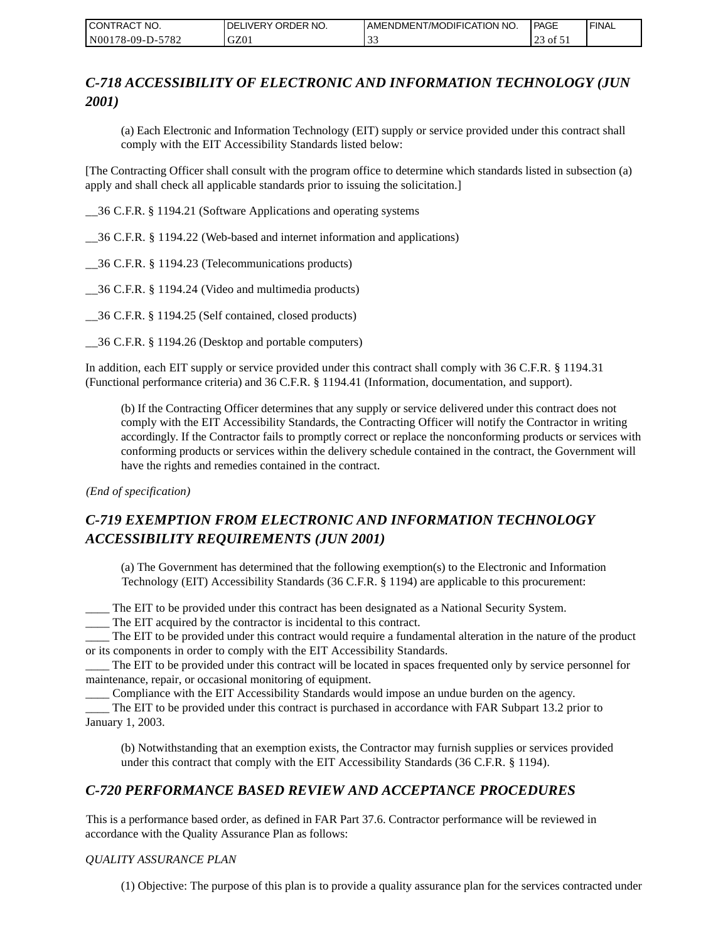| CONTRACT NO.     | <b>IDELIVERY ORDER NO.</b> | AMENDMENT/MODIFICATION NO. | <b>PAGE</b> | ' FINAL |
|------------------|----------------------------|----------------------------|-------------|---------|
| N00178-09-D-5782 | GZ01                       |                            | of 51<br>ت  |         |

# *C-718 ACCESSIBILITY OF ELECTRONIC AND INFORMATION TECHNOLOGY (JUN 2001)*

(a) Each Electronic and Information Technology (EIT) supply or service provided under this contract shall comply with the EIT Accessibility Standards listed below:

[The Contracting Officer shall consult with the program office to determine which standards listed in subsection (a) apply and shall check all applicable standards prior to issuing the solicitation.]

\_\_36 C.F.R. § 1194.21 (Software Applications and operating systems

\_\_36 C.F.R. § 1194.22 (Web-based and internet information and applications)

\_\_36 C.F.R. § 1194.23 (Telecommunications products)

\_\_36 C.F.R. § 1194.24 (Video and multimedia products)

\_\_36 C.F.R. § 1194.25 (Self contained, closed products)

\_\_36 C.F.R. § 1194.26 (Desktop and portable computers)

In addition, each EIT supply or service provided under this contract shall comply with 36 C.F.R. § 1194.31 (Functional performance criteria) and 36 C.F.R. § 1194.41 (Information, documentation, and support).

(b) If the Contracting Officer determines that any supply or service delivered under this contract does not comply with the EIT Accessibility Standards, the Contracting Officer will notify the Contractor in writing accordingly. If the Contractor fails to promptly correct or replace the nonconforming products or services with conforming products or services within the delivery schedule contained in the contract, the Government will have the rights and remedies contained in the contract.

*(End of specification)*

# *C-719 EXEMPTION FROM ELECTRONIC AND INFORMATION TECHNOLOGY ACCESSIBILITY REQUIREMENTS (JUN 2001)*

(a) The Government has determined that the following exemption(s) to the Electronic and Information Technology (EIT) Accessibility Standards (36 C.F.R. § 1194) are applicable to this procurement:

\_\_\_\_ The EIT to be provided under this contract has been designated as a National Security System.

\_\_\_\_ The EIT acquired by the contractor is incidental to this contract.

\_\_\_\_ The EIT to be provided under this contract would require a fundamental alteration in the nature of the product or its components in order to comply with the EIT Accessibility Standards.

\_\_\_\_ The EIT to be provided under this contract will be located in spaces frequented only by service personnel for maintenance, repair, or occasional monitoring of equipment.

\_\_\_\_ Compliance with the EIT Accessibility Standards would impose an undue burden on the agency.

\_\_\_\_ The EIT to be provided under this contract is purchased in accordance with FAR Subpart 13.2 prior to January 1, 2003.

(b) Notwithstanding that an exemption exists, the Contractor may furnish supplies or services provided under this contract that comply with the EIT Accessibility Standards (36 C.F.R. § 1194).

## *C-720 PERFORMANCE BASED REVIEW AND ACCEPTANCE PROCEDURES*

This is a performance based order, as defined in FAR Part 37.6. Contractor performance will be reviewed in accordance with the Quality Assurance Plan as follows:

#### *QUALITY ASSURANCE PLAN*

(1) Objective: The purpose of this plan is to provide a quality assurance plan for the services contracted under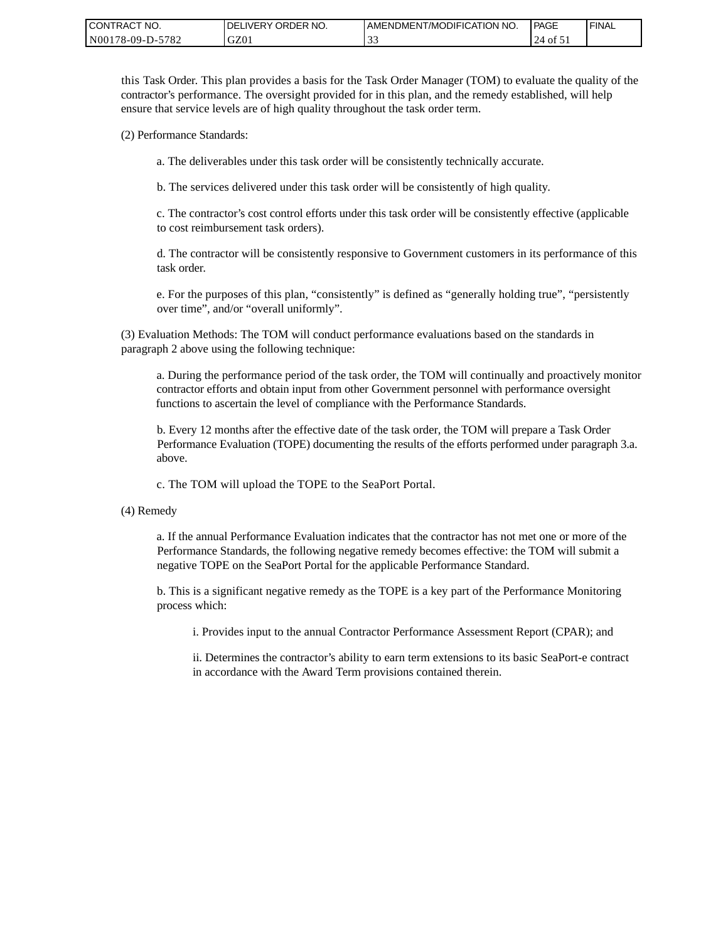| <b>CONTRACT</b><br>" NO. | ' ORDER NO.<br><b>IDELIVERY</b> | I AMENDMENT/MODIFICATION NO. | <b>PAGE</b>                          | <b>I FINAL</b> |
|--------------------------|---------------------------------|------------------------------|--------------------------------------|----------------|
| -5782<br>N00178-09-D-5   | GZ01                            | $\sim$<br>ີ້                 | 24<br>$\overline{01}$ $\overline{1}$ |                |

this Task Order. This plan provides a basis for the Task Order Manager (TOM) to evaluate the quality of the contractor's performance. The oversight provided for in this plan, and the remedy established, will help ensure that service levels are of high quality throughout the task order term.

(2) Performance Standards:

a. The deliverables under this task order will be consistently technically accurate.

b. The services delivered under this task order will be consistently of high quality.

c. The contractor's cost control efforts under this task order will be consistently effective (applicable to cost reimbursement task orders).

d. The contractor will be consistently responsive to Government customers in its performance of this task order.

e. For the purposes of this plan, "consistently" is defined as "generally holding true", "persistently over time", and/or "overall uniformly".

(3) Evaluation Methods: The TOM will conduct performance evaluations based on the standards in paragraph 2 above using the following technique:

a. During the performance period of the task order, the TOM will continually and proactively monitor contractor efforts and obtain input from other Government personnel with performance oversight functions to ascertain the level of compliance with the Performance Standards.

b. Every 12 months after the effective date of the task order, the TOM will prepare a Task Order Performance Evaluation (TOPE) documenting the results of the efforts performed under paragraph 3.a. above.

c. The TOM will upload the TOPE to the SeaPort Portal.

(4) Remedy

a. If the annual Performance Evaluation indicates that the contractor has not met one or more of the Performance Standards, the following negative remedy becomes effective: the TOM will submit a negative TOPE on the SeaPort Portal for the applicable Performance Standard.

b. This is a significant negative remedy as the TOPE is a key part of the Performance Monitoring process which:

i. Provides input to the annual Contractor Performance Assessment Report (CPAR); and

ii. Determines the contractor's ability to earn term extensions to its basic SeaPort-e contract in accordance with the Award Term provisions contained therein.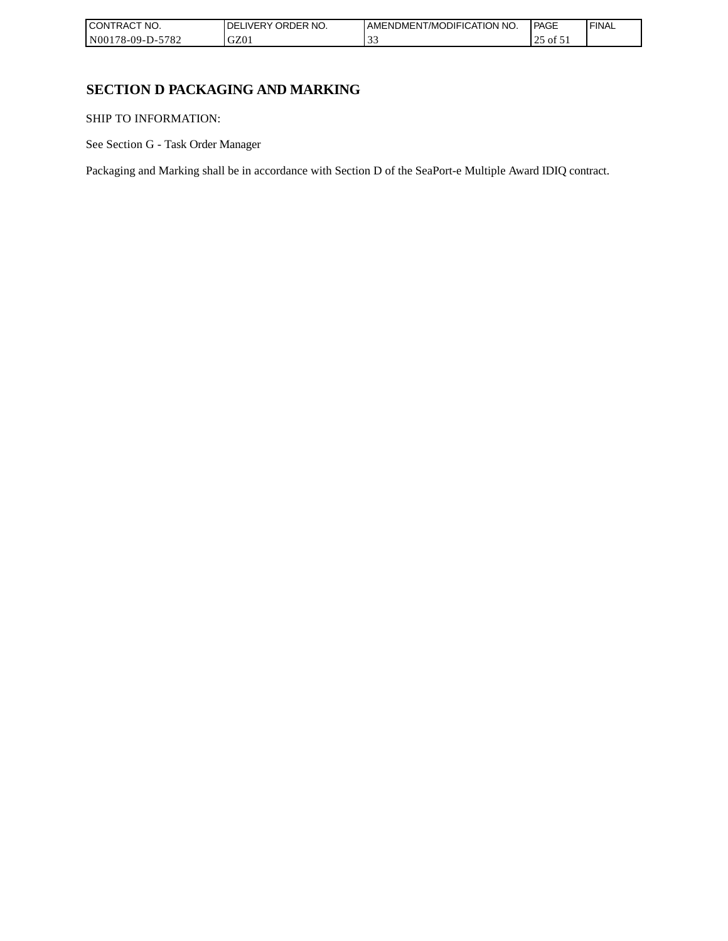| CONTRACT NO.     | ORDER NO.<br><b>DELIVERY</b> | AMENDMENT/MODIFICATION NO. | l PAGE             | ' FINAL |
|------------------|------------------------------|----------------------------|--------------------|---------|
| N00178-09-D-5782 | GZ01                         | $\sim$                     | $\sim$ 01 د $\sim$ |         |

# **SECTION D PACKAGING AND MARKING**

SHIP TO INFORMATION:

See Section G - Task Order Manager

Packaging and Marking shall be in accordance with Section D of the SeaPort-e Multiple Award IDIQ contract.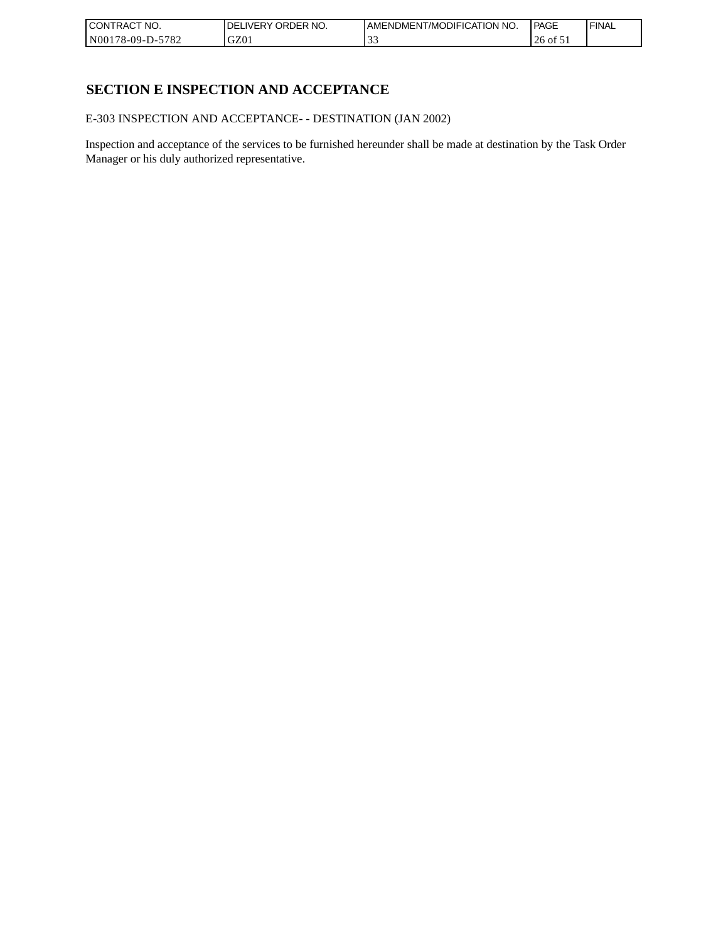| CONTRACT<br>`CT NO.      | `NO.<br>' ORDER<br><b>DELIVERY</b> | AMENDMENT/MODIFICATION NO. | l PAGE  | ' FINAL |
|--------------------------|------------------------------------|----------------------------|---------|---------|
| $-5782$<br>N00178-09-D-5 | GZ01                               | . J .                      | 26 of 5 |         |

## **SECTION E INSPECTION AND ACCEPTANCE**

E-303 INSPECTION AND ACCEPTANCE- - DESTINATION (JAN 2002)

Inspection and acceptance of the services to be furnished hereunder shall be made at destination by the Task Order Manager or his duly authorized representative.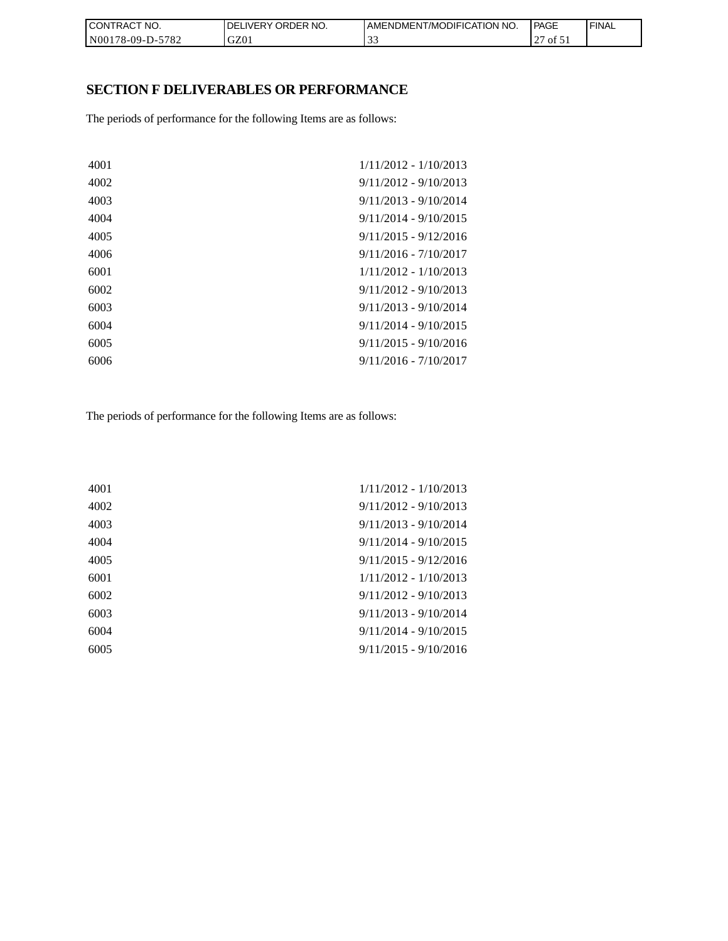| CON <sub>1</sub><br>'TRACT NO. | <b>IDELIVERY ORDER NO.</b> | AMENDMENT/MODIFICATION NO. | PAGE         | 'FINAL |
|--------------------------------|----------------------------|----------------------------|--------------|--------|
| N00178-09-D-5782               | GZ01                       |                            | $ot$ 51<br>∼ |        |

# **SECTION F DELIVERABLES OR PERFORMANCE**

The periods of performance for the following Items are as follows:

| 4001 | $1/11/2012 - 1/10/2013$ |
|------|-------------------------|
| 4002 | $9/11/2012 - 9/10/2013$ |
| 4003 | $9/11/2013 - 9/10/2014$ |
| 4004 | $9/11/2014 - 9/10/2015$ |
| 4005 | $9/11/2015 - 9/12/2016$ |
| 4006 | $9/11/2016 - 7/10/2017$ |
| 6001 | $1/11/2012 - 1/10/2013$ |
| 6002 | $9/11/2012 - 9/10/2013$ |
| 6003 | $9/11/2013 - 9/10/2014$ |
| 6004 | $9/11/2014 - 9/10/2015$ |
| 6005 | $9/11/2015 - 9/10/2016$ |
| 6006 | $9/11/2016 - 7/10/2017$ |
|      |                         |

The periods of performance for the following Items are as follows:

| 4001 | 1/11/2012 - 1/10/2013   |
|------|-------------------------|
| 4002 | $9/11/2012 - 9/10/2013$ |
| 4003 | $9/11/2013 - 9/10/2014$ |
| 4004 | $9/11/2014 - 9/10/2015$ |
| 4005 | $9/11/2015 - 9/12/2016$ |
| 6001 | $1/11/2012 - 1/10/2013$ |
| 6002 | $9/11/2012 - 9/10/2013$ |
| 6003 | $9/11/2013 - 9/10/2014$ |
| 6004 | $9/11/2014 - 9/10/2015$ |
| 6005 | $9/11/2015 - 9/10/2016$ |
|      |                         |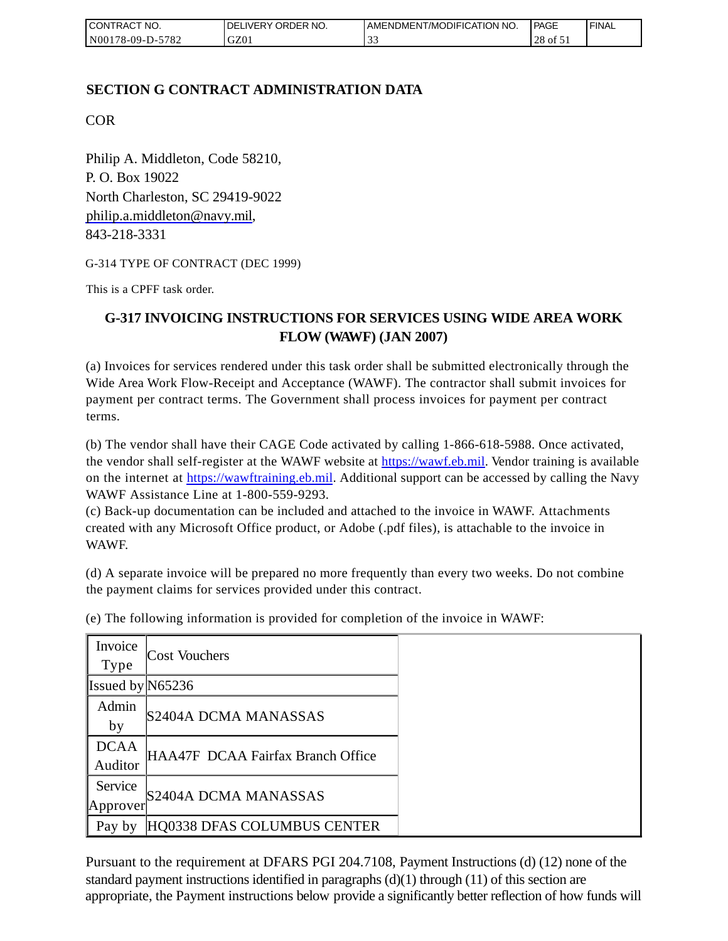| I CONTRACT NO.   | DELIVERY ORDER NO. | AMENDMENT/MODIFICATION NO. | PAGE                   | 'FINAL |
|------------------|--------------------|----------------------------|------------------------|--------|
| N00178-09-D-5782 | GZ01               | . J .                      | 28<br>$\sim$ 01 $\sim$ |        |

## **SECTION G CONTRACT ADMINISTRATION DATA**

COR

Philip A. Middleton, Code 58210, P. O. Box 19022 North Charleston, SC 29419-9022 [philip.a.middleton@navy.mil,](mailto:cphilip.a.middleton@navy.mil) 843-218-3331

G-314 TYPE OF CONTRACT (DEC 1999)

This is a CPFF task order.

# **G-317 INVOICING INSTRUCTIONS FOR SERVICES USING WIDE AREA WORK FLOW (WAWF) (JAN 2007)**

(a) Invoices for services rendered under this task order shall be submitted electronically through the Wide Area Work Flow-Receipt and Acceptance (WAWF). The contractor shall submit invoices for payment per contract terms. The Government shall process invoices for payment per contract terms.

(b) The vendor shall have their CAGE Code activated by calling 1-866-618-5988. Once activated, the vendor shall self-register at the WAWF website at [https://wawf.eb.mil.](https://wawf.eb.mil/) Vendor training is available on the internet at [https://wawftraining.eb.mil.](https://wawftraining.eb.mil/) Additional support can be accessed by calling the Navy WAWF Assistance Line at 1-800-559-9293.

(c) Back-up documentation can be included and attached to the invoice in WAWF. Attachments created with any Microsoft Office product, or Adobe (.pdf files), is attachable to the invoice in WAWF.

(d) A separate invoice will be prepared no more frequently than every two weeks. Do not combine the payment claims for services provided under this contract.

| Invoice<br>Type        | <b>Cost Vouchers</b>              |
|------------------------|-----------------------------------|
| Issued by $N65236$     |                                   |
| Admin<br>by            | S2404A DCMA MANASSAS              |
| <b>DCAA</b><br>Auditor | HAA47F DCAA Fairfax Branch Office |
| Service<br>Approver    | S2404A DCMA MANASSAS              |
| Pay by                 | HQ0338 DFAS COLUMBUS CENTER       |

(e) The following information is provided for completion of the invoice in WAWF:

Pursuant to the requirement at DFARS PGI 204.7108, Payment Instructions (d) (12) none of the standard payment instructions identified in paragraphs  $(d)(1)$  through  $(11)$  of this section are appropriate, the Payment instructions below provide a significantly better reflection of how funds will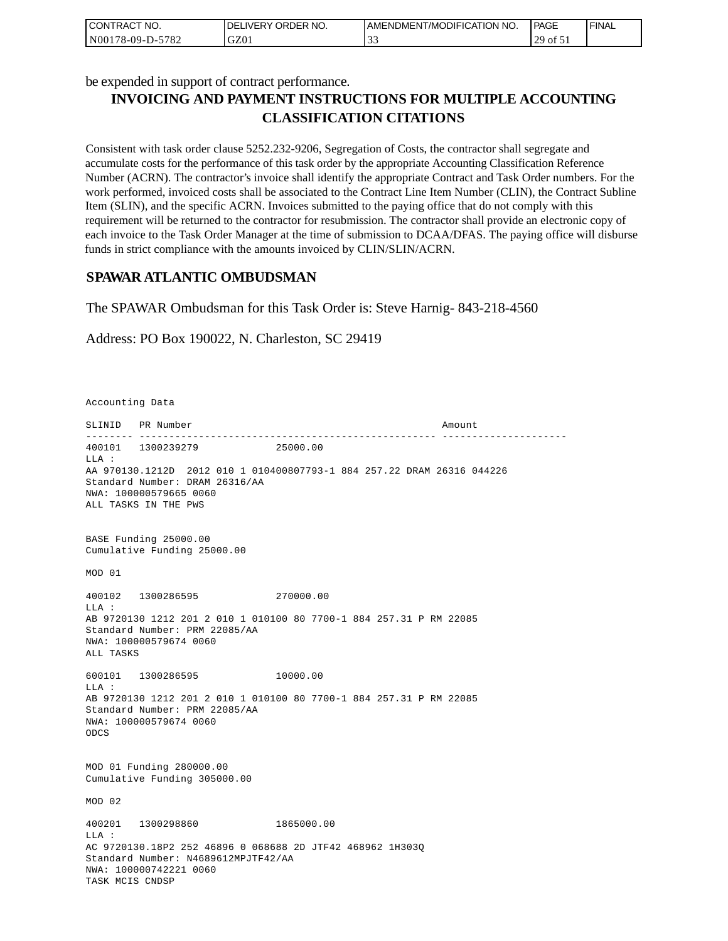| CONTRACT NO.     | I DELIVERY ORDER NO. | AMENDMENT/MODIFICATION NO. | <b>PAGE</b>                                | 'FINAL |
|------------------|----------------------|----------------------------|--------------------------------------------|--------|
| N00178-09-D-5782 | GZ01                 | $\sim$<br>ັ້               | 29.<br>$\overline{01}$ $\overline{1}$<br>∸ |        |

be expended in support of contract performance.

# **INVOICING AND PAYMENT INSTRUCTIONS FOR MULTIPLE ACCOUNTING CLASSIFICATION CITATIONS**

Consistent with task order clause 5252.232-9206, Segregation of Costs, the contractor shall segregate and accumulate costs for the performance of this task order by the appropriate Accounting Classification Reference Number (ACRN). The contractor's invoice shall identify the appropriate Contract and Task Order numbers. For the work performed, invoiced costs shall be associated to the Contract Line Item Number (CLIN), the Contract Subline Item (SLIN), and the specific ACRN. Invoices submitted to the paying office that do not comply with this requirement will be returned to the contractor for resubmission. The contractor shall provide an electronic copy of each invoice to the Task Order Manager at the time of submission to DCAA/DFAS. The paying office will disburse funds in strict compliance with the amounts invoiced by CLIN/SLIN/ACRN.

## **SPAWAR ATLANTIC OMBUDSMAN**

The SPAWAR Ombudsman for this Task Order is: Steve Harnig- 843-218-4560

Address: PO Box 190022, N. Charleston, SC 29419

Accounting Data

SLINID PR Number Amount -------- -------------------------------------------------- --------------------- 400101 1300239279 25000.00  $T.T.A$  : AA 970130.1212D 2012 010 1 010400807793-1 884 257.22 DRAM 26316 044226 Standard Number: DRAM 26316/AA NWA: 100000579665 0060 ALL TASKS IN THE PWS BASE Funding 25000.00 Cumulative Funding 25000.00 MOD 01 400102 1300286595 270000.00 LLA : AB 9720130 1212 201 2 010 1 010100 80 7700-1 884 257.31 P RM 22085 Standard Number: PRM 22085/AA NWA: 100000579674 0060 ALL TASKS 600101 1300286595 10000.00 LLA : AB 9720130 1212 201 2 010 1 010100 80 7700-1 884 257.31 P RM 22085 Standard Number: PRM 22085/AA NWA: 100000579674 0060 ODCS MOD 01 Funding 280000.00 Cumulative Funding 305000.00 MOD 02 400201 1300298860 1865000.00  $T.T.A$  : AC 9720130.18P2 252 46896 0 068688 2D JTF42 468962 1H303Q Standard Number: N4689612MPJTF42/AA NWA: 100000742221 0060 TASK MCIS CNDSP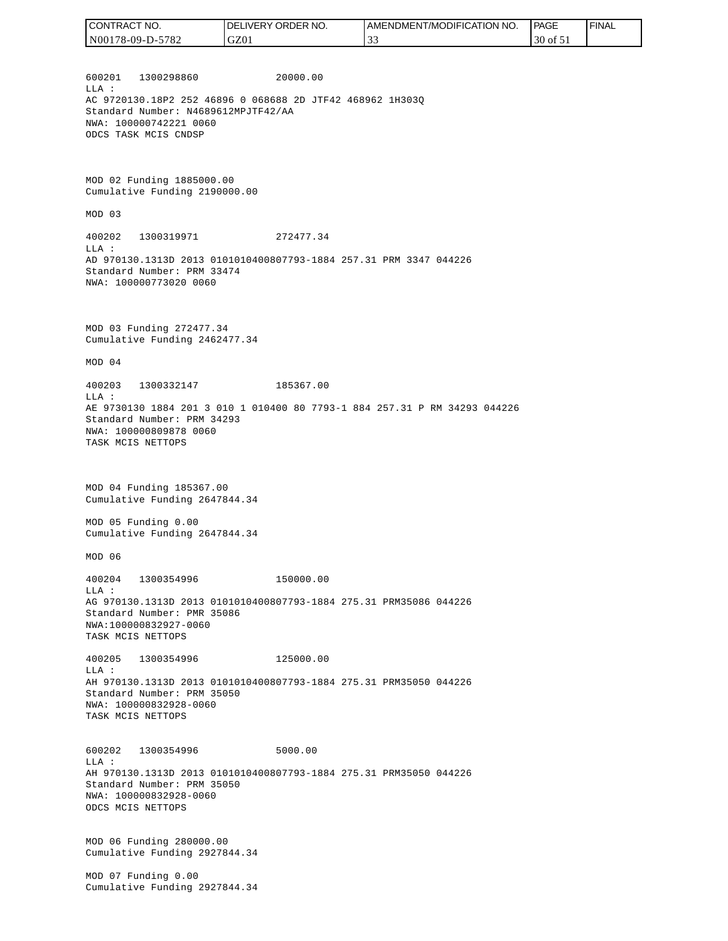| <b>CONTRACT</b><br>" NO. | ' ORDER<br>NO.<br><b>DELIVERY</b> | AMENDMENT/MODIFICATION NO. | PAGE     | <b>FINAL</b> |
|--------------------------|-----------------------------------|----------------------------|----------|--------------|
| N00178-09-D-5782         | GZ01                              | . J .                      | 30 of 51 |              |

600201 1300298860 20000.00 LLA : AC 9720130.18P2 252 46896 0 068688 2D JTF42 468962 1H303Q Standard Number: N4689612MPJTF42/AA NWA: 100000742221 0060 ODCS TASK MCIS CNDSP

MOD 02 Funding 1885000.00 Cumulative Funding 2190000.00

MOD 03

400202 1300319971 272477.34 LLA : AD 970130.1313D 2013 0101010400807793-1884 257.31 PRM 3347 044226 Standard Number: PRM 33474 NWA: 100000773020 0060

MOD 03 Funding 272477.34 Cumulative Funding 2462477.34

MOD 04

400203 1300332147 185367.00 LLA : AE 9730130 1884 201 3 010 1 010400 80 7793-1 884 257.31 P RM 34293 044226 Standard Number: PRM 34293 NWA: 100000809878 0060 TASK MCIS NETTOPS

MOD 04 Funding 185367.00 Cumulative Funding 2647844.34

MOD 05 Funding 0.00 Cumulative Funding 2647844.34

MOD 06

400204 1300354996 150000.00 LLA : AG 970130.1313D 2013 0101010400807793-1884 275.31 PRM35086 044226 Standard Number: PMR 35086 NWA:100000832927-0060 TASK MCIS NETTOPS

400205 1300354996 125000.00 LLA : AH 970130.1313D 2013 0101010400807793-1884 275.31 PRM35050 044226 Standard Number: PRM 35050 NWA: 100000832928-0060 TASK MCIS NETTOPS

600202 1300354996 5000.00 LLA : AH 970130.1313D 2013 0101010400807793-1884 275.31 PRM35050 044226 Standard Number: PRM 35050 NWA: 100000832928-0060 ODCS MCIS NETTOPS

MOD 06 Funding 280000.00 Cumulative Funding 2927844.34

MOD 07 Funding 0.00 Cumulative Funding 2927844.34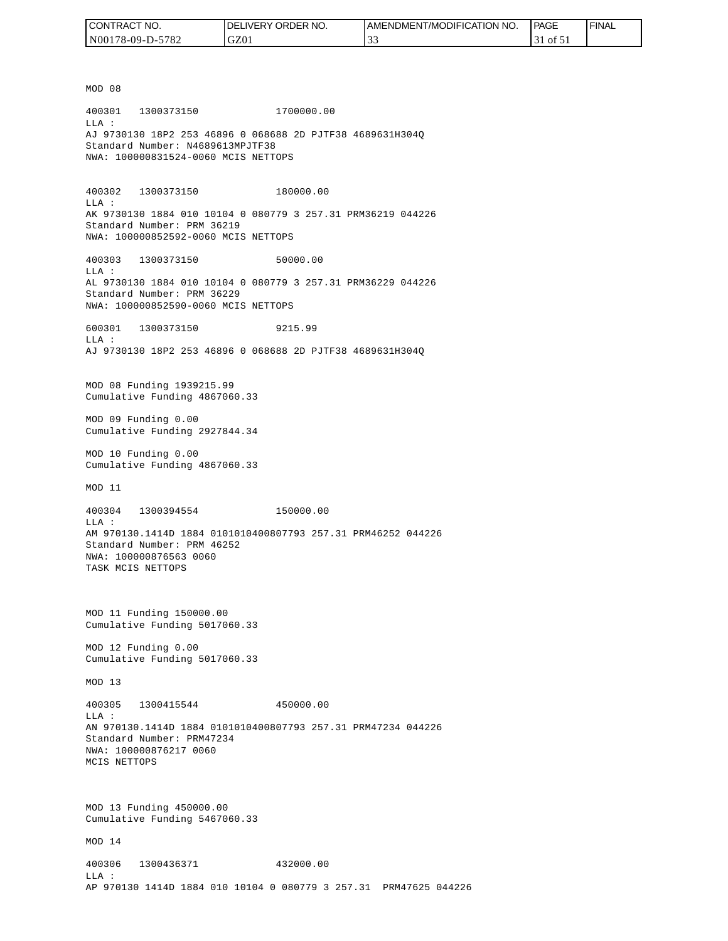| CONTRACT NO.     | <b>IDELIVERY ORDER NO.</b> | I AMENDMENT/MODIFICATION NO. | PAGE                         | ' FINAL |
|------------------|----------------------------|------------------------------|------------------------------|---------|
| N00178-09-D-5782 | GZ01                       | $\sim$<br>-22                | $1$ of 51<br>$\rightarrow$ 1 |         |

MOD 08 400301 1300373150 1700000.00 LLA : AJ 9730130 18P2 253 46896 0 068688 2D PJTF38 4689631H304Q Standard Number: N4689613MPJTF38 NWA: 100000831524-0060 MCIS NETTOPS 400302 1300373150 180000.00 LLA : AK 9730130 1884 010 10104 0 080779 3 257.31 PRM36219 044226 Standard Number: PRM 36219 NWA: 100000852592-0060 MCIS NETTOPS 400303 1300373150 50000.00 LLA : AL 9730130 1884 010 10104 0 080779 3 257.31 PRM36229 044226 Standard Number: PRM 36229 NWA: 100000852590-0060 MCIS NETTOPS 600301 1300373150 9215.99  $T.T.A$  : AJ 9730130 18P2 253 46896 0 068688 2D PJTF38 4689631H304Q MOD 08 Funding 1939215.99 Cumulative Funding 4867060.33 MOD 09 Funding 0.00 Cumulative Funding 2927844.34 MOD 10 Funding 0.00 Cumulative Funding 4867060.33 MOD 11 400304 1300394554 150000.00 LLA : AM 970130.1414D 1884 0101010400807793 257.31 PRM46252 044226 Standard Number: PRM 46252 NWA: 100000876563 0060 TASK MCIS NETTOPS MOD 11 Funding 150000.00 Cumulative Funding 5017060.33 MOD 12 Funding 0.00 Cumulative Funding 5017060.33 MOD 13 400305 1300415544 450000.00  $L.L.A$  : AN 970130.1414D 1884 0101010400807793 257.31 PRM47234 044226 Standard Number: PRM47234 NWA: 100000876217 0060 MCIS NETTOPS MOD 13 Funding 450000.00 Cumulative Funding 5467060.33 MOD 14 400306 1300436371 432000.00 LLA : AP 970130 1414D 1884 010 10104 0 080779 3 257.31 PRM47625 044226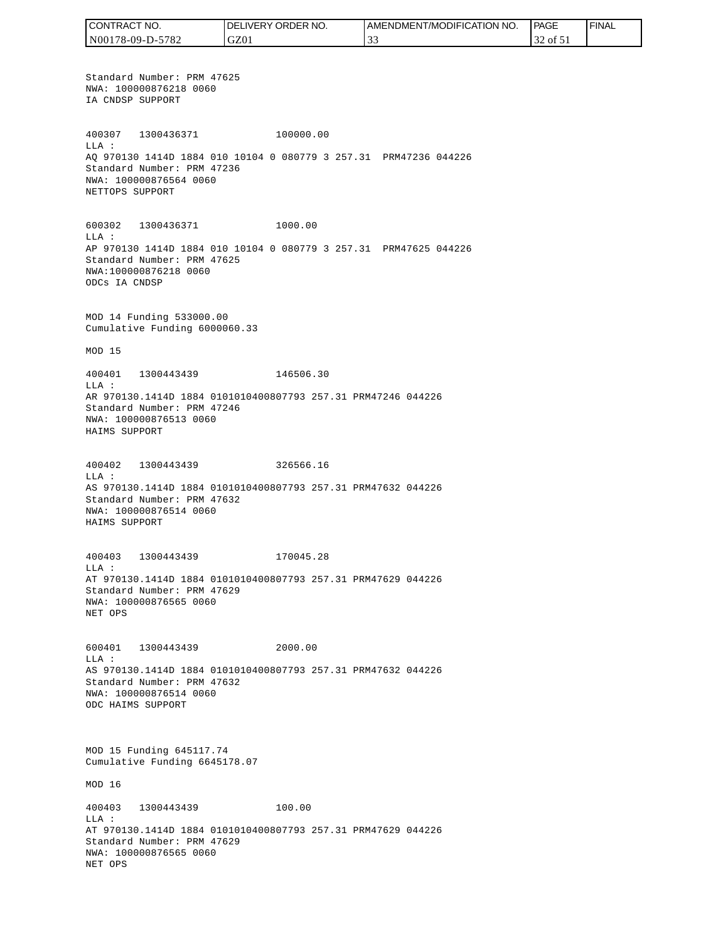CONTRACT NO. DELIVERY ORDER NO. AMENDMENT/MODIFICATION NO. PAGE FINALCONTRACT NO.<br>NO0178-09-D-5<br>Standard Numk<br>NWA: 1000087<br>IA CNDSP SUPP<br>400307 1300<br>400307 1300<br>400307 1300<br>MLA: 2000087<br>NET CNDSP SUPPC<br>600302 1300<br>NET TOPS SUPPC<br>600302 1300<br>LLA: AP 970130 141<br>Standard Numk<br>NWA: 10000087<br>MAD N00178-09-D-5782 GZ01 33 32 of 51 Standard Number: PRM 47625 NWA: 100000876218 0060 IA CNDSP SUPPORT 400307 1300436371 100000.00 LLA : AQ 970130 1414D 1884 010 10104 0 080779 3 257.31 PRM47236 044226 Standard Number: PRM 47236 NWA: 100000876564 0060 NETTOPS SUPPORT 600302 1300436371 1000.00 LLA : AP 970130 1414D 1884 010 10104 0 080779 3 257.31 PRM47625 044226 Standard Number: PRM 47625 NWA:100000876218 0060 ODCs IA CNDSP MOD 14 Funding 533000.00 Cumulative Funding 6000060.33 MOD 15 400401 1300443439 146506.30 LLA : AR 970130.1414D 1884 0101010400807793 257.31 PRM47246 044226 Standard Number: PRM 47246 NWA: 100000876513 0060 HAIMS SUPPORT 400402 1300443439 326566.16 LLA : AS 970130.1414D 1884 0101010400807793 257.31 PRM47632 044226 Standard Number: PRM 47632 NWA: 100000876514 0060 HAIMS SUPPORT 400403 1300443439 170045.28 LLA : AT 970130.1414D 1884 0101010400807793 257.31 PRM47629 044226 Standard Number: PRM 47629 NWA: 100000876565 0060 NET OPS 600401 1300443439 2000.00 LLA : AS 970130.1414D 1884 0101010400807793 257.31 PRM47632 044226 Standard Number: PRM 47632 NWA: 100000876514 0060 ODC HAIMS SUPPORT MOD 15 Funding 645117.74 Cumulative Funding 6645178.07 MOD 16 400403 1300443439 100.00 LLA : AT 970130.1414D 1884 0101010400807793 257.31 PRM47629 044226 Standard Number: PRM 47629 NWA: 100000876565 0060 NET OPS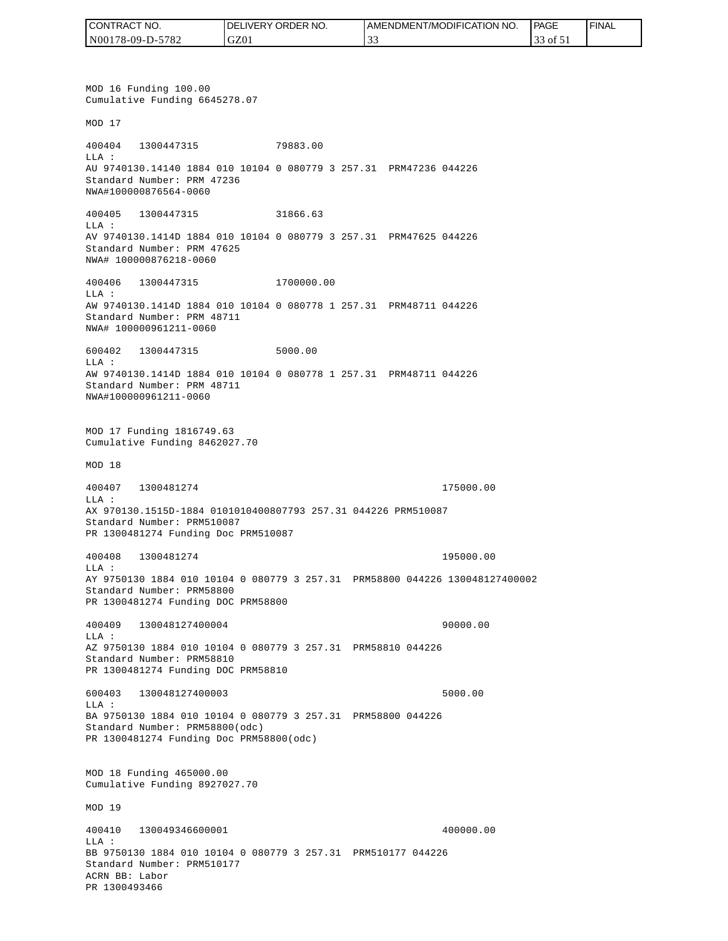| CONTRACT<br>CT NO.    | NO.<br><b>ORDER</b><br>.IVERY<br>DELI' | AMENDMENT/MODIFIC/<br>FICATION NO. | <b>PAGE</b>   | ' FINAL |
|-----------------------|----------------------------------------|------------------------------------|---------------|---------|
| 5782<br>N00178-09-D-5 | GZ01                                   | <u>.</u>                           | 0Ī<br>JJ<br>. |         |

MOD 16 Funding 100.00 Cumulative Funding 6645278.07 MOD 17 400404 1300447315 79883.00 LLA : AU 9740130.14140 1884 010 10104 0 080779 3 257.31 PRM47236 044226 Standard Number: PRM 47236 NWA#100000876564-0060 400405 1300447315 31866.63 LLA : AV 9740130.1414D 1884 010 10104 0 080779 3 257.31 PRM47625 044226 Standard Number: PRM 47625 NWA# 100000876218-0060 400406 1300447315 1700000.00 LLA : AW 9740130.1414D 1884 010 10104 0 080778 1 257.31 PRM48711 044226 Standard Number: PRM 48711 NWA# 100000961211-0060 600402 1300447315 5000.00 LLA : AW 9740130.1414D 1884 010 10104 0 080778 1 257.31 PRM48711 044226 Standard Number: PRM 48711 NWA#100000961211-0060 MOD 17 Funding 1816749.63 Cumulative Funding 8462027.70 MOD 18 400407 1300481274 175000.00 LLA : AX 970130.1515D-1884 0101010400807793 257.31 044226 PRM510087 Standard Number: PRM510087 PR 1300481274 Funding Doc PRM510087 400408 1300481274 195000.00 LLA : AY 9750130 1884 010 10104 0 080779 3 257.31 PRM58800 044226 130048127400002 Standard Number: PRM58800 PR 1300481274 Funding DOC PRM58800 400409 130048127400004 90000.00 LLA : AZ 9750130 1884 010 10104 0 080779 3 257.31 PRM58810 044226 Standard Number: PRM58810 PR 1300481274 Funding DOC PRM58810 600403 130048127400003 5000.00 LLA : BA 9750130 1884 010 10104 0 080779 3 257.31 PRM58800 044226 Standard Number: PRM58800(odc) PR 1300481274 Funding Doc PRM58800(odc) MOD 18 Funding 465000.00 Cumulative Funding 8927027.70 MOD 19 400410 130049346600001 400000.00  $L.L.A$  : BB 9750130 1884 010 10104 0 080779 3 257.31 PRM510177 044226 Standard Number: PRM510177 ACRN BB: Labor PR 1300493466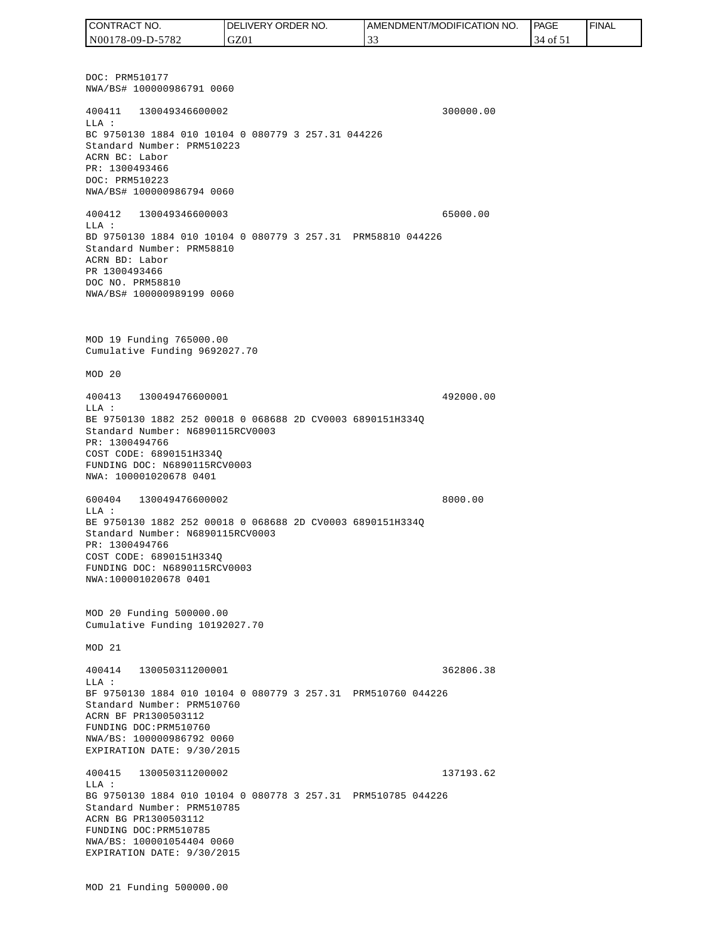DOC: PRM510177 NWA/BS# 100000986791 0060 400411 130049346600002 300000.00 LLA : BC 9750130 1884 010 10104 0 080779 3 257.31 044226 Standard Number: PRM510223 ACRN BC: Labor PR: 1300493466 DOC: PRM510223 NWA/BS# 100000986794 0060 400412 130049346600003 65000.00 LLA : BD 9750130 1884 010 10104 0 080779 3 257.31 PRM58810 044226 Standard Number: PRM58810 ACRN BD: Labor PR 1300493466 DOC NO. PRM58810 NWA/BS# 100000989199 0060 MOD 19 Funding 765000.00 Cumulative Funding 9692027.70 MOD 20 400413 130049476600001 492000.00 LLA : BE 9750130 1882 252 00018 0 068688 2D CV0003 6890151H334Q Standard Number: N6890115RCV0003 PR: 1300494766 COST CODE: 6890151H334Q FUNDING DOC: N6890115RCV0003 NWA: 100001020678 0401 600404 130049476600002 8000.00 LLA : BE 9750130 1882 252 00018 0 068688 2D CV0003 6890151H334Q Standard Number: N6890115RCV0003 PR: 1300494766 COST CODE: 6890151H334Q FUNDING DOC: N6890115RCV0003 NWA:100001020678 0401 MOD 20 Funding 500000.00 Cumulative Funding 10192027.70 MOD 21 400414 130050311200001 362806.38  $T.T.A$  : BF 9750130 1884 010 10104 0 080779 3 257.31 PRM510760 044226 Standard Number: PRM510760 ACRN BF PR1300503112 FUNDING DOC:PRM510760 NWA/BS: 100000986792 0060 EXPIRATION DATE: 9/30/2015 400415 130050311200002 137193.62 LLA : BG 9750130 1884 010 10104 0 080778 3 257.31 PRM510785 044226 Standard Number: PRM510785 ACRN BG PR1300503112 FUNDING DOC:PRM510785 NWA/BS: 100001054404 0060 EXPIRATION DATE: 9/30/2015 MOD 21 Funding 500000.00 CONTRACT NO. N00178-09-D-5782 DELIVERY ORDER NO. GZ01 AMENDMENT/MODIFICATION NO. 33 **PAGE**  34 of 51 FINAL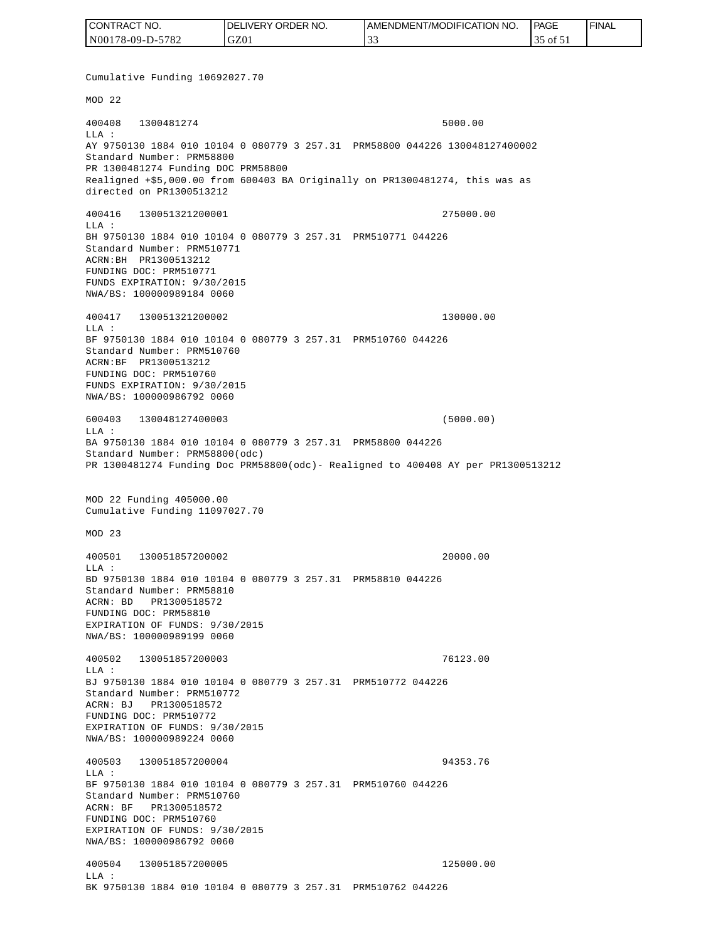| CONTRACT NO.     | <b>IDELIVERY ORDER NO.</b> | <b>I AMENDMENT/MODIFICATION NO.</b> | <b>PAGE</b> | ' FINAL |
|------------------|----------------------------|-------------------------------------|-------------|---------|
| N00178-09-D-5782 | GZ01                       |                                     | ۵t ג'וס ר'. |         |

Cumulative Funding 10692027.70 MOD 22 400408 1300481274 5000.00 LLA : AY 9750130 1884 010 10104 0 080779 3 257.31 PRM58800 044226 130048127400002 Standard Number: PRM58800 PR 1300481274 Funding DOC PRM58800 Realigned +\$5,000.00 from 600403 BA Originally on PR1300481274, this was as directed on PR1300513212 400416 130051321200001 275000.00 LLA : BH 9750130 1884 010 10104 0 080779 3 257.31 PRM510771 044226 Standard Number: PRM510771 ACRN:BH PR1300513212 FUNDING DOC: PRM510771 FUNDS EXPIRATION: 9/30/2015 NWA/BS: 100000989184 0060 400417 130051321200002 130000.00 LLA : BF 9750130 1884 010 10104 0 080779 3 257.31 PRM510760 044226 Standard Number: PRM510760 ACRN:BF PR1300513212 FUNDING DOC: PRM510760 FUNDS EXPIRATION: 9/30/2015 NWA/BS: 100000986792 0060 600403 130048127400003 (5000.00)  $L.L.A$  : BA 9750130 1884 010 10104 0 080779 3 257.31 PRM58800 044226 Standard Number: PRM58800(odc) PR 1300481274 Funding Doc PRM58800(odc)- Realigned to 400408 AY per PR1300513212 MOD 22 Funding 405000.00 Cumulative Funding 11097027.70 MOD 23 400501 130051857200002 20000.00  $L.L.A$  : BD 9750130 1884 010 10104 0 080779 3 257.31 PRM58810 044226 Standard Number: PRM58810 ACRN: BD PR1300518572 FUNDING DOC: PRM58810 EXPIRATION OF FUNDS: 9/30/2015 NWA/BS: 100000989199 0060 400502 130051857200003 76123.00 LLA : BJ 9750130 1884 010 10104 0 080779 3 257.31 PRM510772 044226 Standard Number: PRM510772 ACRN: BJ PR1300518572 FUNDING DOC: PRM510772 EXPIRATION OF FUNDS: 9/30/2015 NWA/BS: 100000989224 0060 400503 130051857200004 94353.76  $T.T.A$  : BF 9750130 1884 010 10104 0 080779 3 257.31 PRM510760 044226 Standard Number: PRM510760 ACRN: BF PR1300518572 FUNDING DOC: PRM510760 EXPIRATION OF FUNDS: 9/30/2015 NWA/BS: 100000986792 0060 400504 130051857200005 125000.00 LLA : BK 9750130 1884 010 10104 0 080779 3 257.31 PRM510762 044226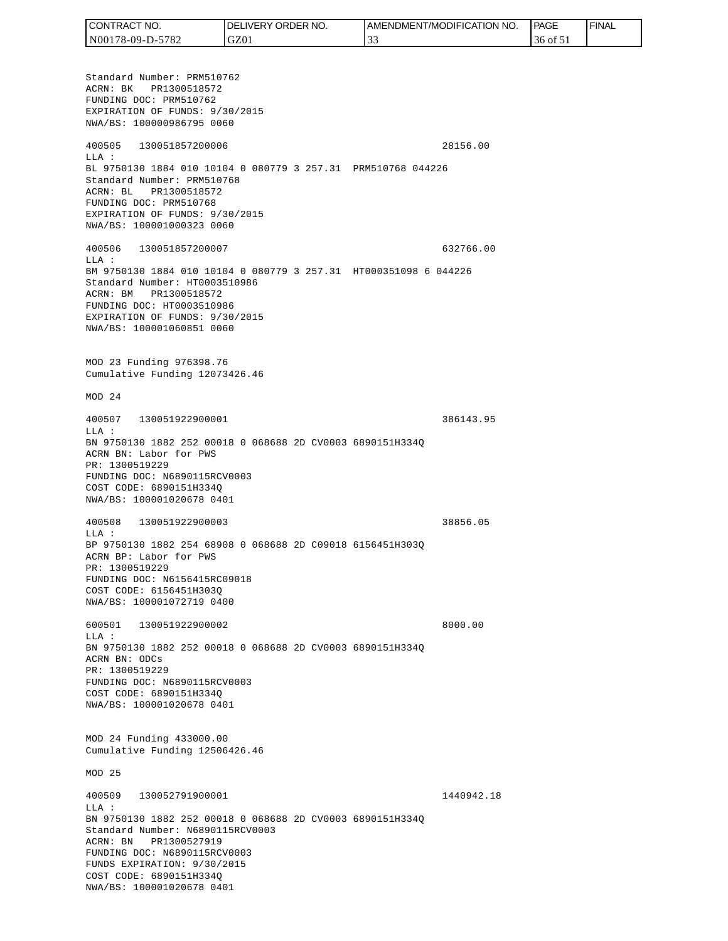| <b>CONTRACT</b><br>" NO. | <b>ORDER</b><br>NO.<br><b>DELIVERY</b> | AMENDMENT/MODIFICATION NO. | PAGE     | <b>FINAL</b> |
|--------------------------|----------------------------------------|----------------------------|----------|--------------|
| N00178-09-D-5782         | GZ01                                   | . J .                      | 36 of 51 |              |

Standard Number: PRM510762 ACRN: BK PR1300518572 FUNDING DOC: PRM510762 EXPIRATION OF FUNDS: 9/30/2015 NWA/BS: 100000986795 0060 400505 130051857200006 28156.00 LLA : BL 9750130 1884 010 10104 0 080779 3 257.31 PRM510768 044226 Standard Number: PRM510768 ACRN: BL PR1300518572 FUNDING DOC: PRM510768 EXPIRATION OF FUNDS: 9/30/2015 NWA/BS: 100001000323 0060 400506 130051857200007 632766.00 LLA : BM 9750130 1884 010 10104 0 080779 3 257.31 HT000351098 6 044226 Standard Number: HT0003510986 ACRN: BM PR1300518572 FUNDING DOC: HT0003510986 EXPIRATION OF FUNDS: 9/30/2015 NWA/BS: 100001060851 0060 MOD 23 Funding 976398.76 Cumulative Funding 12073426.46 MOD 24 400507 130051922900001 386143.95  $T.T.A$  : BN 9750130 1882 252 00018 0 068688 2D CV0003 6890151H334Q ACRN BN: Labor for PWS PR: 1300519229 FUNDING DOC: N6890115RCV0003 COST CODE: 6890151H334Q NWA/BS: 100001020678 0401 400508 130051922900003 38856.05 LLA : BP 9750130 1882 254 68908 0 068688 2D C09018 6156451H303Q ACRN BP: Labor for PWS PR: 1300519229 FUNDING DOC: N6156415RC09018 COST CODE: 6156451H303Q NWA/BS: 100001072719 0400 600501 130051922900002 8000.00 LLA : BN 9750130 1882 252 00018 0 068688 2D CV0003 6890151H334Q ACRN BN: ODCs PR: 1300519229 FUNDING DOC: N6890115RCV0003 COST CODE: 6890151H334Q NWA/BS: 100001020678 0401 MOD 24 Funding 433000.00 Cumulative Funding 12506426.46 MOD 25 400509 130052791900001 1440942.18 LLA : BN 9750130 1882 252 00018 0 068688 2D CV0003 6890151H334Q Standard Number: N6890115RCV0003 ACRN: BN PR1300527919 FUNDING DOC: N6890115RCV0003 FUNDS EXPIRATION: 9/30/2015 COST CODE: 6890151H334Q NWA/BS: 100001020678 0401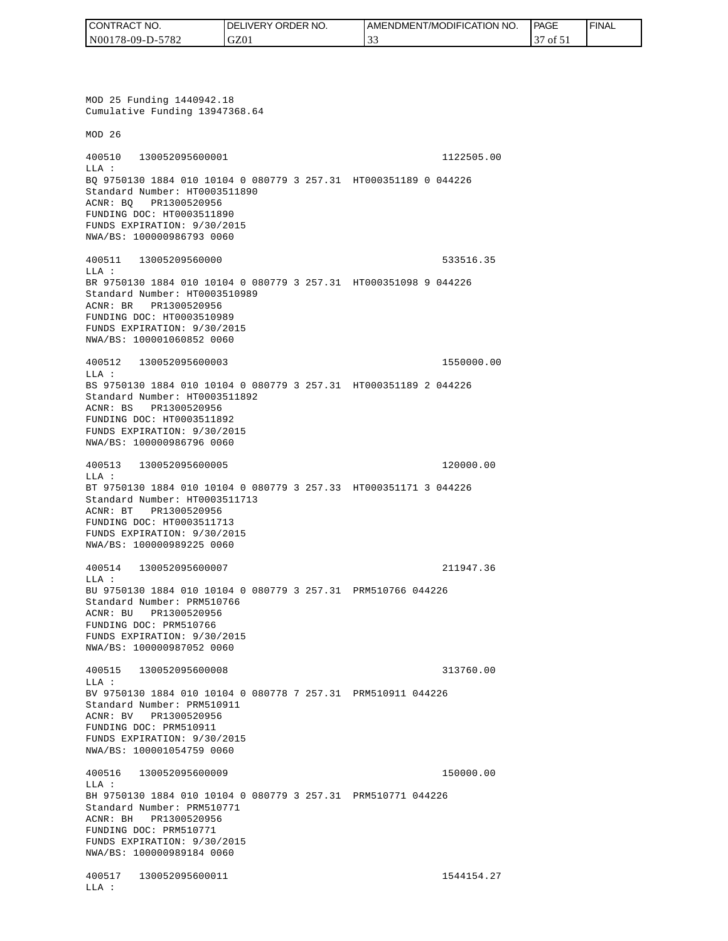| CONTRACT NO.     | <b>IDELIVERY ORDER NO.</b> | AMENDMENT/MODIFICATION NO. | <b>PAGE</b>                    | ' FINAL |
|------------------|----------------------------|----------------------------|--------------------------------|---------|
| N00178-09-D-5782 | GZ01                       |                            | $\overline{01}$ $\overline{1}$ |         |

MOD 25 Funding 1440942.18 Cumulative Funding 13947368.64 MOD 26 400510 130052095600001 1122505.00 LLA : BQ 9750130 1884 010 10104 0 080779 3 257.31 HT000351189 0 044226 Standard Number: HT0003511890 ACNR: BQ PR1300520956 FUNDING DOC: HT0003511890 FUNDS EXPIRATION: 9/30/2015 NWA/BS: 100000986793 0060 400511 13005209560000 533516.35 LLA : BR 9750130 1884 010 10104 0 080779 3 257.31 HT000351098 9 044226 Standard Number: HT0003510989 ACNR: BR PR1300520956 FUNDING DOC: HT0003510989 FUNDS EXPIRATION: 9/30/2015 NWA/BS: 100001060852 0060 400512 130052095600003 1550000.00 LLA : BS 9750130 1884 010 10104 0 080779 3 257.31 HT000351189 2 044226 Standard Number: HT0003511892 ACNR: BS PR1300520956 FUNDING DOC: HT0003511892 FUNDS EXPIRATION: 9/30/2015 NWA/BS: 100000986796 0060 400513 130052095600005 120000.00 LLA : BT 9750130 1884 010 10104 0 080779 3 257.33 HT000351171 3 044226 Standard Number: HT0003511713 ACNR: BT PR1300520956 FUNDING DOC: HT0003511713 FUNDS EXPIRATION: 9/30/2015 NWA/BS: 100000989225 0060 400514 130052095600007 211947.36 LLA : BU 9750130 1884 010 10104 0 080779 3 257.31 PRM510766 044226 Standard Number: PRM510766 ACNR: BU PR1300520956 FUNDING DOC: PRM510766 FUNDS EXPIRATION: 9/30/2015 NWA/BS: 100000987052 0060 400515 130052095600008 313760.00  $T.T.A$  : BV 9750130 1884 010 10104 0 080778 7 257.31 PRM510911 044226 Standard Number: PRM510911 ACNR: BV PR1300520956 FUNDING DOC: PRM510911 FUNDS EXPIRATION: 9/30/2015 NWA/BS: 100001054759 0060 400516 130052095600009 150000.00 LLA : BH 9750130 1884 010 10104 0 080779 3 257.31 PRM510771 044226 Standard Number: PRM510771 ACNR: BH PR1300520956 FUNDING DOC: PRM510771 FUNDS EXPIRATION: 9/30/2015 NWA/BS: 100000989184 0060 400517 130052095600011 1544154.27 LLA :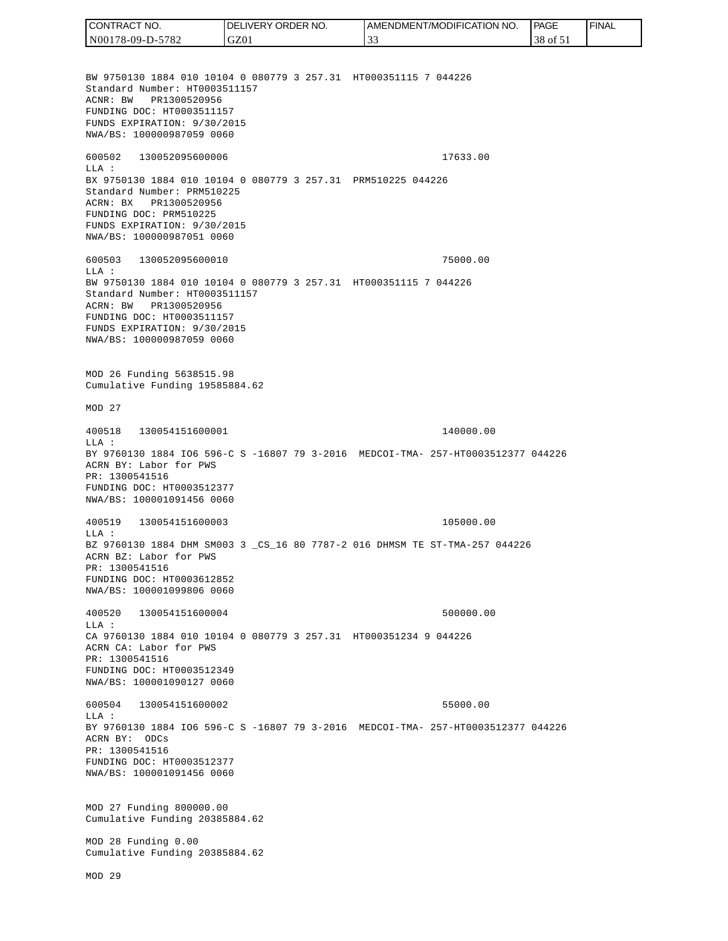CONTRACT NO. DELIVERY ORDER NO. AMENDMENT/MODIFICATION NO. **PAGE**  FINALCONTRACT NO.<br>
NO0178-09-D-5<br>
BW 9750130 18<br>
Standard Numb<br>
Standard Numb<br>
ACNR: BW PR<br>
FUNDING DOC:<br>
FUNDS EXPIRAT<br>
FUNDING DOC:<br>
TEUNDS EXPIRAT<br>
600502 1300<br>
600502 1300<br>
LLA: BX 9750130 18<br>
Standard Numb<br>
ACRR: BW PR<br>
FU N00178-09-D-5782 GZ01 33 38 of 51 BW 9750130 1884 010 10104 0 080779 3 257.31 HT000351115 7 044226 Standard Number: HT0003511157 ACNR: BW PR1300520956 FUNDING DOC: HT0003511157 FUNDS EXPIRATION: 9/30/2015 NWA/BS: 100000987059 0060 600502 130052095600006 17633.00 LLA : BX 9750130 1884 010 10104 0 080779 3 257.31 PRM510225 044226 Standard Number: PRM510225 ACRN: BX PR1300520956 FUNDING DOC: PRM510225 FUNDS EXPIRATION: 9/30/2015 NWA/BS: 100000987051 0060 600503 130052095600010 75000.00  $T.T.A$  : BW 9750130 1884 010 10104 0 080779 3 257.31 HT000351115 7 044226 Standard Number: HT0003511157 ACRN: BW PR1300520956 FUNDING DOC: HT0003511157 FUNDS EXPIRATION: 9/30/2015 NWA/BS: 100000987059 0060 MOD 26 Funding 5638515.98 Cumulative Funding 19585884.62 MOD 27 400518 130054151600001 140000.00 LLA : BY 9760130 1884 IO6 596-C S -16807 79 3-2016 MEDCOI-TMA- 257-HT0003512377 044226 ACRN BY: Labor for PWS PR: 1300541516 FUNDING DOC: HT0003512377 NWA/BS: 100001091456 0060 400519 130054151600003 105000.00 LLA : BZ 9760130 1884 DHM SM003 3 \_CS\_16 80 7787-2 016 DHMSM TE ST-TMA-257 044226 ACRN BZ: Labor for PWS PR: 1300541516 FUNDING DOC: HT0003612852 NWA/BS: 100001099806 0060 400520 130054151600004 500000.00  $L.L.A$  : CA 9760130 1884 010 10104 0 080779 3 257.31 HT000351234 9 044226 ACRN CA: Labor for PWS PR: 1300541516 FUNDING DOC: HT0003512349 NWA/BS: 100001090127 0060 600504 130054151600002 55000.00  $T.T.A$  : BY 9760130 1884 IO6 596-C S -16807 79 3-2016 MEDCOI-TMA- 257-HT0003512377 044226 ACRN BY: ODCs PR: 1300541516 FUNDING DOC: HT0003512377 NWA/BS: 100001091456 0060 MOD 27 Funding 800000.00 Cumulative Funding 20385884.62 MOD 28 Funding 0.00 Cumulative Funding 20385884.62 MOD 29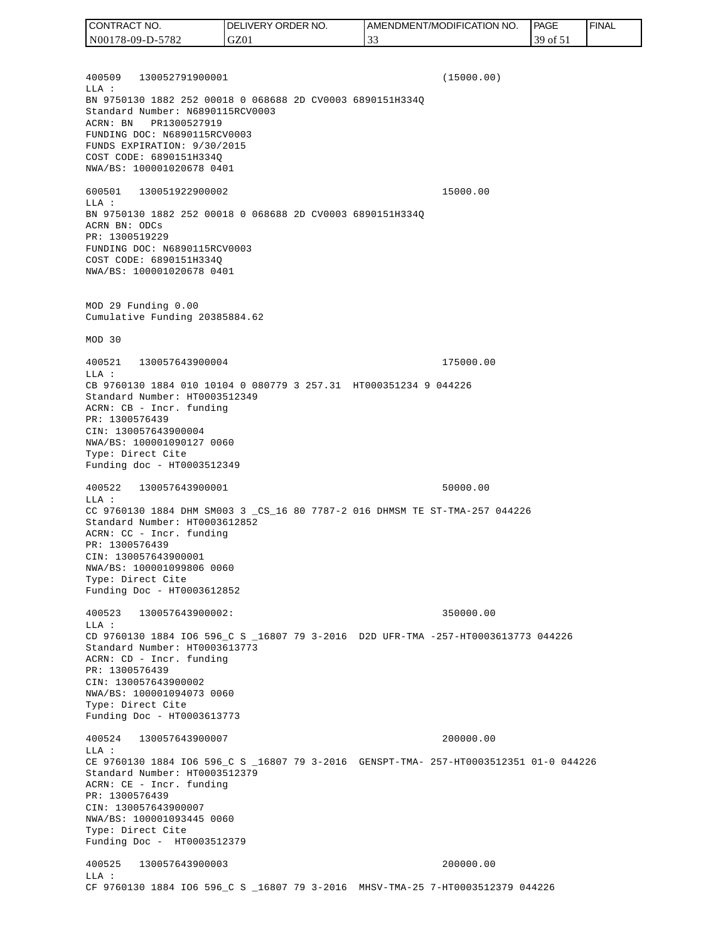400509 130052791900001 (15000.00) LLA : BN 9750130 1882 252 00018 0 068688 2D CV0003 6890151H334Q Standard Number: N6890115RCV0003 ACRN: BN PR1300527919 FUNDING DOC: N6890115RCV0003 FUNDS EXPIRATION: 9/30/2015 COST CODE: 6890151H334Q NWA/BS: 100001020678 0401 600501 130051922900002 15000.00 LLA : BN 9750130 1882 252 00018 0 068688 2D CV0003 6890151H334Q ACRN BN: ODCs PR: 1300519229 FUNDING DOC: N6890115RCV0003 COST CODE: 6890151H334Q NWA/BS: 100001020678 0401 MOD 29 Funding 0.00 Cumulative Funding 20385884.62 MOD 30 400521 130057643900004 175000.00 LLA : CB 9760130 1884 010 10104 0 080779 3 257.31 HT000351234 9 044226 Standard Number: HT0003512349 ACRN: CB - Incr. funding PR: 1300576439 CIN: 130057643900004 NWA/BS: 100001090127 0060 Type: Direct Cite Funding doc - HT0003512349 400522 130057643900001 50000.00 LLA : CC 9760130 1884 DHM SM003 3 \_CS\_16 80 7787-2 016 DHMSM TE ST-TMA-257 044226 Standard Number: HT0003612852 ACRN: CC - Incr. funding PR: 1300576439 CIN: 130057643900001 NWA/BS: 100001099806 0060 Type: Direct Cite Funding Doc - HT0003612852 400523 130057643900002: 350000.00  $L.L.A$  : CD 9760130 1884 IO6 596\_C S \_16807 79 3-2016 D2D UFR-TMA -257-HT0003613773 044226 Standard Number: HT0003613773 ACRN: CD - Incr. funding PR: 1300576439 CIN: 130057643900002 NWA/BS: 100001094073 0060 Type: Direct Cite Funding Doc - HT0003613773 400524 130057643900007 200000.00 LLA : CE 9760130 1884 IO6 596\_C S \_16807 79 3-2016 GENSPT-TMA- 257-HT0003512351 01-0 044226 Standard Number: HT0003512379 ACRN: CE - Incr. funding PR: 1300576439 CIN: 130057643900007 NWA/BS: 100001093445 0060 Type: Direct Cite Funding Doc - HT0003512379 400525 130057643900003 200000.00 LLA : CF 9760130 1884 IO6 596\_C S \_16807 79 3-2016 MHSV-TMA-25 7-HT0003512379 044226 CONTRACT NO. N00178-09-D-5782 DELIVERY ORDER NO. GZ01 AMENDMENT/MODIFICATION NO. 33 **PAGE**  39 of 51 FINAL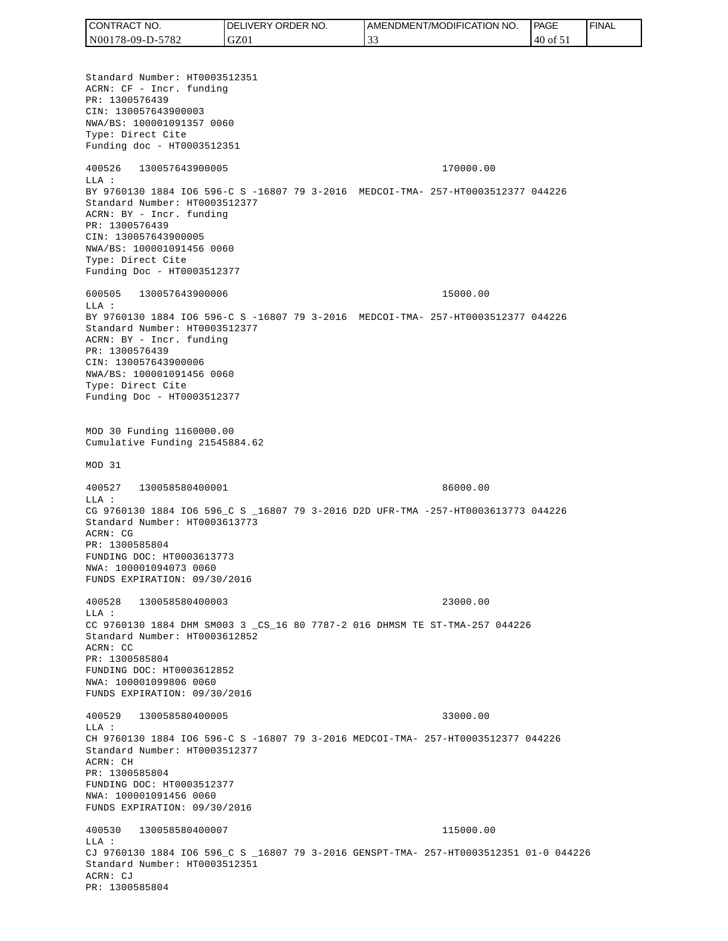Standard Number: HT0003512351 ACRN: CF - Incr. funding PR: 1300576439 CIN: 130057643900003 NWA/BS: 100001091357 0060 Type: Direct Cite Funding doc - HT0003512351 400526 130057643900005 170000.00 LLA : BY 9760130 1884 IO6 596-C S -16807 79 3-2016 MEDCOI-TMA- 257-HT0003512377 044226 Standard Number: HT0003512377 ACRN: BY - Incr. funding PR: 1300576439 CIN: 130057643900005 NWA/BS: 100001091456 0060 Type: Direct Cite Funding Doc - HT0003512377 600505 130057643900006 15000.00  $T.T.A$  : BY 9760130 1884 IO6 596-C S -16807 79 3-2016 MEDCOI-TMA- 257-HT0003512377 044226 Standard Number: HT0003512377 ACRN: BY - Incr. funding PR: 1300576439 CIN: 130057643900006 NWA/BS: 100001091456 0060 Type: Direct Cite Funding Doc - HT0003512377 MOD 30 Funding 1160000.00 Cumulative Funding 21545884.62 MOD 31 400527 130058580400001 86000.00 LLA : CG 9760130 1884 IO6 596\_C S \_16807 79 3-2016 D2D UFR-TMA -257-HT0003613773 044226 Standard Number: HT0003613773 ACRN: CG PR: 1300585804 FUNDING DOC: HT0003613773 NWA: 100001094073 0060 FUNDS EXPIRATION: 09/30/2016 400528 130058580400003 23000.00 LLA : CC 9760130 1884 DHM SM003 3 \_CS\_16 80 7787-2 016 DHMSM TE ST-TMA-257 044226 Standard Number: HT0003612852 ACRN: CC PR: 1300585804 FUNDING DOC: HT0003612852 NWA: 100001099806 0060 FUNDS EXPIRATION: 09/30/2016 400529 130058580400005 33000.00 LLA : CH 9760130 1884 IO6 596-C S -16807 79 3-2016 MEDCOI-TMA- 257-HT0003512377 044226 Standard Number: HT0003512377 ACRN: CH PR: 1300585804 FUNDING DOC: HT0003512377 NWA: 100001091456 0060 FUNDS EXPIRATION: 09/30/2016 400530 130058580400007 115000.00  $T.T.A$  : CJ 9760130 1884 IO6 596\_C S \_16807 79 3-2016 GENSPT-TMA- 257-HT0003512351 01-0 044226 Standard Number: HT0003512351 ACRN: CJ PR: 1300585804 CONTRACT NO. N00178-09-D-5782 DELIVERY ORDER NO. GZ01 AMENDMENT/MODIFICATION NO. 33 **PAGE**  40 of 51 FINAL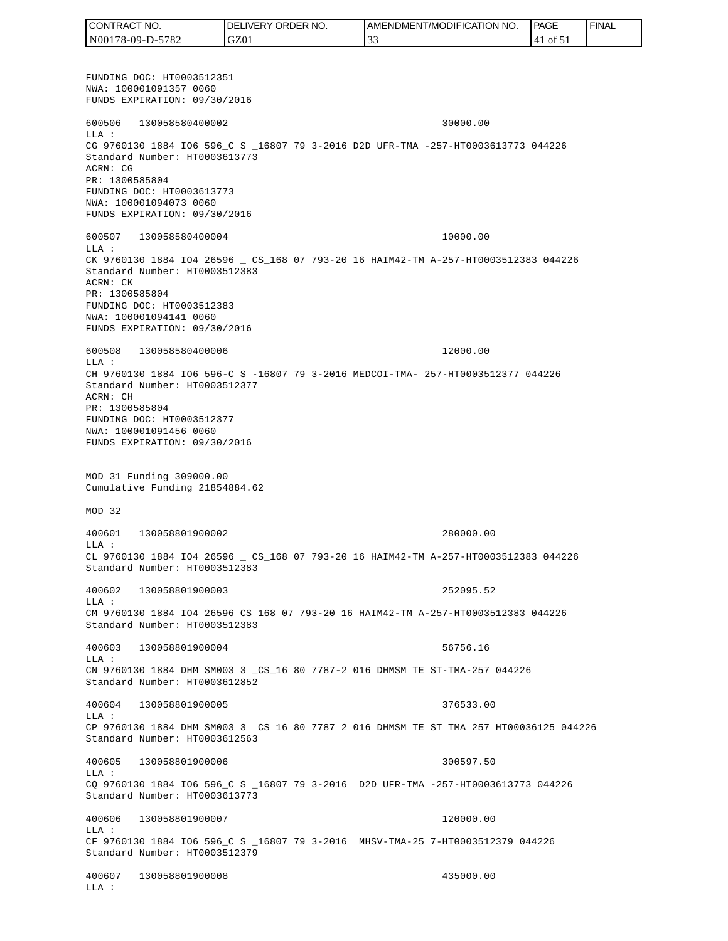FUNDING DOC: HT0003512351 NWA: 100001091357 0060 FUNDS EXPIRATION: 09/30/2016 600506 130058580400002 30000.00 LLA : CG 9760130 1884 IO6 596\_C S \_16807 79 3-2016 D2D UFR-TMA -257-HT0003613773 044226 Standard Number: HT0003613773 ACRN: CG PR: 1300585804 FUNDING DOC: HT0003613773 NWA: 100001094073 0060 FUNDS EXPIRATION: 09/30/2016 600507 130058580400004 10000.00 LLA : CK 9760130 1884 IO4 26596 \_ CS\_168 07 793-20 16 HAIM42-TM A-257-HT0003512383 044226 Standard Number: HT0003512383 ACRN: CK PR: 1300585804 FUNDING DOC: HT0003512383 NWA: 100001094141 0060 FUNDS EXPIRATION: 09/30/2016 600508 130058580400006 12000.00 LLA : CH 9760130 1884 IO6 596-C S -16807 79 3-2016 MEDCOI-TMA- 257-HT0003512377 044226 Standard Number: HT0003512377 ACRN: CH PR: 1300585804 FUNDING DOC: HT0003512377 NWA: 100001091456 0060 FUNDS EXPIRATION: 09/30/2016 MOD 31 Funding 309000.00 Cumulative Funding 21854884.62 MOD 32 400601 130058801900002 280000.00 LLA : CL 9760130 1884 IO4 26596 \_ CS\_168 07 793-20 16 HAIM42-TM A-257-HT0003512383 044226 Standard Number: HT0003512383 400602 130058801900003 252095.52 LLA : CM 9760130 1884 IO4 26596 CS 168 07 793-20 16 HAIM42-TM A-257-HT0003512383 044226 Standard Number: HT0003512383 400603 130058801900004 56756.16 LLA : CN 9760130 1884 DHM SM003 3 \_CS\_16 80 7787-2 016 DHMSM TE ST-TMA-257 044226 Standard Number: HT0003612852 400604 130058801900005 376533.00  $T.T.A$  : CP 9760130 1884 DHM SM003 3 CS 16 80 7787 2 016 DHMSM TE ST TMA 257 HT00036125 044226 Standard Number: HT0003612563 400605 130058801900006 300597.50  $T.T.A$  : CQ 9760130 1884 IO6 596\_C S \_16807 79 3-2016 D2D UFR-TMA -257-HT0003613773 044226 Standard Number: HT0003613773 400606 130058801900007 120000.00 LLA : CF 9760130 1884 IO6 596\_C S \_16807 79 3-2016 MHSV-TMA-25 7-HT0003512379 044226 Standard Number: HT0003512379 400607 130058801900008 435000.00 LLA : CONTRACT NO. N00178-09-D-5782 DELIVERY ORDER NO. GZ01 AMENDMENT/MODIFICATION NO. 33 **PAGE**  41 of 51 FINAL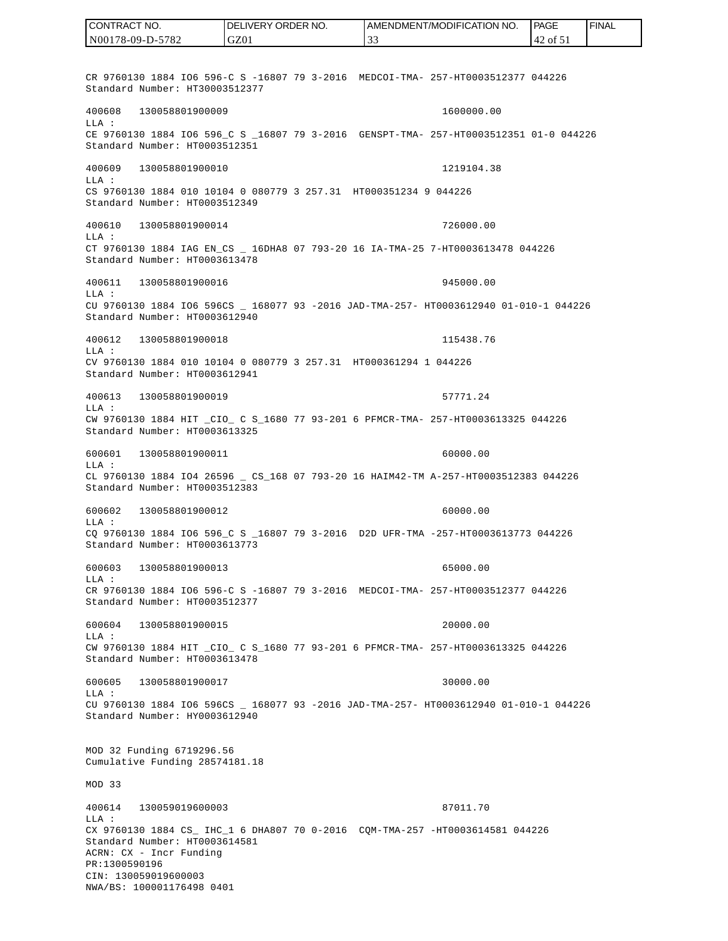CR 9760130 1884 IO6 596-C S -16807 79 3-2016 MEDCOI-TMA- 257-HT0003512377 044226 Standard Number: HT30003512377 400608 130058801900009 1600000.00 LLA : CE 9760130 1884 IO6 596 C S 16807 79 3-2016 GENSPT-TMA- 257-HT0003512351 01-0 044226 Standard Number: HT0003512351 400609 130058801900010 1219104.38 LLA : CS 9760130 1884 010 10104 0 080779 3 257.31 HT000351234 9 044226 Standard Number: HT0003512349 400610 130058801900014 726000.00 LLA : CT 9760130 1884 IAG EN\_CS \_ 16DHA8 07 793-20 16 IA-TMA-25 7-HT0003613478 044226 Standard Number: HT0003613478 400611 130058801900016 945000.00 LLA : CU 9760130 1884 IO6 596CS \_ 168077 93 -2016 JAD-TMA-257- HT0003612940 01-010-1 044226 Standard Number: HT0003612940 400612 130058801900018 115438.76 LLA : CV 9760130 1884 010 10104 0 080779 3 257.31 HT000361294 1 044226 Standard Number: HT0003612941 400613 130058801900019 57771.24 LLA : CW 9760130 1884 HIT \_CIO\_ C S\_1680 77 93-201 6 PFMCR-TMA- 257-HT0003613325 044226 Standard Number: HT0003613325 600601 130058801900011 60000.00 LLA : CL 9760130 1884 IO4 26596 \_ CS\_168 07 793-20 16 HAIM42-TM A-257-HT0003512383 044226 Standard Number: HT0003512383 600602 130058801900012 60000.00 LLA : CQ 9760130 1884 IO6 596\_C S \_16807 79 3-2016 D2D UFR-TMA -257-HT0003613773 044226 Standard Number: HT0003613773 600603 130058801900013 65000.00 LLA : CR 9760130 1884 IO6 596-C S -16807 79 3-2016 MEDCOI-TMA- 257-HT0003512377 044226 Standard Number: HT0003512377 600604 130058801900015 20000.00 LLA : CW 9760130 1884 HIT \_CIO\_ C S\_1680 77 93-201 6 PFMCR-TMA- 257-HT0003613325 044226 Standard Number: HT0003613478 600605 130058801900017 30000.00 LLA : CU 9760130 1884 IO6 596CS \_ 168077 93 -2016 JAD-TMA-257- HT0003612940 01-010-1 044226 Standard Number: HY0003612940 MOD 32 Funding 6719296.56 Cumulative Funding 28574181.18 MOD 33 400614 130059019600003 87011.70 LLA : CX 9760130 1884 CS\_ IHC\_1 6 DHA807 70 0-2016 CQM-TMA-257 -HT0003614581 044226 Standard Number: HT0003614581 ACRN: CX - Incr Funding PR:1300590196 CIN: 130059019600003 NWA/BS: 100001176498 0401 CONTRACT NO. N00178-09-D-5782 DELIVERY ORDER NO. GZ01 AMENDMENT/MODIFICATION NO. 33 **PAGE**  42 of 51 FINAL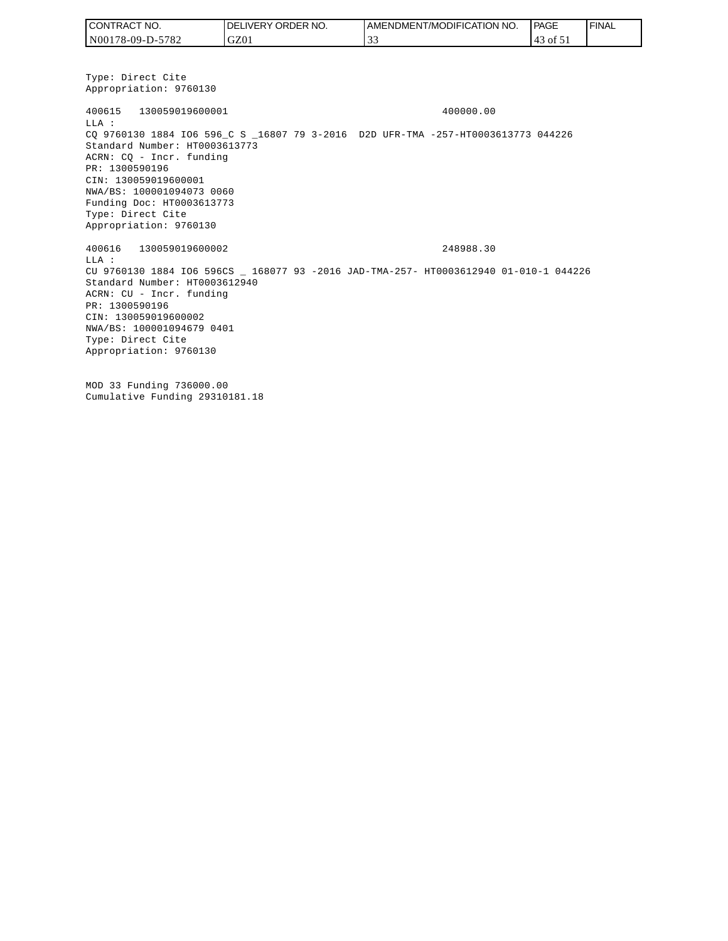| I CONTRACT NO.   | NO.<br><b>DELIVERY ORDER</b> | AMENDMENT/MODIFICATION NO. | <b>PAGE</b>    | ' FINAL |
|------------------|------------------------------|----------------------------|----------------|---------|
| N00178-09-D-5782 | GZ01                         |                            | 3 of 51<br>۰4۰ |         |

Type: Direct Cite Appropriation: 9760130 400615 130059019600001 400000.00 LLA : CQ 9760130 1884 IO6 596\_C S \_16807 79 3-2016 D2D UFR-TMA -257-HT0003613773 044226 Standard Number: HT0003613773 ACRN: CQ - Incr. funding PR: 1300590196 CIN: 130059019600001 NWA/BS: 100001094073 0060 Funding Doc: HT0003613773 Type: Direct Cite Appropriation: 9760130 400616 130059019600002 248988.30 LLA : CU 9760130 1884 IO6 596CS \_ 168077 93 -2016 JAD-TMA-257- HT0003612940 01-010-1 044226 Standard Number: HT0003612940 ACRN: CU - Incr. funding PR: 1300590196 CIN: 130059019600002 NWA/BS: 100001094679 0401 Type: Direct Cite Appropriation: 9760130

MOD 33 Funding 736000.00 Cumulative Funding 29310181.18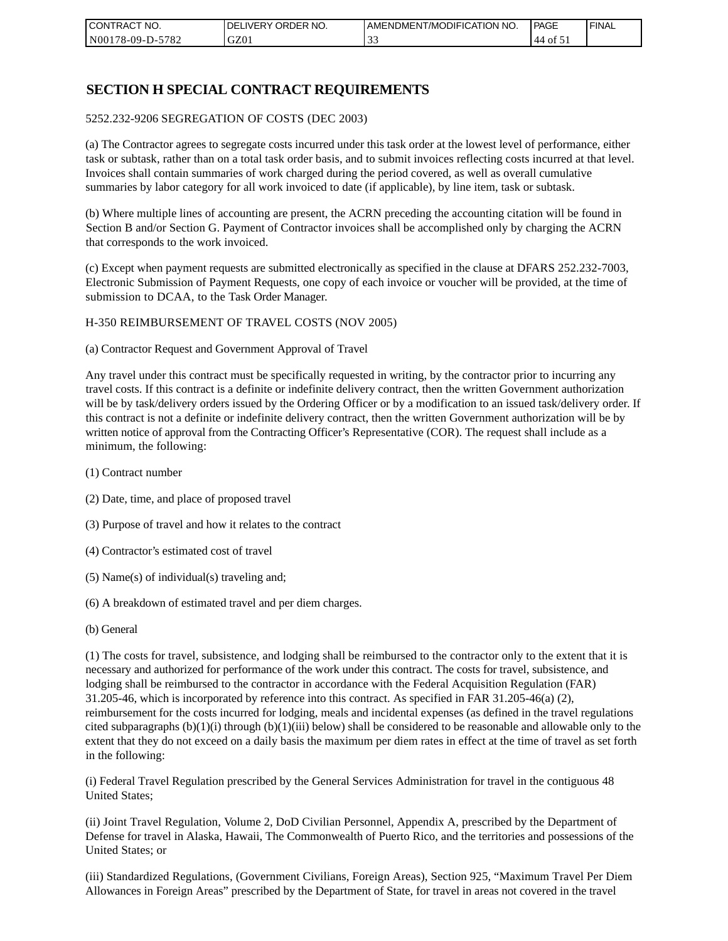| I CONTRACT NO.   | NO.<br>DELIVERY ORDER | AMENDMENT/MODIFICATION NO. | PAGE     | ' FINAL |
|------------------|-----------------------|----------------------------|----------|---------|
| N00178-09-D-5782 | GZ01                  | . J .                      | ΟĪ<br>44 |         |

## **SECTION H SPECIAL CONTRACT REQUIREMENTS**

#### 5252.232-9206 SEGREGATION OF COSTS (DEC 2003)

(a) The Contractor agrees to segregate costs incurred under this task order at the lowest level of performance, either task or subtask, rather than on a total task order basis, and to submit invoices reflecting costs incurred at that level. Invoices shall contain summaries of work charged during the period covered, as well as overall cumulative summaries by labor category for all work invoiced to date (if applicable), by line item, task or subtask.

(b) Where multiple lines of accounting are present, the ACRN preceding the accounting citation will be found in Section B and/or Section G. Payment of Contractor invoices shall be accomplished only by charging the ACRN that corresponds to the work invoiced.

(c) Except when payment requests are submitted electronically as specified in the clause at DFARS 252.232-7003, Electronic Submission of Payment Requests, one copy of each invoice or voucher will be provided, at the time of submission to DCAA, to the Task Order Manager.

#### H-350 REIMBURSEMENT OF TRAVEL COSTS (NOV 2005)

(a) Contractor Request and Government Approval of Travel

Any travel under this contract must be specifically requested in writing, by the contractor prior to incurring any travel costs. If this contract is a definite or indefinite delivery contract, then the written Government authorization will be by task/delivery orders issued by the Ordering Officer or by a modification to an issued task/delivery order. If this contract is not a definite or indefinite delivery contract, then the written Government authorization will be by written notice of approval from the Contracting Officer's Representative (COR). The request shall include as a minimum, the following:

- (1) Contract number
- (2) Date, time, and place of proposed travel
- (3) Purpose of travel and how it relates to the contract
- (4) Contractor's estimated cost of travel
- (5) Name(s) of individual(s) traveling and;
- (6) A breakdown of estimated travel and per diem charges.
- (b) General

(1) The costs for travel, subsistence, and lodging shall be reimbursed to the contractor only to the extent that it is necessary and authorized for performance of the work under this contract. The costs for travel, subsistence, and lodging shall be reimbursed to the contractor in accordance with the Federal Acquisition Regulation (FAR) 31.205-46, which is incorporated by reference into this contract. As specified in FAR 31.205-46(a) (2), reimbursement for the costs incurred for lodging, meals and incidental expenses (as defined in the travel regulations cited subparagraphs  $(b)(1)(i)$  through  $(b)(1)(iii)$  below) shall be considered to be reasonable and allowable only to the extent that they do not exceed on a daily basis the maximum per diem rates in effect at the time of travel as set forth in the following:

(i) Federal Travel Regulation prescribed by the General Services Administration for travel in the contiguous 48 United States;

(ii) Joint Travel Regulation, Volume 2, DoD Civilian Personnel, Appendix A, prescribed by the Department of Defense for travel in Alaska, Hawaii, The Commonwealth of Puerto Rico, and the territories and possessions of the United States; or

(iii) Standardized Regulations, (Government Civilians, Foreign Areas), Section 925, "Maximum Travel Per Diem Allowances in Foreign Areas" prescribed by the Department of State, for travel in areas not covered in the travel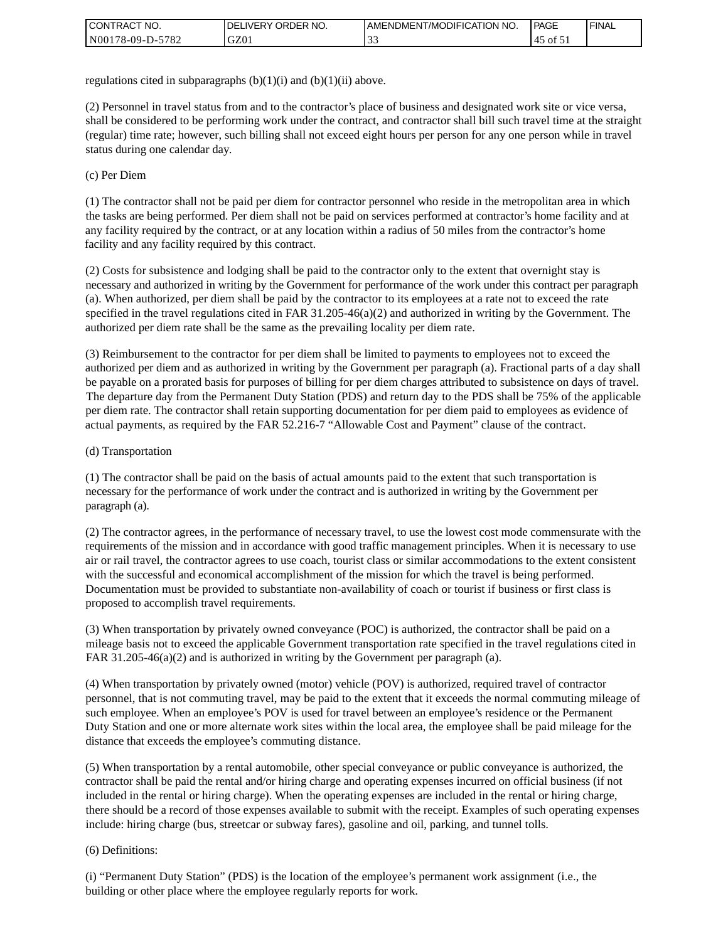| <b>I CONTRACT NO.</b> | NO.<br>' ORDER<br><b>DELIVERY</b> | I AMENDMENT/MODIFICATION NO. | <b>PAGE</b>      | <b>I FINAL</b> |
|-----------------------|-----------------------------------|------------------------------|------------------|----------------|
| N00178-09-D-5782      | GZ0 <sub>1</sub>                  | ີ້                           | $15.01 \times 1$ |                |

regulations cited in subparagraphs  $(b)(1)(i)$  and  $(b)(1)(ii)$  above.

(2) Personnel in travel status from and to the contractor's place of business and designated work site or vice versa, shall be considered to be performing work under the contract, and contractor shall bill such travel time at the straight (regular) time rate; however, such billing shall not exceed eight hours per person for any one person while in travel status during one calendar day.

(c) Per Diem

(1) The contractor shall not be paid per diem for contractor personnel who reside in the metropolitan area in which the tasks are being performed. Per diem shall not be paid on services performed at contractor's home facility and at any facility required by the contract, or at any location within a radius of 50 miles from the contractor's home facility and any facility required by this contract.

(2) Costs for subsistence and lodging shall be paid to the contractor only to the extent that overnight stay is necessary and authorized in writing by the Government for performance of the work under this contract per paragraph (a). When authorized, per diem shall be paid by the contractor to its employees at a rate not to exceed the rate specified in the travel regulations cited in FAR 31.205-46(a)(2) and authorized in writing by the Government. The authorized per diem rate shall be the same as the prevailing locality per diem rate.

(3) Reimbursement to the contractor for per diem shall be limited to payments to employees not to exceed the authorized per diem and as authorized in writing by the Government per paragraph (a). Fractional parts of a day shall be payable on a prorated basis for purposes of billing for per diem charges attributed to subsistence on days of travel. The departure day from the Permanent Duty Station (PDS) and return day to the PDS shall be 75% of the applicable per diem rate. The contractor shall retain supporting documentation for per diem paid to employees as evidence of actual payments, as required by the FAR 52.216-7 "Allowable Cost and Payment" clause of the contract.

#### (d) Transportation

(1) The contractor shall be paid on the basis of actual amounts paid to the extent that such transportation is necessary for the performance of work under the contract and is authorized in writing by the Government per paragraph (a).

(2) The contractor agrees, in the performance of necessary travel, to use the lowest cost mode commensurate with the requirements of the mission and in accordance with good traffic management principles. When it is necessary to use air or rail travel, the contractor agrees to use coach, tourist class or similar accommodations to the extent consistent with the successful and economical accomplishment of the mission for which the travel is being performed. Documentation must be provided to substantiate non-availability of coach or tourist if business or first class is proposed to accomplish travel requirements.

(3) When transportation by privately owned conveyance (POC) is authorized, the contractor shall be paid on a mileage basis not to exceed the applicable Government transportation rate specified in the travel regulations cited in FAR 31.205-46(a)(2) and is authorized in writing by the Government per paragraph (a).

(4) When transportation by privately owned (motor) vehicle (POV) is authorized, required travel of contractor personnel, that is not commuting travel, may be paid to the extent that it exceeds the normal commuting mileage of such employee. When an employee's POV is used for travel between an employee's residence or the Permanent Duty Station and one or more alternate work sites within the local area, the employee shall be paid mileage for the distance that exceeds the employee's commuting distance.

(5) When transportation by a rental automobile, other special conveyance or public conveyance is authorized, the contractor shall be paid the rental and/or hiring charge and operating expenses incurred on official business (if not included in the rental or hiring charge). When the operating expenses are included in the rental or hiring charge, there should be a record of those expenses available to submit with the receipt. Examples of such operating expenses include: hiring charge (bus, streetcar or subway fares), gasoline and oil, parking, and tunnel tolls.

#### (6) Definitions:

(i) "Permanent Duty Station" (PDS) is the location of the employee's permanent work assignment (i.e., the building or other place where the employee regularly reports for work.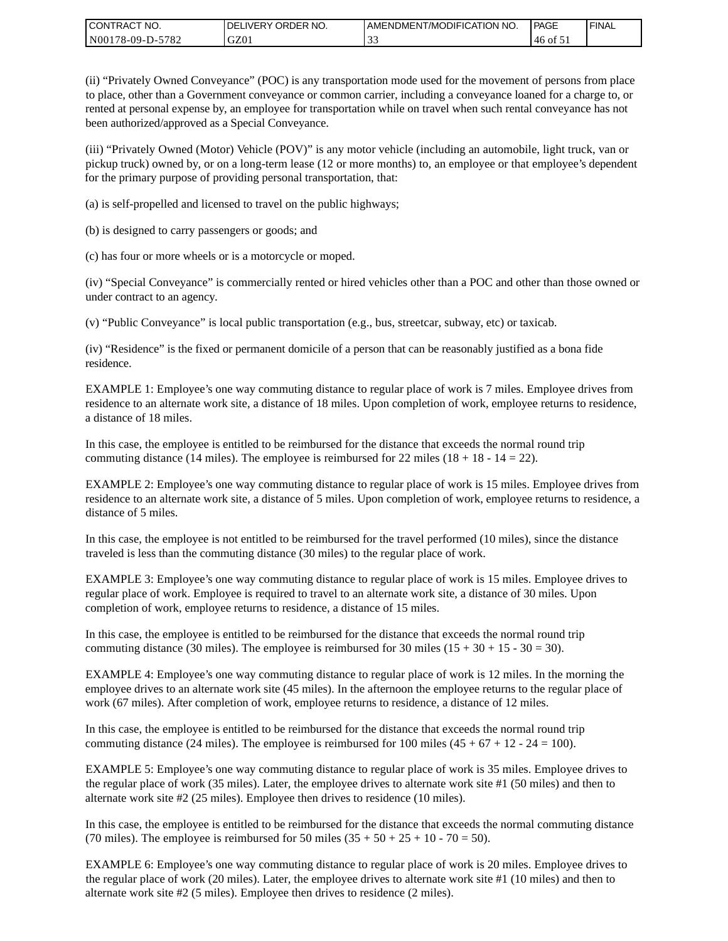| CONTRACT<br>CT NO.                                    | NO.<br>' ORDER<br><b>DELIVERY</b> | AMENDMENT/MODIFICATION NO. | l PAGE | <b>FINAL</b> |
|-------------------------------------------------------|-----------------------------------|----------------------------|--------|--------------|
| N <sub>001</sub><br>$-5782$<br>'78-09-D- <sub>~</sub> | GZ0                               | ີ້                         | '46 of |              |

(ii) "Privately Owned Conveyance" (POC) is any transportation mode used for the movement of persons from place to place, other than a Government conveyance or common carrier, including a conveyance loaned for a charge to, or rented at personal expense by, an employee for transportation while on travel when such rental conveyance has not been authorized/approved as a Special Conveyance.

(iii) "Privately Owned (Motor) Vehicle (POV)" is any motor vehicle (including an automobile, light truck, van or pickup truck) owned by, or on a long-term lease (12 or more months) to, an employee or that employee's dependent for the primary purpose of providing personal transportation, that:

(a) is self-propelled and licensed to travel on the public highways;

(b) is designed to carry passengers or goods; and

(c) has four or more wheels or is a motorcycle or moped.

(iv) "Special Conveyance" is commercially rented or hired vehicles other than a POC and other than those owned or under contract to an agency.

(v) "Public Conveyance" is local public transportation (e.g., bus, streetcar, subway, etc) or taxicab.

(iv) "Residence" is the fixed or permanent domicile of a person that can be reasonably justified as a bona fide residence.

EXAMPLE 1: Employee's one way commuting distance to regular place of work is 7 miles. Employee drives from residence to an alternate work site, a distance of 18 miles. Upon completion of work, employee returns to residence, a distance of 18 miles.

In this case, the employee is entitled to be reimbursed for the distance that exceeds the normal round trip commuting distance (14 miles). The employee is reimbursed for 22 miles (18 + 18 - 14 = 22).

EXAMPLE 2: Employee's one way commuting distance to regular place of work is 15 miles. Employee drives from residence to an alternate work site, a distance of 5 miles. Upon completion of work, employee returns to residence, a distance of 5 miles.

In this case, the employee is not entitled to be reimbursed for the travel performed (10 miles), since the distance traveled is less than the commuting distance (30 miles) to the regular place of work.

EXAMPLE 3: Employee's one way commuting distance to regular place of work is 15 miles. Employee drives to regular place of work. Employee is required to travel to an alternate work site, a distance of 30 miles. Upon completion of work, employee returns to residence, a distance of 15 miles.

In this case, the employee is entitled to be reimbursed for the distance that exceeds the normal round trip commuting distance (30 miles). The employee is reimbursed for 30 miles  $(15 + 30 + 15 - 30 = 30)$ .

EXAMPLE 4: Employee's one way commuting distance to regular place of work is 12 miles. In the morning the employee drives to an alternate work site (45 miles). In the afternoon the employee returns to the regular place of work (67 miles). After completion of work, employee returns to residence, a distance of 12 miles.

In this case, the employee is entitled to be reimbursed for the distance that exceeds the normal round trip commuting distance (24 miles). The employee is reimbursed for 100 miles  $(45 + 67 + 12 - 24 = 100)$ .

EXAMPLE 5: Employee's one way commuting distance to regular place of work is 35 miles. Employee drives to the regular place of work (35 miles). Later, the employee drives to alternate work site #1 (50 miles) and then to alternate work site #2 (25 miles). Employee then drives to residence (10 miles).

In this case, the employee is entitled to be reimbursed for the distance that exceeds the normal commuting distance (70 miles). The employee is reimbursed for 50 miles  $(35 + 50 + 25 + 10 - 70 = 50)$ .

EXAMPLE 6: Employee's one way commuting distance to regular place of work is 20 miles. Employee drives to the regular place of work (20 miles). Later, the employee drives to alternate work site #1 (10 miles) and then to alternate work site #2 (5 miles). Employee then drives to residence (2 miles).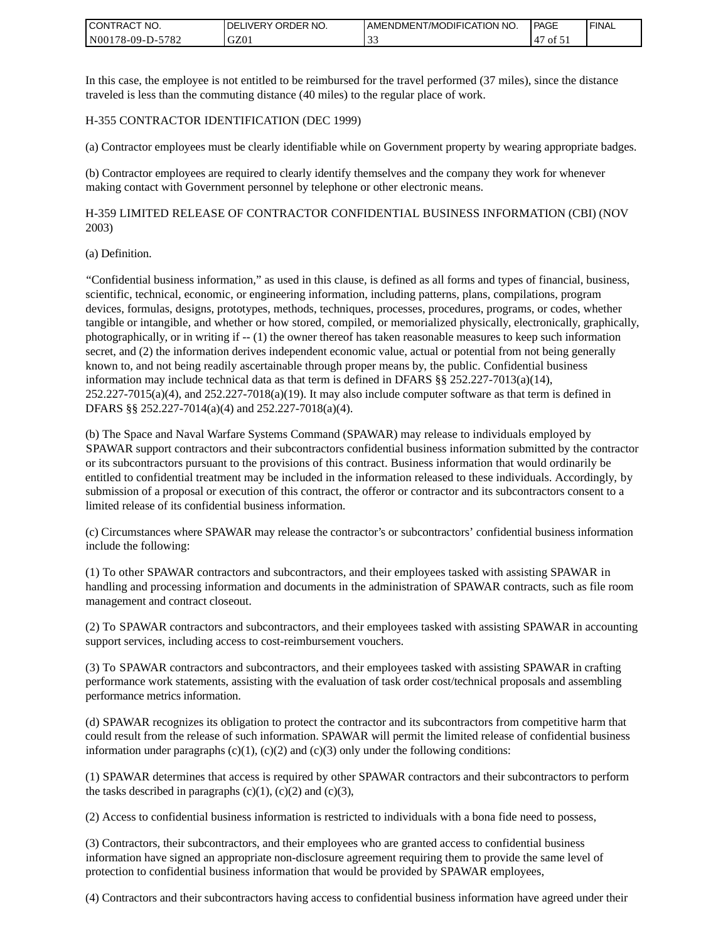| <b>CONTRACT NO.</b>                 | NO.<br>' ORDER<br><b>DELIVERY</b> | AMENDMENT/MODIFICATION NO. | PAGE | <b>I FINAL</b> |
|-------------------------------------|-----------------------------------|----------------------------|------|----------------|
| 5782<br>N001<br>78-09-I<br>$D^{-r}$ | GZ01                              | . J .                      | οt   |                |

In this case, the employee is not entitled to be reimbursed for the travel performed (37 miles), since the distance traveled is less than the commuting distance (40 miles) to the regular place of work.

#### H-355 CONTRACTOR IDENTIFICATION (DEC 1999)

(a) Contractor employees must be clearly identifiable while on Government property by wearing appropriate badges.

(b) Contractor employees are required to clearly identify themselves and the company they work for whenever making contact with Government personnel by telephone or other electronic means.

H-359 LIMITED RELEASE OF CONTRACTOR CONFIDENTIAL BUSINESS INFORMATION (CBI) (NOV 2003)

#### (a) Definition.

"Confidential business information," as used in this clause, is defined as all forms and types of financial, business, scientific, technical, economic, or engineering information, including patterns, plans, compilations, program devices, formulas, designs, prototypes, methods, techniques, processes, procedures, programs, or codes, whether tangible or intangible, and whether or how stored, compiled, or memorialized physically, electronically, graphically, photographically, or in writing if -- (1) the owner thereof has taken reasonable measures to keep such information secret, and (2) the information derives independent economic value, actual or potential from not being generally known to, and not being readily ascertainable through proper means by, the public. Confidential business information may include technical data as that term is defined in DFARS  $\S$ § 252.227-7013(a)(14),  $252.227-7015(a)(4)$ , and  $252.227-7018(a)(19)$ . It may also include computer software as that term is defined in DFARS §§ 252.227-7014(a)(4) and 252.227-7018(a)(4).

(b) The Space and Naval Warfare Systems Command (SPAWAR) may release to individuals employed by SPAWAR support contractors and their subcontractors confidential business information submitted by the contractor or its subcontractors pursuant to the provisions of this contract. Business information that would ordinarily be entitled to confidential treatment may be included in the information released to these individuals. Accordingly, by submission of a proposal or execution of this contract, the offeror or contractor and its subcontractors consent to a limited release of its confidential business information.

(c) Circumstances where SPAWAR may release the contractor's or subcontractors' confidential business information include the following:

(1) To other SPAWAR contractors and subcontractors, and their employees tasked with assisting SPAWAR in handling and processing information and documents in the administration of SPAWAR contracts, such as file room management and contract closeout.

(2) To SPAWAR contractors and subcontractors, and their employees tasked with assisting SPAWAR in accounting support services, including access to cost-reimbursement vouchers.

(3) To SPAWAR contractors and subcontractors, and their employees tasked with assisting SPAWAR in crafting performance work statements, assisting with the evaluation of task order cost/technical proposals and assembling performance metrics information.

(d) SPAWAR recognizes its obligation to protect the contractor and its subcontractors from competitive harm that could result from the release of such information. SPAWAR will permit the limited release of confidential business information under paragraphs  $(c)(1)$ ,  $(c)(2)$  and  $(c)(3)$  only under the following conditions:

(1) SPAWAR determines that access is required by other SPAWAR contractors and their subcontractors to perform the tasks described in paragraphs  $(c)(1)$ ,  $(c)(2)$  and  $(c)(3)$ ,

(2) Access to confidential business information is restricted to individuals with a bona fide need to possess,

(3) Contractors, their subcontractors, and their employees who are granted access to confidential business information have signed an appropriate non-disclosure agreement requiring them to provide the same level of protection to confidential business information that would be provided by SPAWAR employees,

(4) Contractors and their subcontractors having access to confidential business information have agreed under their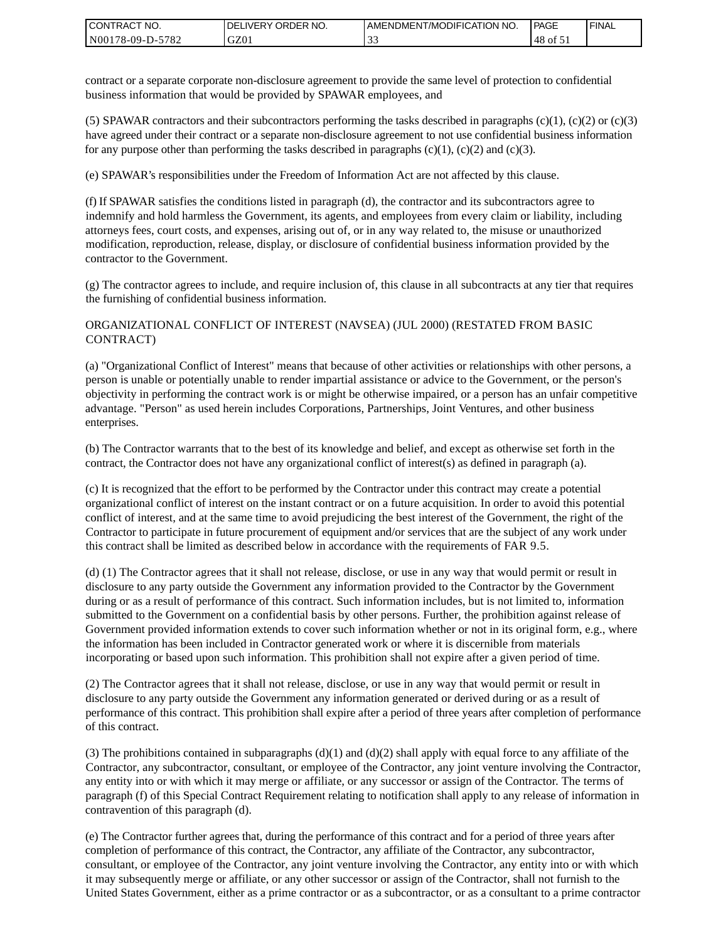| I CONTRACT NO.   | <b>IDELIVERY ORDER NO.</b> | AMENDMENT/MODIFICATION NO. | PAGE    | 'FINAL |
|------------------|----------------------------|----------------------------|---------|--------|
| N00178-09-D-5782 | GZ01                       | <u>.</u>                   | $48$ of |        |

contract or a separate corporate non-disclosure agreement to provide the same level of protection to confidential business information that would be provided by SPAWAR employees, and

(5) SPAWAR contractors and their subcontractors performing the tasks described in paragraphs  $(c)(1)$ ,  $(c)(2)$  or  $(c)(3)$ have agreed under their contract or a separate non-disclosure agreement to not use confidential business information for any purpose other than performing the tasks described in paragraphs  $(c)(1)$ ,  $(c)(2)$  and  $(c)(3)$ .

(e) SPAWAR's responsibilities under the Freedom of Information Act are not affected by this clause.

(f) If SPAWAR satisfies the conditions listed in paragraph (d), the contractor and its subcontractors agree to indemnify and hold harmless the Government, its agents, and employees from every claim or liability, including attorneys fees, court costs, and expenses, arising out of, or in any way related to, the misuse or unauthorized modification, reproduction, release, display, or disclosure of confidential business information provided by the contractor to the Government.

(g) The contractor agrees to include, and require inclusion of, this clause in all subcontracts at any tier that requires the furnishing of confidential business information.

#### ORGANIZATIONAL CONFLICT OF INTEREST (NAVSEA) (JUL 2000) (RESTATED FROM BASIC CONTRACT)

(a) "Organizational Conflict of Interest" means that because of other activities or relationships with other persons, a person is unable or potentially unable to render impartial assistance or advice to the Government, or the person's objectivity in performing the contract work is or might be otherwise impaired, or a person has an unfair competitive advantage. "Person" as used herein includes Corporations, Partnerships, Joint Ventures, and other business enterprises.

(b) The Contractor warrants that to the best of its knowledge and belief, and except as otherwise set forth in the contract, the Contractor does not have any organizational conflict of interest(s) as defined in paragraph (a).

(c) It is recognized that the effort to be performed by the Contractor under this contract may create a potential organizational conflict of interest on the instant contract or on a future acquisition. In order to avoid this potential conflict of interest, and at the same time to avoid prejudicing the best interest of the Government, the right of the Contractor to participate in future procurement of equipment and/or services that are the subject of any work under this contract shall be limited as described below in accordance with the requirements of FAR 9.5.

(d) (1) The Contractor agrees that it shall not release, disclose, or use in any way that would permit or result in disclosure to any party outside the Government any information provided to the Contractor by the Government during or as a result of performance of this contract. Such information includes, but is not limited to, information submitted to the Government on a confidential basis by other persons. Further, the prohibition against release of Government provided information extends to cover such information whether or not in its original form, e.g., where the information has been included in Contractor generated work or where it is discernible from materials incorporating or based upon such information. This prohibition shall not expire after a given period of time.

(2) The Contractor agrees that it shall not release, disclose, or use in any way that would permit or result in disclosure to any party outside the Government any information generated or derived during or as a result of performance of this contract. This prohibition shall expire after a period of three years after completion of performance of this contract.

(3) The prohibitions contained in subparagraphs  $(d)(1)$  and  $(d)(2)$  shall apply with equal force to any affiliate of the Contractor, any subcontractor, consultant, or employee of the Contractor, any joint venture involving the Contractor, any entity into or with which it may merge or affiliate, or any successor or assign of the Contractor. The terms of paragraph (f) of this Special Contract Requirement relating to notification shall apply to any release of information in contravention of this paragraph (d).

(e) The Contractor further agrees that, during the performance of this contract and for a period of three years after completion of performance of this contract, the Contractor, any affiliate of the Contractor, any subcontractor, consultant, or employee of the Contractor, any joint venture involving the Contractor, any entity into or with which it may subsequently merge or affiliate, or any other successor or assign of the Contractor, shall not furnish to the United States Government, either as a prime contractor or as a subcontractor, or as a consultant to a prime contractor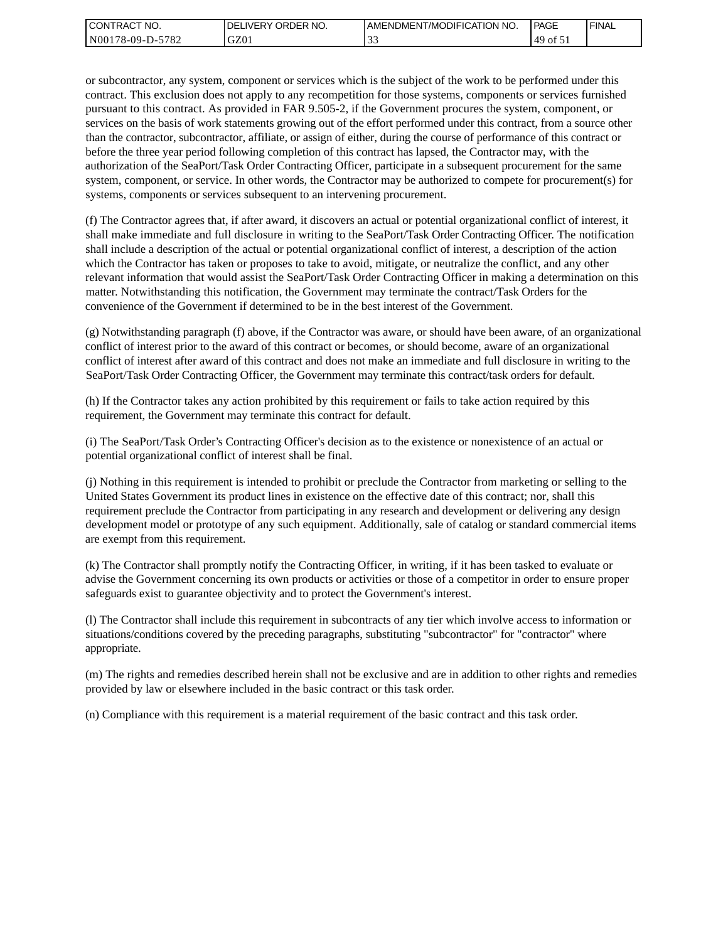| I CONTRACT NO.   | <b>IDELIVERY ORDER NO.</b> | AMENDMENT/MODIFICATION NO. | PAGE      | 'FINAL |
|------------------|----------------------------|----------------------------|-----------|--------|
| N00178-09-D-5782 | GZ01                       |                            | .49<br>0t |        |

or subcontractor, any system, component or services which is the subject of the work to be performed under this contract. This exclusion does not apply to any recompetition for those systems, components or services furnished pursuant to this contract. As provided in FAR 9.505-2, if the Government procures the system, component, or services on the basis of work statements growing out of the effort performed under this contract, from a source other than the contractor, subcontractor, affiliate, or assign of either, during the course of performance of this contract or before the three year period following completion of this contract has lapsed, the Contractor may, with the authorization of the SeaPort/Task Order Contracting Officer, participate in a subsequent procurement for the same system, component, or service. In other words, the Contractor may be authorized to compete for procurement(s) for systems, components or services subsequent to an intervening procurement.

(f) The Contractor agrees that, if after award, it discovers an actual or potential organizational conflict of interest, it shall make immediate and full disclosure in writing to the SeaPort/Task Order Contracting Officer. The notification shall include a description of the actual or potential organizational conflict of interest, a description of the action which the Contractor has taken or proposes to take to avoid, mitigate, or neutralize the conflict, and any other relevant information that would assist the SeaPort/Task Order Contracting Officer in making a determination on this matter. Notwithstanding this notification, the Government may terminate the contract/Task Orders for the convenience of the Government if determined to be in the best interest of the Government.

(g) Notwithstanding paragraph (f) above, if the Contractor was aware, or should have been aware, of an organizational conflict of interest prior to the award of this contract or becomes, or should become, aware of an organizational conflict of interest after award of this contract and does not make an immediate and full disclosure in writing to the SeaPort/Task Order Contracting Officer, the Government may terminate this contract/task orders for default.

(h) If the Contractor takes any action prohibited by this requirement or fails to take action required by this requirement, the Government may terminate this contract for default.

(i) The SeaPort/Task Order's Contracting Officer's decision as to the existence or nonexistence of an actual or potential organizational conflict of interest shall be final.

(j) Nothing in this requirement is intended to prohibit or preclude the Contractor from marketing or selling to the United States Government its product lines in existence on the effective date of this contract; nor, shall this requirement preclude the Contractor from participating in any research and development or delivering any design development model or prototype of any such equipment. Additionally, sale of catalog or standard commercial items are exempt from this requirement.

(k) The Contractor shall promptly notify the Contracting Officer, in writing, if it has been tasked to evaluate or advise the Government concerning its own products or activities or those of a competitor in order to ensure proper safeguards exist to guarantee objectivity and to protect the Government's interest.

(l) The Contractor shall include this requirement in subcontracts of any tier which involve access to information or situations/conditions covered by the preceding paragraphs, substituting "subcontractor" for "contractor" where appropriate.

(m) The rights and remedies described herein shall not be exclusive and are in addition to other rights and remedies provided by law or elsewhere included in the basic contract or this task order.

(n) Compliance with this requirement is a material requirement of the basic contract and this task order.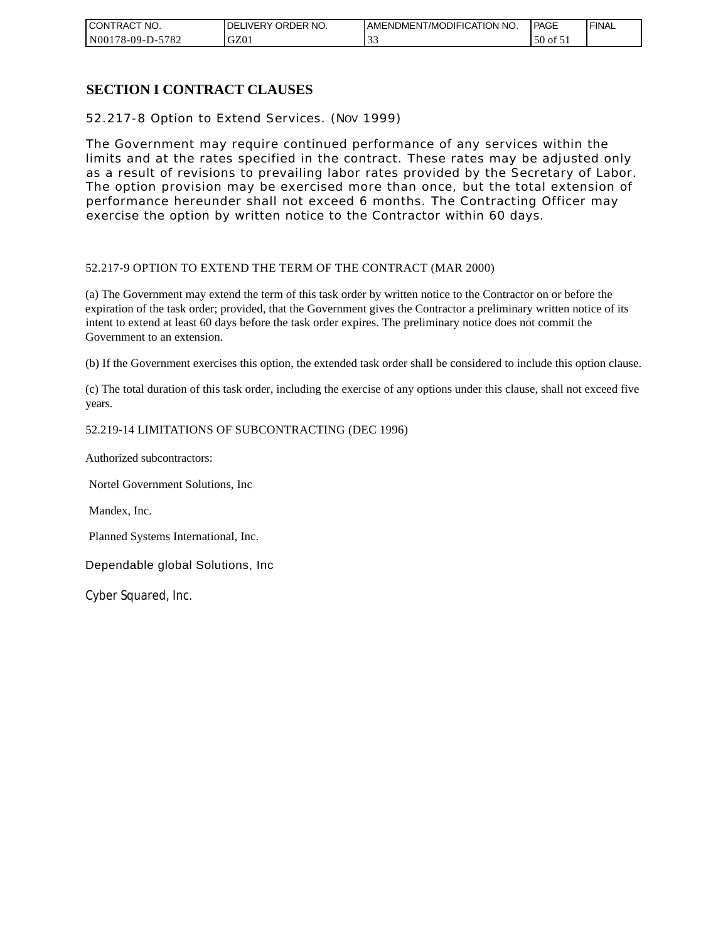| CONTRACT NO.          | NO.<br>ORDER<br><b>DELIVERY</b> | AMENDMENT/MODIFICATION NO. | <b>PAGE</b>           | ' FINAL |
|-----------------------|---------------------------------|----------------------------|-----------------------|---------|
| N00178-09-D-5<br>5782 | GZ01                            | ີ້                         | 50<br>ΟĪ<br><u>JI</u> |         |

### **SECTION I CONTRACT CLAUSES**

52.217-8 Option to Extend Services. (NOV 1999)

The Government may require continued performance of any services within the limits and at the rates specified in the contract. These rates may be adjusted only as a result of revisions to prevailing labor rates provided by the Secretary of Labor. The option provision may be exercised more than once, but the total extension of performance hereunder shall not exceed 6 months. The Contracting Officer may exercise the option by written notice to the Contractor within 60 days.

#### 52.217-9 OPTION TO EXTEND THE TERM OF THE CONTRACT (MAR 2000)

(a) The Government may extend the term of this task order by written notice to the Contractor on or before the expiration of the task order; provided, that the Government gives the Contractor a preliminary written notice of its intent to extend at least 60 days before the task order expires. The preliminary notice does not commit the Government to an extension.

(b) If the Government exercises this option, the extended task order shall be considered to include this option clause.

(c) The total duration of this task order, including the exercise of any options under this clause, shall not exceed five years.

#### 52.219-14 LIMITATIONS OF SUBCONTRACTING (DEC 1996)

Authorized subcontractors:

Nortel Government Solutions, Inc

Mandex, Inc.

Planned Systems International, Inc.

Dependable global Solutions, Inc

Cyber Squared, Inc.